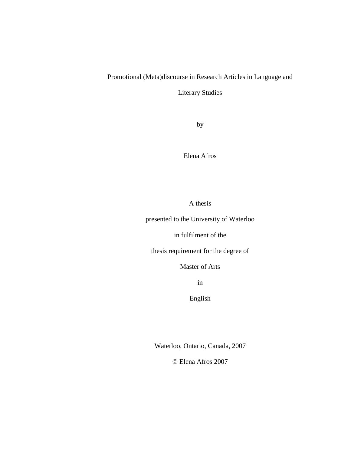# Promotional (Meta)discourse in Research Articles in Language and

Literary Studies

by

Elena Afros

A thesis

presented to the University of Waterloo

in fulfilment of the

thesis requirement for the degree of

Master of Arts

in

English

Waterloo, Ontario, Canada, 2007

© Elena Afros 2007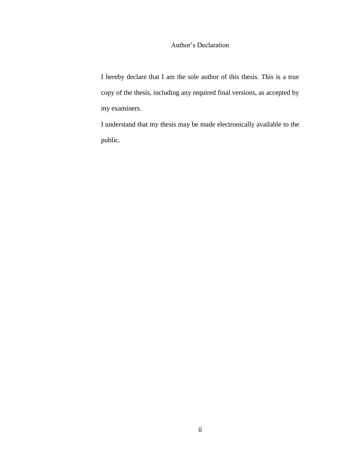## Author"s Declaration

I hereby declare that I am the sole author of this thesis. This is a true copy of the thesis, including any required final versions, as accepted by my examiners.

I understand that my thesis may be made electronically available to the public.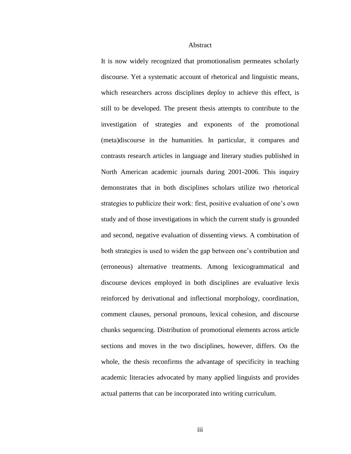#### Abstract

It is now widely recognized that promotionalism permeates scholarly discourse. Yet a systematic account of rhetorical and linguistic means, which researchers across disciplines deploy to achieve this effect, is still to be developed. The present thesis attempts to contribute to the investigation of strategies and exponents of the promotional (meta)discourse in the humanities. In particular, it compares and contrasts research articles in language and literary studies published in North American academic journals during 2001-2006. This inquiry demonstrates that in both disciplines scholars utilize two rhetorical strategies to publicize their work: first, positive evaluation of one"s own study and of those investigations in which the current study is grounded and second, negative evaluation of dissenting views. A combination of both strategies is used to widen the gap between one's contribution and (erroneous) alternative treatments. Among lexicogrammatical and discourse devices employed in both disciplines are evaluative lexis reinforced by derivational and inflectional morphology, coordination, comment clauses, personal pronouns, lexical cohesion, and discourse chunks sequencing. Distribution of promotional elements across article sections and moves in the two disciplines, however, differs. On the whole, the thesis reconfirms the advantage of specificity in teaching academic literacies advocated by many applied linguists and provides actual patterns that can be incorporated into writing curriculum.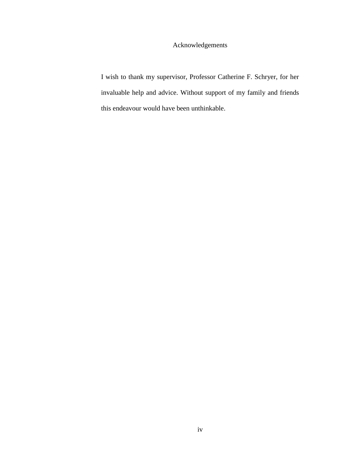# Acknowledgements

I wish to thank my supervisor, Professor Catherine F. Schryer, for her invaluable help and advice. Without support of my family and friends this endeavour would have been unthinkable.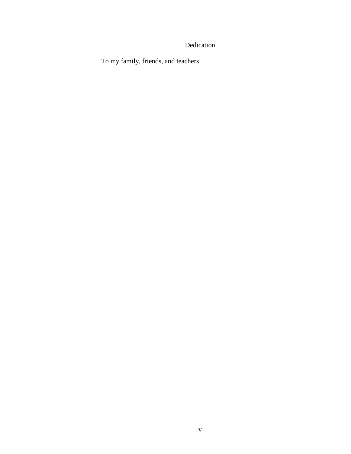# Dedication

To my family, friends, and teachers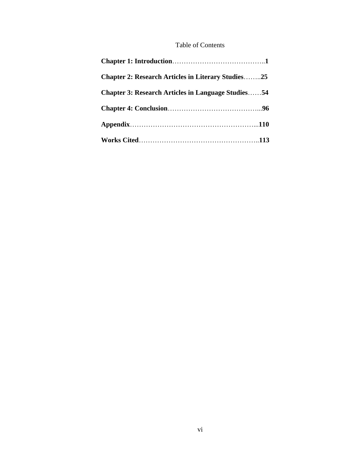## Table of Contents

| <b>Chapter 2: Research Articles in Literary Studies25</b> |  |
|-----------------------------------------------------------|--|
| <b>Chapter 3: Research Articles in Language Studies54</b> |  |
|                                                           |  |
|                                                           |  |
|                                                           |  |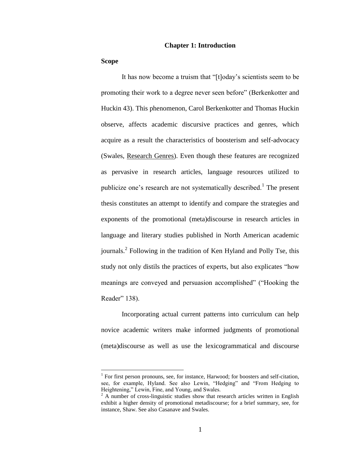#### **Chapter 1: Introduction**

#### **Scope**

 $\overline{a}$ 

It has now become a truism that "[t]oday"s scientists seem to be promoting their work to a degree never seen before" (Berkenkotter and Huckin 43). This phenomenon, Carol Berkenkotter and Thomas Huckin observe, affects academic discursive practices and genres, which acquire as a result the characteristics of boosterism and self-advocacy (Swales, Research Genres). Even though these features are recognized as pervasive in research articles, language resources utilized to publicize one's research are not systematically described.<sup>1</sup> The present thesis constitutes an attempt to identify and compare the strategies and exponents of the promotional (meta)discourse in research articles in language and literary studies published in North American academic journals.<sup>2</sup> Following in the tradition of Ken Hyland and Polly Tse, this study not only distils the practices of experts, but also explicates "how meanings are conveyed and persuasion accomplished" ("Hooking the Reader" 138).

Incorporating actual current patterns into curriculum can help novice academic writers make informed judgments of promotional (meta)discourse as well as use the lexicogrammatical and discourse

<sup>&</sup>lt;sup>1</sup> For first person pronouns, see, for instance, Harwood; for boosters and self-citation, see, for example, Hyland. See also Lewin, "Hedging" and "From Hedging to Heightening," Lewin, Fine, and Young, and Swales.

<sup>&</sup>lt;sup>2</sup> A number of cross-linguistic studies show that research articles written in English exhibit a higher density of promotional metadiscourse; for a brief summary, see, for instance, Shaw. See also Casanave and Swales.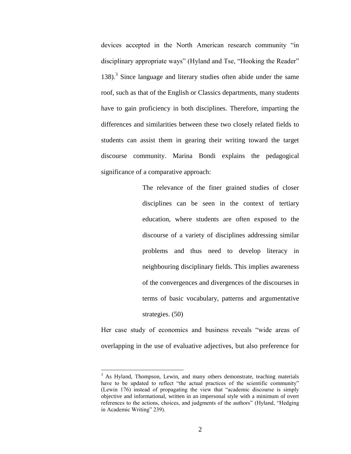devices accepted in the North American research community "in disciplinary appropriate ways" (Hyland and Tse, "Hooking the Reader" 138).<sup>3</sup> Since language and literary studies often abide under the same roof, such as that of the English or Classics departments, many students have to gain proficiency in both disciplines. Therefore, imparting the differences and similarities between these two closely related fields to students can assist them in gearing their writing toward the target discourse community. Marina Bondi explains the pedagogical significance of a comparative approach:

> The relevance of the finer grained studies of closer disciplines can be seen in the context of tertiary education, where students are often exposed to the discourse of a variety of disciplines addressing similar problems and thus need to develop literacy in neighbouring disciplinary fields. This implies awareness of the convergences and divergences of the discourses in terms of basic vocabulary, patterns and argumentative strategies. (50)

Her case study of economics and business reveals "wide areas of overlapping in the use of evaluative adjectives, but also preference for

 $3$  As Hyland, Thompson, Lewin, and many others demonstrate, teaching materials have to be updated to reflect "the actual practices of the scientific community" (Lewin 176) instead of propagating the view that "academic discourse is simply objective and informational, written in an impersonal style with a minimum of overt references to the actions, choices, and judgments of the authors" (Hyland, "Hedging in Academic Writing" 239).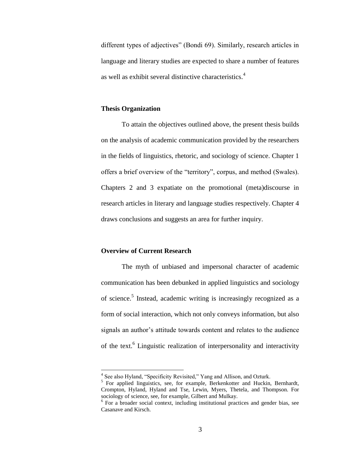different types of adjectives" (Bondi 69). Similarly, research articles in language and literary studies are expected to share a number of features as well as exhibit several distinctive characteristics.<sup>4</sup>

### **Thesis Organization**

To attain the objectives outlined above, the present thesis builds on the analysis of academic communication provided by the researchers in the fields of linguistics, rhetoric, and sociology of science. Chapter 1 offers a brief overview of the "territory", corpus, and method (Swales). Chapters 2 and 3 expatiate on the promotional (meta)discourse in research articles in literary and language studies respectively. Chapter 4 draws conclusions and suggests an area for further inquiry.

## **Overview of Current Research**

The myth of unbiased and impersonal character of academic communication has been debunked in applied linguistics and sociology of science.<sup>5</sup> Instead, academic writing is increasingly recognized as a form of social interaction, which not only conveys information, but also signals an author's attitude towards content and relates to the audience of the text.<sup>6</sup> Linguistic realization of interpersonality and interactivity

 4 See also Hyland, "Specificity Revisited," Yang and Allison, and Ozturk.

<sup>&</sup>lt;sup>5</sup> For applied linguistics, see, for example, Berkenkotter and Huckin, Bernhardt, Crompton, Hyland, Hyland and Tse, Lewin, Myers, Thetela, and Thompson. For sociology of science, see, for example, Gilbert and Mulkay.

<sup>&</sup>lt;sup>6</sup> For a broader social context, including institutional practices and gender bias, see Casanave and Kirsch.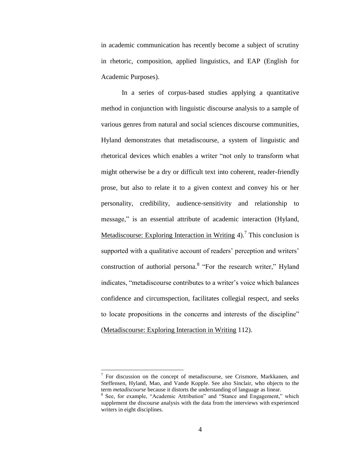in academic communication has recently become a subject of scrutiny in rhetoric, composition, applied linguistics, and EAP (English for Academic Purposes).

In a series of corpus-based studies applying a quantitative method in conjunction with linguistic discourse analysis to a sample of various genres from natural and social sciences discourse communities, Hyland demonstrates that metadiscourse, a system of linguistic and rhetorical devices which enables a writer "not only to transform what might otherwise be a dry or difficult text into coherent, reader-friendly prose, but also to relate it to a given context and convey his or her personality, credibility, audience-sensitivity and relationship to message," is an essential attribute of academic interaction (Hyland, Metadiscourse: Exploring Interaction in Writing 4).<sup>7</sup> This conclusion is supported with a qualitative account of readers' perception and writers' construction of authorial persona.<sup>8</sup> "For the research writer," Hyland indicates, "metadiscourse contributes to a writer"s voice which balances confidence and circumspection, facilitates collegial respect, and seeks to locate propositions in the concerns and interests of the discipline" (Metadiscourse: Exploring Interaction in Writing 112).

 $7$  For discussion on the concept of metadiscourse, see Crismore, Markkanen, and Steffensen, Hyland, Mao, and Vande Kopple. See also Sinclair, who objects to the term *metadiscourse* because it distorts the understanding of language as linear.

<sup>&</sup>lt;sup>8</sup> See, for example, "Academic Attribution" and "Stance and Engagement," which supplement the discourse analysis with the data from the interviews with experienced writers in eight disciplines.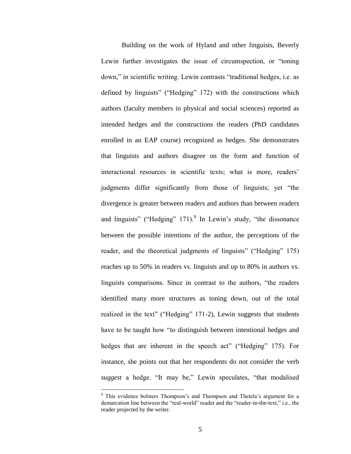Building on the work of Hyland and other linguists, Beverly Lewin further investigates the issue of circumspection, or "toning down," in scientific writing. Lewin contrasts "traditional hedges, i.e. as defined by linguists" ("Hedging" 172) with the constructions which authors (faculty members in physical and social sciences) reported as intended hedges and the constructions the readers (PhD candidates enrolled in an EAP course) recognized as hedges. She demonstrates that linguists and authors disagree on the form and function of interactional resources in scientific texts; what is more, readers' judgments differ significantly from those of linguists; yet "the divergence is greater between readers and authors than between readers and linguists" ("Hedging"  $171$ ). In Lewin's study, "the dissonance between the possible intentions of the author, the perceptions of the reader, and the theoretical judgments of linguists" ("Hedging" 175) reaches up to 50% in readers vs. linguists and up to 80% in authors vs. linguists comparisons. Since in contrast to the authors, "the readers identified many more structures as toning down, out of the total realized in the text" ("Hedging" 171-2), Lewin suggests that students have to be taught how "to distinguish between intentional hedges and hedges that are inherent in the speech act" ("Hedging" 175). For instance, she points out that her respondents do not consider the verb *suggest* a hedge. "It may be," Lewin speculates, "that modalised

<sup>&</sup>lt;sup>9</sup> This evidence bolsters Thompson's and Thompson and Thetela's argument for a demarcation line between the "real-world" reader and the "reader-in-the-text," i.e., the reader projected by the writer.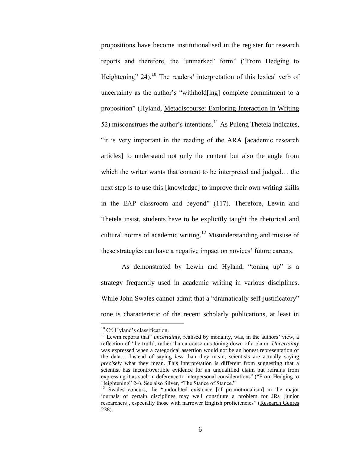propositions have become institutionalised in the register for research reports and therefore, the 'unmarked' form" ("From Hedging to Heightening"  $24$ ).<sup>10</sup> The readers' interpretation of this lexical verb of uncertainty as the author"s "withhold[ing] complete commitment to a proposition" (Hyland, Metadiscourse: Exploring Interaction in Writing 52) misconstrues the author's intentions.<sup>11</sup> As Puleng Thetela indicates, "it is very important in the reading of the ARA [academic research articles] to understand not only the content but also the angle from which the writer wants that content to be interpreted and judged… the next step is to use this [knowledge] to improve their own writing skills in the EAP classroom and beyond" (117). Therefore, Lewin and Thetela insist, students have to be explicitly taught the rhetorical and cultural norms of academic writing.<sup>12</sup> Misunderstanding and misuse of these strategies can have a negative impact on novices' future careers.

As demonstrated by Lewin and Hyland, "toning up" is a strategy frequently used in academic writing in various disciplines. While John Swales cannot admit that a "dramatically self-justificatory" tone is characteristic of the recent scholarly publications, at least in

<sup>&</sup>lt;sup>10</sup> Cf. Hyland's classification.

<sup>&</sup>lt;sup>11</sup> Lewin reports that "*uncertainty*, realised by modality, was, in the authors' view, a reflection of "the truth", rather than a conscious toning down of a claim. *Uncertainty* was expressed when a categorical assertion would not be an honest representation of the data… Instead of saying *less* than they mean, scientists are actually saying *precisely* what they mean. This interpretation is different from suggesting that a scientist has incontrovertible evidence for an unqualified claim but refrains from expressing it as such in deference to interpersonal considerations" ("From Hedging to Heightening" 24). See also Silver, "The Stance of Stance."

<sup>&</sup>lt;sup>12</sup> Swales concurs, the "undoubted existence [of promotionalism] in the major journals of certain disciplines may well constitute a problem for JRs [junior researchers], especially those with narrower English proficiencies" (Research Genres 238).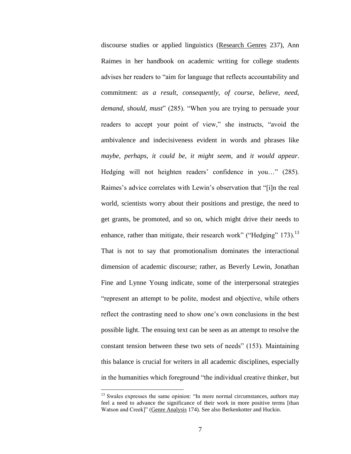discourse studies or applied linguistics (Research Genres 237), Ann Raimes in her handbook on academic writing for college students advises her readers to "aim for language that reflects accountability and commitment: *as a result*, *consequently*, *of course*, *believe*, *need*, *demand*, *should*, *must*" (285). "When you are trying to persuade your readers to accept your point of view," she instructs, "avoid the ambivalence and indecisiveness evident in words and phrases like *maybe*, *perhaps*, *it could be*, *it might seem*, and *it would appear*. Hedging will not heighten readers' confidence in you..." (285). Raimes's advice correlates with Lewin's observation that "[i]n the real world, scientists worry about their positions and prestige, the need to get grants, be promoted, and so on, which might drive their needs to enhance, rather than mitigate, their research work" ("Hedging"  $173$ ).<sup>13</sup> That is not to say that promotionalism dominates the interactional dimension of academic discourse; rather, as Beverly Lewin, Jonathan Fine and Lynne Young indicate, some of the interpersonal strategies "represent an attempt to be polite, modest and objective, while others reflect the contrasting need to show one"s own conclusions in the best possible light. The ensuing text can be seen as an attempt to resolve the constant tension between these two sets of needs" (153). Maintaining this balance is crucial for writers in all academic disciplines, especially in the humanities which foreground "the individual creative thinker, but

<sup>&</sup>lt;sup>13</sup> Swales expresses the same opinion: "In more normal circumstances, authors may feel a need to advance the significance of their work in more positive terms [than Watson and Creek]" (Genre Analysis 174). See also Berkenkotter and Huckin.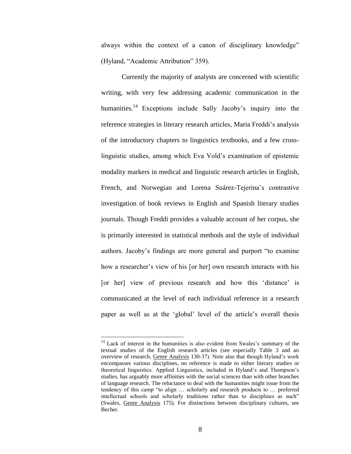always within the context of a canon of disciplinary knowledge" (Hyland, "Academic Attribution" 359).

Currently the majority of analysts are concerned with scientific writing, with very few addressing academic communication in the humanities.<sup>14</sup> Exceptions include Sally Jacoby's inquiry into the reference strategies in literary research articles, Maria Freddi"s analysis of the introductory chapters to linguistics textbooks, and a few crosslinguistic studies, among which Eva Vold"s examination of epistemic modality markers in medical and linguistic research articles in English, French, and Norwegian and Lorena Suárez-Tejerina's contrastive investigation of book reviews in English and Spanish literary studies journals. Though Freddi provides a valuable account of her corpus, she is primarily interested in statistical methods and the style of individual authors. Jacoby"s findings are more general and purport "to examine how a researcher's view of his [or her] own research interacts with his [or her] view of previous research and how this 'distance' is communicated at the level of each individual reference in a research paper as well as at the "global" level of the article"s overall thesis

 $14$  Lack of interest in the humanities is also evident from Swales's summary of the textual studies of the English research articles (see especially Table 3 and an overview of research, Genre Analysis 130-37). Note also that though Hyland"s work encompasses various disciplines, no reference is made to either literary studies or theoretical linguistics. Applied Linguistics, included in Hyland"s and Thompson"s studies, has arguably more affinities with the social sciences than with other branches of language research. The reluctance to deal with the humanities might issue from the tendency of this camp "to align … scholarly and research products to … preferred intellectual schools and scholarly traditions rather than to disciplines as such" (Swales, Genre Analysis 175). For distinctions between disciplinary cultures, see Becher.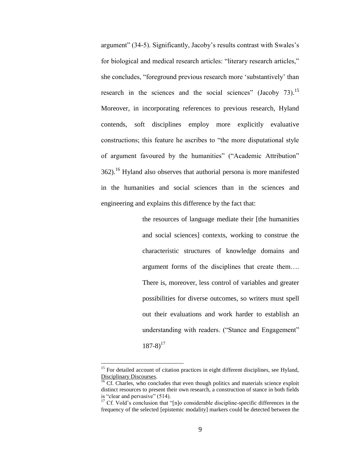argument" (34-5). Significantly, Jacoby"s results contrast with Swales"s for biological and medical research articles: "literary research articles," she concludes, "foreground previous research more "substantively" than research in the sciences and the social sciences" (Jacoby 73).<sup>15</sup> Moreover, in incorporating references to previous research, Hyland contends, soft disciplines employ more explicitly evaluative constructions; this feature he ascribes to "the more disputational style of argument favoured by the humanities" ("Academic Attribution"  $362$ ).<sup>16</sup> Hyland also observes that authorial persona is more manifested in the humanities and social sciences than in the sciences and engineering and explains this difference by the fact that:

> the resources of language mediate their [the humanities and social sciences] contexts, working to construe the characteristic structures of knowledge domains and argument forms of the disciplines that create them…. There is, moreover, less control of variables and greater possibilities for diverse outcomes, so writers must spell out their evaluations and work harder to establish an understanding with readers. ("Stance and Engagement"  $187-8$ <sup>17</sup>

<sup>&</sup>lt;sup>15</sup> For detailed account of citation practices in eight different disciplines, see Hyland, Disciplinary Discourses.

 $\frac{16}{16}$  Cf. Charles, who concludes that even though politics and materials science exploit distinct resources to present their own research, a construction of stance in both fields is "clear and pervasive" (514).

 $17$  Cf. Vold's conclusion that "[n]o considerable discipline-specific differences in the frequency of the selected [epistemic modality] markers could be detected between the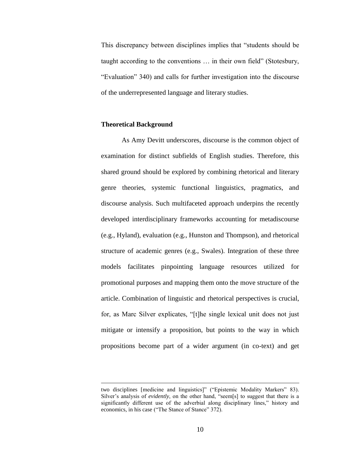This discrepancy between disciplines implies that "students should be taught according to the conventions … in their own field" (Stotesbury, "Evaluation" 340) and calls for further investigation into the discourse of the underrepresented language and literary studies.

### **Theoretical Background**

 $\overline{a}$ 

As Amy Devitt underscores, discourse is the common object of examination for distinct subfields of English studies. Therefore, this shared ground should be explored by combining rhetorical and literary genre theories, systemic functional linguistics, pragmatics, and discourse analysis. Such multifaceted approach underpins the recently developed interdisciplinary frameworks accounting for metadiscourse (e.g., Hyland), evaluation (e.g., Hunston and Thompson), and rhetorical structure of academic genres (e.g., Swales). Integration of these three models facilitates pinpointing language resources utilized for promotional purposes and mapping them onto the move structure of the article. Combination of linguistic and rhetorical perspectives is crucial, for, as Marc Silver explicates, "[t]he single lexical unit does not just mitigate or intensify a proposition, but points to the way in which propositions become part of a wider argument (in co-text) and get

two disciplines [medicine and linguistics]" ("Epistemic Modality Markers" 83). Silver's analysis of *evidently*, on the other hand, "seem[s] to suggest that there is a significantly different use of the adverbial along disciplinary lines," history and economics, in his case ("The Stance of Stance" 372).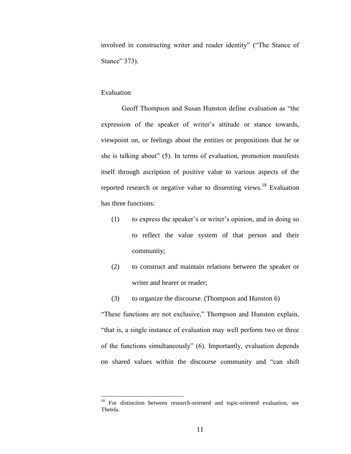involved in constructing writer and reader identity" ("The Stance of Stance" 373).

#### Evaluation

 $\overline{a}$ 

Geoff Thompson and Susan Hunston define evaluation as "the expression of the speaker of writer's attitude or stance towards, viewpoint on, or feelings about the entities or propositions that he or she is talking about" (5). In terms of evaluation, promotion manifests itself through ascription of positive value to various aspects of the reported research or negative value to dissenting views.<sup>18</sup> Evaluation has three functions:

- (1) to express the speaker"s or writer"s opinion, and in doing so to reflect the value system of that person and their community;
- (2) to construct and maintain relations between the speaker or writer and hearer or reader;
- (3) to organize the discourse. (Thompson and Hunston 6)

"These functions are not exclusive," Thompson and Hunston explain, "that is, a single instance of evaluation may well perform two or three of the functions simultaneously" (6). Importantly, evaluation depends on shared values within the discourse community and "can shift

 $18$  For distinction between research-oriented and topic-oriented evaluation, see Thetela.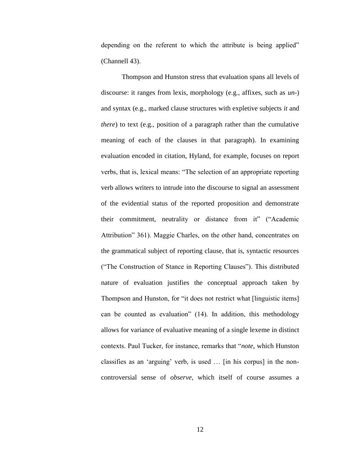depending on the referent to which the attribute is being applied" (Channell 43).

Thompson and Hunston stress that evaluation spans all levels of discourse: it ranges from lexis, morphology (e.g., affixes, such as *un*-) and syntax (e.g., marked clause structures with expletive subjects *it* and *there*) to text (e.g., position of a paragraph rather than the cumulative meaning of each of the clauses in that paragraph). In examining evaluation encoded in citation, Hyland, for example, focuses on report verbs, that is, lexical means: "The selection of an appropriate reporting verb allows writers to intrude into the discourse to signal an assessment of the evidential status of the reported proposition and demonstrate their commitment, neutrality or distance from it" ("Academic Attribution" 361). Maggie Charles, on the other hand, concentrates on the grammatical subject of reporting clause, that is, syntactic resources ("The Construction of Stance in Reporting Clauses"). This distributed nature of evaluation justifies the conceptual approach taken by Thompson and Hunston, for "it does not restrict what [linguistic items] can be counted as evaluation" (14). In addition, this methodology allows for variance of evaluative meaning of a single lexeme in distinct contexts. Paul Tucker, for instance, remarks that "*note*, which Hunston classifies as an "arguing" verb, is used … [in his corpus] in the noncontroversial sense of *observe*, which itself of course assumes a

12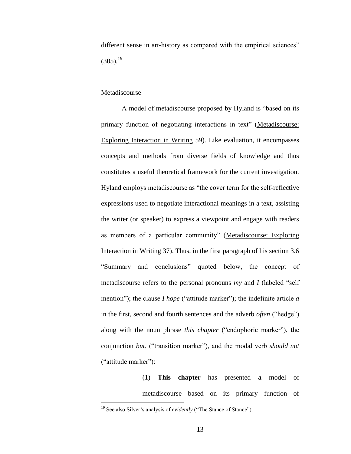different sense in art-history as compared with the empirical sciences"  $(305)^{19}$ 

### Metadiscourse

A model of metadiscourse proposed by Hyland is "based on its primary function of negotiating interactions in text" (Metadiscourse: Exploring Interaction in Writing 59). Like evaluation, it encompasses concepts and methods from diverse fields of knowledge and thus constitutes a useful theoretical framework for the current investigation. Hyland employs metadiscourse as "the cover term for the self-reflective expressions used to negotiate interactional meanings in a text, assisting the writer (or speaker) to express a viewpoint and engage with readers as members of a particular community" (Metadiscourse: Exploring Interaction in Writing 37). Thus, in the first paragraph of his section 3.6 "Summary and conclusions" quoted below, the concept of metadiscourse refers to the personal pronouns *my* and *I* (labeled "self mention"); the clause *I hope* ("attitude marker"); the indefinite article *a* in the first, second and fourth sentences and the adverb *often* ("hedge") along with the noun phrase *this chapter* ("endophoric marker"), the conjunction *but*, ("transition marker"), and the modal verb *should not* ("attitude marker"):

> (1) **This chapter** has presented **a** model of metadiscourse based on its primary function of

<sup>&</sup>lt;sup>19</sup> See also Silver's analysis of *evidently* ("The Stance of Stance").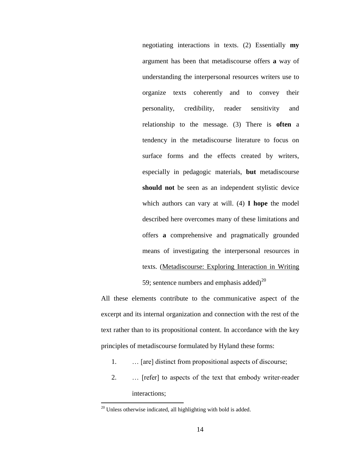negotiating interactions in texts. (2) Essentially **my** argument has been that metadiscourse offers **a** way of understanding the interpersonal resources writers use to organize texts coherently and to convey their personality, credibility, reader sensitivity and relationship to the message. (3) There is **often** a tendency in the metadiscourse literature to focus on surface forms and the effects created by writers, especially in pedagogic materials, **but** metadiscourse **should not** be seen as an independent stylistic device which authors can vary at will. (4) **I hope** the model described here overcomes many of these limitations and offers **a** comprehensive and pragmatically grounded means of investigating the interpersonal resources in texts. (Metadiscourse: Exploring Interaction in Writing 59; sentence numbers and emphasis added)<sup>20</sup>

All these elements contribute to the communicative aspect of the excerpt and its internal organization and connection with the rest of the text rather than to its propositional content. In accordance with the key principles of metadiscourse formulated by Hyland these forms:

- 1. … [are] distinct from propositional aspects of discourse;
- 2. … [refer] to aspects of the text that embody writer-reader interactions;

<sup>&</sup>lt;sup>20</sup> Unless otherwise indicated, all highlighting with bold is added.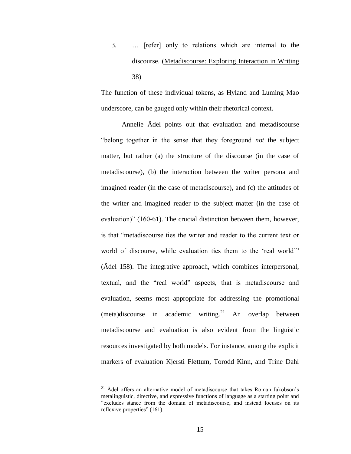3. … [refer] only to relations which are internal to the discourse. (Metadiscourse: Exploring Interaction in Writing 38)

The function of these individual tokens, as Hyland and Luming Mao underscore, can be gauged only within their rhetorical context.

Annelie Ädel points out that evaluation and metadiscourse "belong together in the sense that they foreground *not* the subject matter, but rather (a) the structure of the discourse (in the case of metadiscourse), (b) the interaction between the writer persona and imagined reader (in the case of metadiscourse), and (c) the attitudes of the writer and imagined reader to the subject matter (in the case of evaluation)" (160-61). The crucial distinction between them, however, is that "metadiscourse ties the writer and reader to the current text or world of discourse, while evaluation ties them to the "real world"" (Ädel 158). The integrative approach, which combines interpersonal, textual, and the "real world" aspects, that is metadiscourse and evaluation, seems most appropriate for addressing the promotional (meta)discourse in academic writing.<sup>21</sup> An overlap between metadiscourse and evaluation is also evident from the linguistic resources investigated by both models. For instance, among the explicit markers of evaluation Kjersti Fløttum, Torodd Kinn, and Trine Dahl

 $21$  Adel offers an alternative model of metadiscourse that takes Roman Jakobson's metalinguistic, directive, and expressive functions of language as a starting point and "excludes stance from the domain of metadiscourse, and instead focuses on its reflexive properties" (161).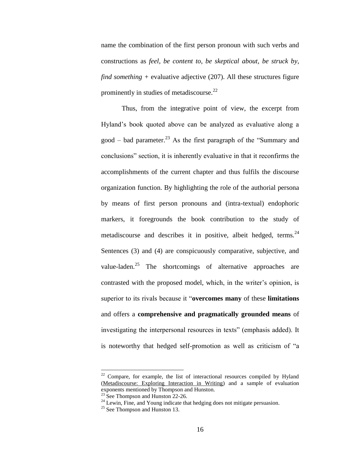name the combination of the first person pronoun with such verbs and constructions as *feel*, *be content to*, *be skeptical about*, *be struck by*, *find something +* evaluative adjective (207). All these structures figure prominently in studies of metadiscourse.<sup>22</sup>

Thus, from the integrative point of view, the excerpt from Hyland"s book quoted above can be analyzed as evaluative along a good – bad parameter.<sup>23</sup> As the first paragraph of the "Summary and conclusions" section, it is inherently evaluative in that it reconfirms the accomplishments of the current chapter and thus fulfils the discourse organization function. By highlighting the role of the authorial persona by means of first person pronouns and (intra-textual) endophoric markers, it foregrounds the book contribution to the study of metadiscourse and describes it in positive, albeit hedged, terms.  $24$ Sentences (3) and (4) are conspicuously comparative, subjective, and value-laden.<sup>25</sup> The shortcomings of alternative approaches are contrasted with the proposed model, which, in the writer"s opinion, is superior to its rivals because it "**overcomes many** of these **limitations** and offers a **comprehensive and pragmatically grounded means** of investigating the interpersonal resources in texts" (emphasis added). It is noteworthy that hedged self-promotion as well as criticism of "a

 $22$  Compare, for example, the list of interactional resources compiled by Hyland (Metadiscourse: Exploring Interaction in Writing) and a sample of evaluation exponents mentioned by Thompson and Hunston.

 $23$  See Thompson and Hunston 22-26.

 $24$  Lewin, Fine, and Young indicate that hedging does not mitigate persuasion.

 $25$  See Thompson and Hunston 13.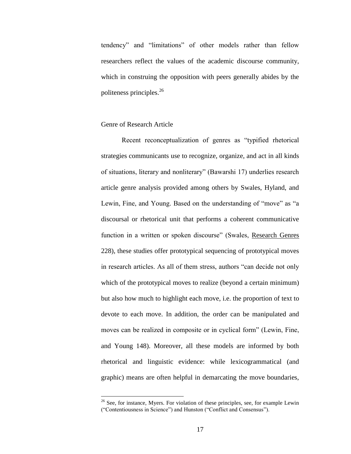tendency" and "limitations" of other models rather than fellow researchers reflect the values of the academic discourse community, which in construing the opposition with peers generally abides by the politeness principles.<sup>26</sup>

### Genre of Research Article

 $\overline{a}$ 

Recent reconceptualization of genres as "typified rhetorical strategies communicants use to recognize, organize, and act in all kinds of situations, literary and nonliterary" (Bawarshi 17) underlies research article genre analysis provided among others by Swales, Hyland, and Lewin, Fine, and Young. Based on the understanding of "move" as "a discoursal or rhetorical unit that performs a coherent communicative function in a written or spoken discourse" (Swales, Research Genres 228), these studies offer prototypical sequencing of prototypical moves in research articles. As all of them stress, authors "can decide not only which of the prototypical moves to realize (beyond a certain minimum) but also how much to highlight each move, i.e. the proportion of text to devote to each move. In addition, the order can be manipulated and moves can be realized in composite or in cyclical form" (Lewin, Fine, and Young 148). Moreover, all these models are informed by both rhetorical and linguistic evidence: while lexicogrammatical (and graphic) means are often helpful in demarcating the move boundaries,

 $26$  See, for instance, Myers. For violation of these principles, see, for example Lewin ("Contentiousness in Science") and Hunston ("Conflict and Consensus").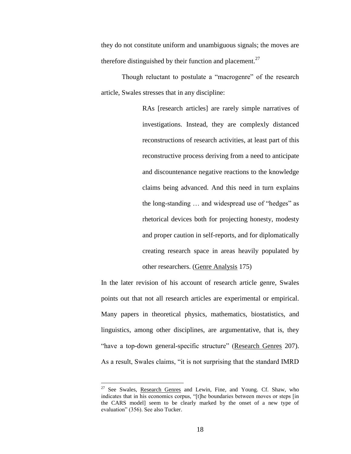they do not constitute uniform and unambiguous signals; the moves are therefore distinguished by their function and placement.<sup>27</sup>

Though reluctant to postulate a "macrogenre" of the research article, Swales stresses that in any discipline:

> RAs [research articles] are rarely simple narratives of investigations. Instead, they are complexly distanced reconstructions of research activities, at least part of this reconstructive process deriving from a need to anticipate and discountenance negative reactions to the knowledge claims being advanced. And this need in turn explains the long-standing … and widespread use of "hedges" as rhetorical devices both for projecting honesty, modesty and proper caution in self-reports, and for diplomatically creating research space in areas heavily populated by other researchers. (Genre Analysis 175)

In the later revision of his account of research article genre, Swales points out that not all research articles are experimental or empirical. Many papers in theoretical physics, mathematics, biostatistics, and linguistics, among other disciplines, are argumentative, that is, they "have a top-down general-specific structure" (Research Genres 207). As a result, Swales claims, "it is not surprising that the standard IMRD

<sup>&</sup>lt;sup>27</sup> See Swales, Research Genres and Lewin, Fine, and Young. Cf. Shaw, who indicates that in his economics corpus, "[t]he boundaries between moves or steps [in the CARS model] seem to be clearly marked by the onset of a new type of evaluation" (356). See also Tucker.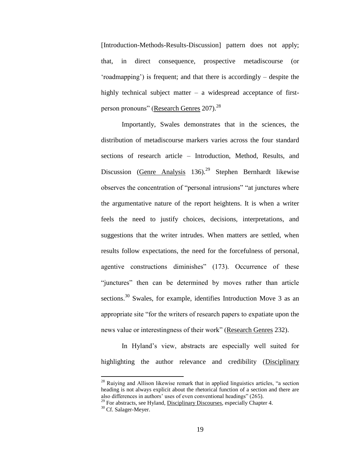[Introduction-Methods-Results-Discussion] pattern does not apply; that, in direct consequence, prospective metadiscourse (or "roadmapping") is frequent; and that there is accordingly – despite the highly technical subject matter – a widespread acceptance of firstperson pronouns" (Research Genres 207).<sup>28</sup>

Importantly, Swales demonstrates that in the sciences, the distribution of metadiscourse markers varies across the four standard sections of research article – Introduction, Method, Results, and Discussion (Genre Analysis  $136$ ).<sup>29</sup> Stephen Bernhardt likewise observes the concentration of "personal intrusions" "at junctures where the argumentative nature of the report heightens. It is when a writer feels the need to justify choices, decisions, interpretations, and suggestions that the writer intrudes. When matters are settled, when results follow expectations, the need for the forcefulness of personal, agentive constructions diminishes" (173). Occurrence of these "junctures" then can be determined by moves rather than article sections.<sup>30</sup> Swales, for example, identifies Introduction Move 3 as an appropriate site "for the writers of research papers to expatiate upon the news value or interestingness of their work" (Research Genres 232).

In Hyland"s view, abstracts are especially well suited for highlighting the author relevance and credibility (Disciplinary

 $2<sup>28</sup>$  Ruiying and Allison likewise remark that in applied linguistics articles, "a section heading is not always explicit about the rhetorical function of a section and there are also differences in authors" uses of even conventional headings" (265).

 $29$  For abstracts, see Hyland, Disciplinary Discourses, especially Chapter 4.

<sup>&</sup>lt;sup>30</sup> Cf. Salager-Meyer.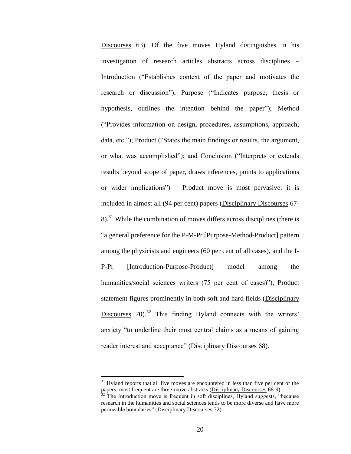Discourses 63). Of the five moves Hyland distinguishes in his investigation of research articles abstracts across disciplines – Introduction ("Establishes context of the paper and motivates the research or discussion"); Purpose ("Indicates purpose, thesis or hypothesis, outlines the intention behind the paper"); Method ("Provides information on design, procedures, assumptions, approach, data, etc."); Product ("States the main findings or results, the argument, or what was accomplished"); and Conclusion ("Interprets or extends results beyond scope of paper, draws inferences, points to applications or wider implications") – Product move is most pervasive: it is included in almost all (94 per cent) papers (Disciplinary Discourses 67-  $8$ ).<sup>31</sup> While the combination of moves differs across disciplines (there is "a general preference for the P-M-Pr [Purpose-Method-Product] pattern among the physicists and engineers (60 per cent of all cases), and the I-P-Pr [Introduction-Purpose-Product] model among the humanities/social sciences writers (75 per cent of cases)"), Product statement figures prominently in both soft and hard fields (Disciplinary Discourses  $70$ <sup>32</sup> This finding Hyland connects with the writers' anxiety "to underline their most central claims as a means of gaining reader interest and acceptance" (Disciplinary Discourses 68).

<sup>&</sup>lt;sup>31</sup> Hyland reports that all five moves are encountered in less than five per cent of the papers; most frequent are three-move abstracts (Disciplinary Discourses 68-9).

 $32$  The Introduction move is frequent in soft disciplines, Hyland suggests, "because research in the humanities and social sciences tends to be more diverse and have more permeable boundaries" (Disciplinary Discourses 72).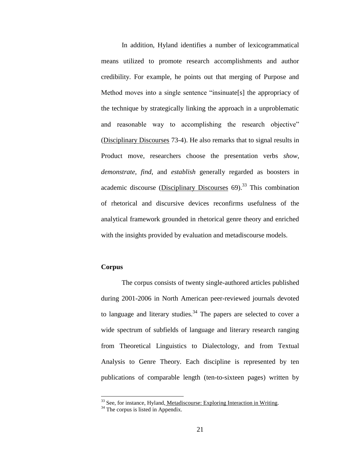In addition, Hyland identifies a number of lexicogrammatical means utilized to promote research accomplishments and author credibility. For example, he points out that merging of Purpose and Method moves into a single sentence "insinuate[s] the appropriacy of the technique by strategically linking the approach in a unproblematic and reasonable way to accomplishing the research objective" (Disciplinary Discourses 73-4). He also remarks that to signal results in Product move, researchers choose the presentation verbs *show*, *demonstrate*, *find*, and *establish* generally regarded as boosters in academic discourse (Disciplinary Discourses  $69$ ).<sup>33</sup> This combination of rhetorical and discursive devices reconfirms usefulness of the analytical framework grounded in rhetorical genre theory and enriched with the insights provided by evaluation and metadiscourse models.

### **Corpus**

 $\overline{a}$ 

The corpus consists of twenty single-authored articles published during 2001-2006 in North American peer-reviewed journals devoted to language and literary studies.<sup>34</sup> The papers are selected to cover a wide spectrum of subfields of language and literary research ranging from Theoretical Linguistics to Dialectology, and from Textual Analysis to Genre Theory. Each discipline is represented by ten publications of comparable length (ten-to-sixteen pages) written by

<sup>&</sup>lt;sup>33</sup> See, for instance, Hyland, Metadiscourse: Exploring Interaction in Writing.

 $34$  The corpus is listed in Appendix.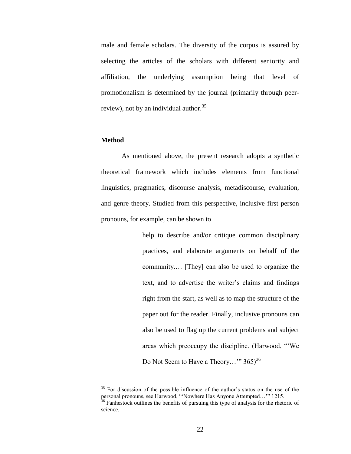male and female scholars. The diversity of the corpus is assured by selecting the articles of the scholars with different seniority and affiliation, the underlying assumption being that level of promotionalism is determined by the journal (primarily through peerreview), not by an individual author. $35$ 

#### **Method**

 $\overline{a}$ 

As mentioned above, the present research adopts a synthetic theoretical framework which includes elements from functional linguistics, pragmatics, discourse analysis, metadiscourse, evaluation, and genre theory. Studied from this perspective, inclusive first person pronouns, for example, can be shown to

> help to describe and/or critique common disciplinary practices, and elaborate arguments on behalf of the community.… [They] can also be used to organize the text, and to advertise the writer"s claims and findings right from the start, as well as to map the structure of the paper out for the reader. Finally, inclusive pronouns can also be used to flag up the current problems and subject areas which preoccupy the discipline. (Harwood, ""We Do Not Seem to Have a Theory..."  $365$ <sup>36</sup>

<sup>&</sup>lt;sup>35</sup> For discussion of the possible influence of the author's status on the use of the personal pronouns, see Harwood, ""Nowhere Has Anyone Attempted…"" 1215.

 $36$  Fanhestock outlines the benefits of pursuing this type of analysis for the rhetoric of science.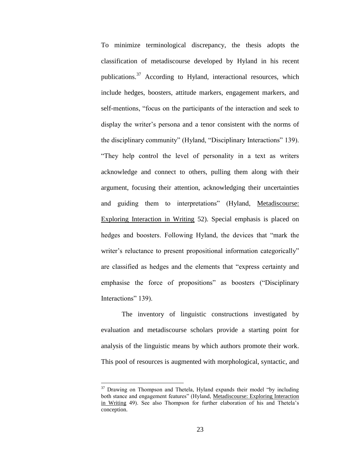To minimize terminological discrepancy, the thesis adopts the classification of metadiscourse developed by Hyland in his recent publications.<sup>37</sup> According to Hyland, interactional resources, which include hedges, boosters, attitude markers, engagement markers, and self-mentions, "focus on the participants of the interaction and seek to display the writer's persona and a tenor consistent with the norms of the disciplinary community" (Hyland, "Disciplinary Interactions" 139). "They help control the level of personality in a text as writers acknowledge and connect to others, pulling them along with their argument, focusing their attention, acknowledging their uncertainties and guiding them to interpretations" (Hyland, Metadiscourse: Exploring Interaction in Writing 52). Special emphasis is placed on hedges and boosters. Following Hyland, the devices that "mark the writer's reluctance to present propositional information categorically" are classified as hedges and the elements that "express certainty and emphasise the force of propositions" as boosters ("Disciplinary Interactions" 139).

The inventory of linguistic constructions investigated by evaluation and metadiscourse scholars provide a starting point for analysis of the linguistic means by which authors promote their work. This pool of resources is augmented with morphological, syntactic, and

 $37$  Drawing on Thompson and Thetela, Hyland expands their model "by including both stance and engagement features" (Hyland, Metadiscourse: Exploring Interaction in Writing 49). See also Thompson for further elaboration of his and Thetela"s conception.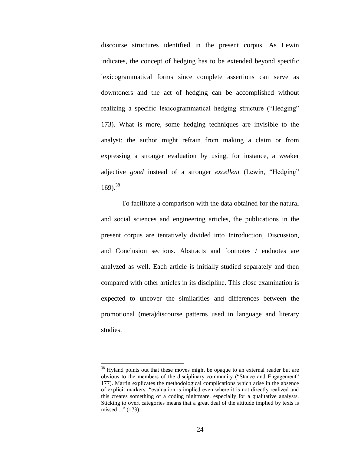discourse structures identified in the present corpus. As Lewin indicates, the concept of hedging has to be extended beyond specific lexicogrammatical forms since complete assertions can serve as downtoners and the act of hedging can be accomplished without realizing a specific lexicogrammatical hedging structure ("Hedging" 173). What is more, some hedging techniques are invisible to the analyst: the author might refrain from making a claim or from expressing a stronger evaluation by using, for instance, a weaker adjective *good* instead of a stronger *excellent* (Lewin, "Hedging"  $169$ .<sup>38</sup>

To facilitate a comparison with the data obtained for the natural and social sciences and engineering articles, the publications in the present corpus are tentatively divided into Introduction, Discussion, and Conclusion sections. Abstracts and footnotes / endnotes are analyzed as well. Each article is initially studied separately and then compared with other articles in its discipline. This close examination is expected to uncover the similarities and differences between the promotional (meta)discourse patterns used in language and literary studies.

<sup>&</sup>lt;sup>38</sup> Hyland points out that these moves might be opaque to an external reader but are obvious to the members of the disciplinary community ("Stance and Engagement" 177). Martin explicates the methodological complications which arise in the absence of explicit markers: "evaluation is implied even where it is not directly realized and this creates something of a coding nightmare, especially for a qualitative analysts. Sticking to overt categories means that a great deal of the attitude implied by texts is missed…" (173).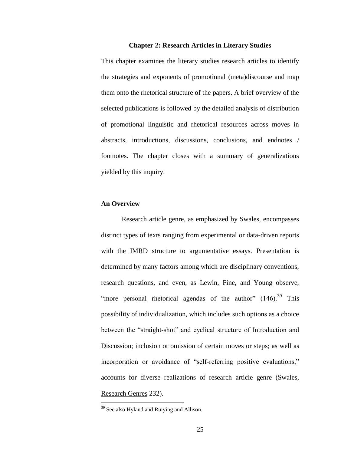#### **Chapter 2: Research Articles in Literary Studies**

This chapter examines the literary studies research articles to identify the strategies and exponents of promotional (meta)discourse and map them onto the rhetorical structure of the papers. A brief overview of the selected publications is followed by the detailed analysis of distribution of promotional linguistic and rhetorical resources across moves in abstracts, introductions, discussions, conclusions, and endnotes / footnotes. The chapter closes with a summary of generalizations yielded by this inquiry.

#### **An Overview**

Research article genre, as emphasized by Swales, encompasses distinct types of texts ranging from experimental or data-driven reports with the IMRD structure to argumentative essays. Presentation is determined by many factors among which are disciplinary conventions, research questions, and even, as Lewin, Fine, and Young observe, "more personal rhetorical agendas of the author"  $(146)$ .<sup>39</sup> This possibility of individualization, which includes such options as a choice between the "straight-shot" and cyclical structure of Introduction and Discussion; inclusion or omission of certain moves or steps; as well as incorporation or avoidance of "self-referring positive evaluations," accounts for diverse realizations of research article genre (Swales, Research Genres 232).

<sup>&</sup>lt;sup>39</sup> See also Hyland and Ruiying and Allison.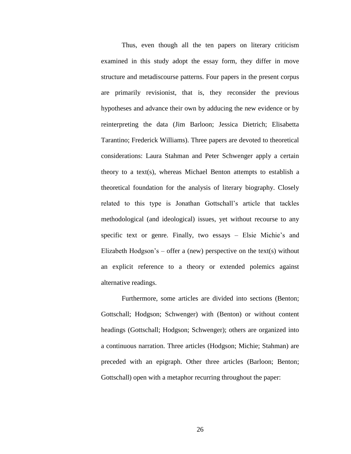Thus, even though all the ten papers on literary criticism examined in this study adopt the essay form, they differ in move structure and metadiscourse patterns. Four papers in the present corpus are primarily revisionist, that is, they reconsider the previous hypotheses and advance their own by adducing the new evidence or by reinterpreting the data (Jim Barloon; Jessica Dietrich; Elisabetta Tarantino; Frederick Williams). Three papers are devoted to theoretical considerations: Laura Stahman and Peter Schwenger apply a certain theory to a text(s), whereas Michael Benton attempts to establish a theoretical foundation for the analysis of literary biography. Closely related to this type is Jonathan Gottschall"s article that tackles methodological (and ideological) issues, yet without recourse to any specific text or genre. Finally, two essays – Elsie Michie's and Elizabeth Hodgson's – offer a (new) perspective on the text(s) without an explicit reference to a theory or extended polemics against alternative readings.

Furthermore, some articles are divided into sections (Benton; Gottschall; Hodgson; Schwenger) with (Benton) or without content headings (Gottschall; Hodgson; Schwenger); others are organized into a continuous narration. Three articles (Hodgson; Michie; Stahman) are preceded with an epigraph. Other three articles (Barloon; Benton; Gottschall) open with a metaphor recurring throughout the paper: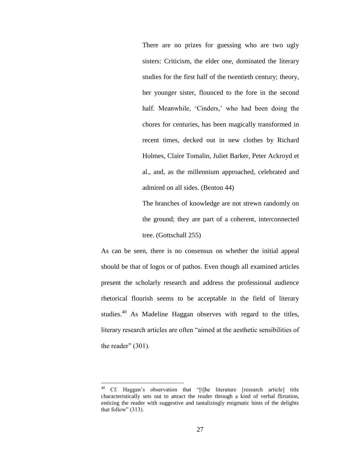There are no prizes for guessing who are two ugly sisters: Criticism, the elder one, dominated the literary studies for the first half of the twentieth century; theory, her younger sister, flounced to the fore in the second half. Meanwhile, 'Cinders,' who had been doing the chores for centuries, has been magically transformed in recent times, decked out in new clothes by Richard Holmes, Claire Tomalin, Juliet Barker, Peter Ackroyd et al., and, as the millennium approached, celebrated and admired on all sides. (Benton 44)

The branches of knowledge are not strewn randomly on the ground; they are part of a coherent, interconnected tree. (Gottschall 255)

As can be seen, there is no consensus on whether the initial appeal should be that of logos or of pathos. Even though all examined articles present the scholarly research and address the professional audience rhetorical flourish seems to be acceptable in the field of literary studies.<sup>40</sup> As Madeline Haggan observes with regard to the titles, literary research articles are often "aimed at the aesthetic sensibilities of the reader"  $(301)$ .

<sup>&</sup>lt;sup>40</sup> Cf. Haggan's observation that "[t]he literature [research article] title characteristically sets out to attract the reader through a kind of verbal flirtation, enticing the reader with suggestive and tantalizingly enigmatic hints of the delights that follow" (313).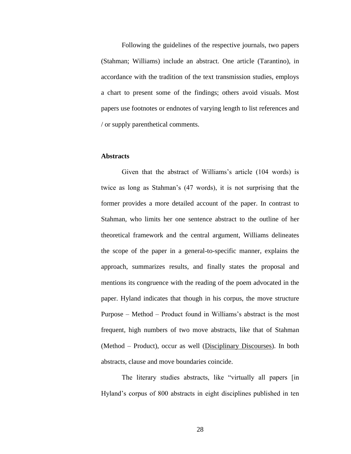Following the guidelines of the respective journals, two papers (Stahman; Williams) include an abstract. One article (Tarantino), in accordance with the tradition of the text transmission studies, employs a chart to present some of the findings; others avoid visuals. Most papers use footnotes or endnotes of varying length to list references and / or supply parenthetical comments.

### **Abstracts**

Given that the abstract of Williams"s article (104 words) is twice as long as Stahman"s (47 words), it is not surprising that the former provides a more detailed account of the paper. In contrast to Stahman, who limits her one sentence abstract to the outline of her theoretical framework and the central argument, Williams delineates the scope of the paper in a general-to-specific manner, explains the approach, summarizes results, and finally states the proposal and mentions its congruence with the reading of the poem advocated in the paper. Hyland indicates that though in his corpus, the move structure Purpose – Method – Product found in Williams's abstract is the most frequent, high numbers of two move abstracts, like that of Stahman (Method – Product), occur as well (Disciplinary Discourses). In both abstracts, clause and move boundaries coincide.

The literary studies abstracts, like "virtually all papers [in Hyland"s corpus of 800 abstracts in eight disciplines published in ten

28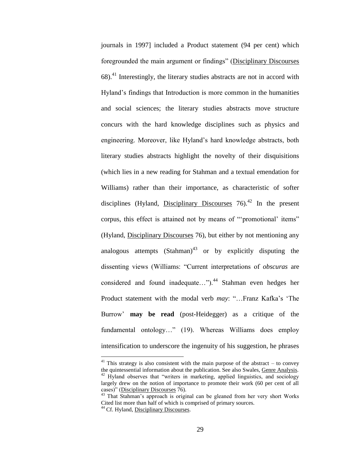journals in 1997] included a Product statement (94 per cent) which foregrounded the main argument or findings" (Disciplinary Discourses  $68$ ).<sup>41</sup> Interestingly, the literary studies abstracts are not in accord with Hyland"s findings that Introduction is more common in the humanities and social sciences; the literary studies abstracts move structure concurs with the hard knowledge disciplines such as physics and engineering. Moreover, like Hyland"s hard knowledge abstracts, both literary studies abstracts highlight the novelty of their disquisitions (which lies in a new reading for Stahman and a textual emendation for Williams) rather than their importance, as characteristic of softer disciplines (Hyland, Disciplinary Discourses  $76$ ).<sup>42</sup> In the present corpus, this effect is attained not by means of ""promotional' items" (Hyland, Disciplinary Discourses 76), but either by not mentioning any analogous attempts  $(Stahman)^{43}$  or by explicitly disputing the dissenting views (Williams: "Current interpretations of *obscuras* are considered and found inadequate...").<sup>44</sup> Stahman even hedges her Product statement with the modal verb *may*: "…Franz Kafka"s "The Burrow" **may be read** (post-Heidegger) as a critique of the fundamental ontology…" (19). Whereas Williams does employ intensification to underscore the ingenuity of his suggestion, he phrases

 $41$  This strategy is also consistent with the main purpose of the abstract – to convey the quintessential information about the publication. See also Swales, Genre Analysis.  $42$  Hyland observes that "writers in marketing, applied linguistics, and sociology largely drew on the notion of importance to promote their work (60 per cent of all cases)" (Disciplinary Discourses 76).

<sup>&</sup>lt;sup>43</sup> That Stahman's approach is original can be gleaned from her very short Works Cited list more than half of which is comprised of primary sources.

<sup>&</sup>lt;sup>44</sup> Cf. Hyland, Disciplinary Discourses.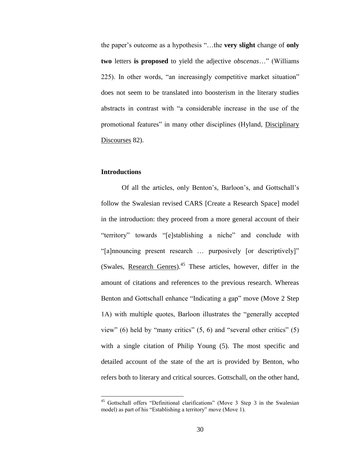the paper"s outcome as a hypothesis "…the **very slight** change of **only two** letters **is proposed** to yield the adjective *obscenas*…" (Williams 225). In other words, "an increasingly competitive market situation" does not seem to be translated into boosterism in the literary studies abstracts in contrast with "a considerable increase in the use of the promotional features" in many other disciplines (Hyland, Disciplinary Discourses 82).

## **Introductions**

 $\overline{a}$ 

Of all the articles, only Benton"s, Barloon"s, and Gottschall"s follow the Swalesian revised CARS [Create a Research Space] model in the introduction: they proceed from a more general account of their "territory" towards "[e]stablishing a niche" and conclude with "[a]nnouncing present research … purposively [or descriptively]" (Swales, Research Genres).<sup>45</sup> These articles, however, differ in the amount of citations and references to the previous research. Whereas Benton and Gottschall enhance "Indicating a gap" move (Move 2 Step 1A) with multiple quotes, Barloon illustrates the "generally accepted view" (6) held by "many critics" (5, 6) and "several other critics" (5) with a single citation of Philip Young (5). The most specific and detailed account of the state of the art is provided by Benton, who refers both to literary and critical sources. Gottschall, on the other hand,

<sup>45</sup> Gottschall offers "Definitional clarifications" (Move 3 Step 3 in the Swalesian model) as part of his "Establishing a territory" move (Move 1).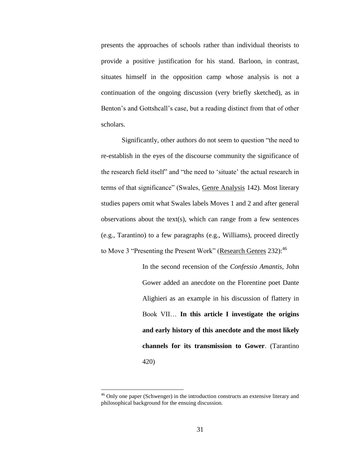presents the approaches of schools rather than individual theorists to provide a positive justification for his stand. Barloon, in contrast, situates himself in the opposition camp whose analysis is not a continuation of the ongoing discussion (very briefly sketched), as in Benton's and Gottshcall's case, but a reading distinct from that of other scholars.

Significantly, other authors do not seem to question "the need to re-establish in the eyes of the discourse community the significance of the research field itself" and "the need to "situate" the actual research in terms of that significance" (Swales, Genre Analysis 142). Most literary studies papers omit what Swales labels Moves 1 and 2 and after general observations about the text(s), which can range from a few sentences (e.g., Tarantino) to a few paragraphs (e.g., Williams), proceed directly to Move 3 "Presenting the Present Work" (Research Genres 232): <sup>46</sup>

> In the second recension of the *Confessio Amantis*, John Gower added an anecdote on the Florentine poet Dante Alighieri as an example in his discussion of flattery in Book VII… **In this article I investigate the origins and early history of this anecdote and the most likely channels for its transmission to Gower**. (Tarantino 420)

<sup>&</sup>lt;sup>46</sup> Only one paper (Schwenger) in the introduction constructs an extensive literary and philosophical background for the ensuing discussion.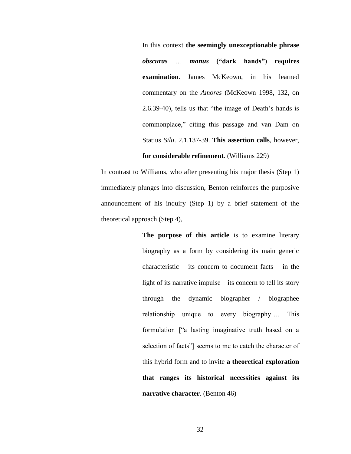In this context **the seemingly unexceptionable phrase**  *obscuras* … *manus* **("dark hands") requires examination**. James McKeown, in his learned commentary on the *Amores* (McKeown 1998, 132, on 2.6.39-40), tells us that "the image of Death"s hands is commonplace," citing this passage and van Dam on Statius *Silu*. 2.1.137-39. **This assertion calls**, however,

# **for considerable refinement**. (Williams 229)

In contrast to Williams, who after presenting his major thesis (Step 1) immediately plunges into discussion, Benton reinforces the purposive announcement of his inquiry (Step 1) by a brief statement of the theoretical approach (Step 4),

> **The purpose of this article** is to examine literary biography as a form by considering its main generic characteristic – its concern to document facts – in the light of its narrative impulse – its concern to tell its story through the dynamic biographer / biographee relationship unique to every biography…. This formulation ["a lasting imaginative truth based on a selection of facts"] seems to me to catch the character of this hybrid form and to invite **a theoretical exploration that ranges its historical necessities against its narrative character**. (Benton 46)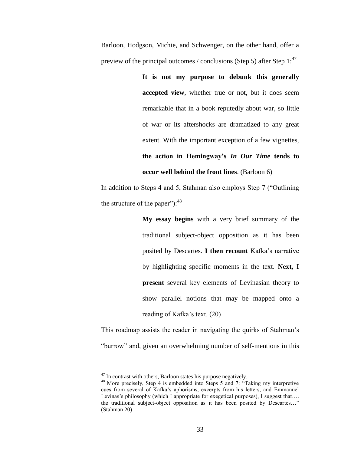Barloon, Hodgson, Michie, and Schwenger, on the other hand, offer a preview of the principal outcomes / conclusions (Step 5) after Step  $1:^{47}$ 

> **It is not my purpose to debunk this generally accepted view**, whether true or not, but it does seem remarkable that in a book reputedly about war, so little of war or its aftershocks are dramatized to any great extent. With the important exception of a few vignettes, **the action in Hemingway's** *In Our Time* **tends to occur well behind the front lines**. (Barloon 6)

In addition to Steps 4 and 5, Stahman also employs Step 7 ("Outlining the structure of the paper"):  $48$ 

> **My essay begins** with a very brief summary of the traditional subject-object opposition as it has been posited by Descartes. **I then recount** Kafka"s narrative by highlighting specific moments in the text. **Next, I present** several key elements of Levinasian theory to show parallel notions that may be mapped onto a reading of Kafka"s text. (20)

This roadmap assists the reader in navigating the quirks of Stahman"s "burrow" and, given an overwhelming number of self-mentions in this

 $47$  In contrast with others, Barloon states his purpose negatively.

<sup>48</sup> More precisely, Step 4 is embedded into Steps 5 and 7: "Taking my interpretive cues from several of Kafka"s aphorisms, excerpts from his letters, and Emmanuel Levinas's philosophy (which I appropriate for exegetical purposes), I suggest that.... the traditional subject-object opposition as it has been posited by Descartes…" (Stahman 20)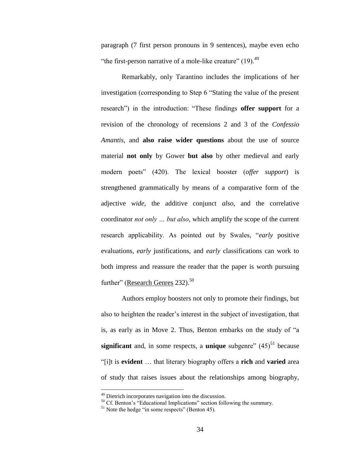paragraph (7 first person pronouns in 9 sentences), maybe even echo "the first-person narrative of a mole-like creature"  $(19)$ .<sup>49</sup>

Remarkably, only Tarantino includes the implications of her investigation (corresponding to Step 6 "Stating the value of the present research") in the introduction: "These findings **offer support** for a revision of the chronology of recensions 2 and 3 of the *Confessio Amantis*, and **also raise wider questions** about the use of source material **not only** by Gower **but also** by other medieval and early modern poets" (420). The lexical booster (*offer support*) is strengthened grammatically by means of a comparative form of the adjective *wide*, the additive conjunct *also*, and the correlative coordinator *not only … but also*, which amplify the scope of the current research applicability. As pointed out by Swales, "*early* positive evaluations, *early* justifications, and *early* classifications can work to both impress and reassure the reader that the paper is worth pursuing further" (Research Genres 232).<sup>50</sup>

Authors employ boosters not only to promote their findings, but also to heighten the reader"s interest in the subject of investigation, that is, as early as in Move 2. Thus, Benton embarks on the study of "a **significant** and, in some respects, a **unique** subgenre"  $(45)^{51}$  because "[i]t is **evident** … that literary biography offers a **rich** and **varied** area of study that raises issues about the relationships among biography,

<sup>&</sup>lt;sup>49</sup> Dietrich incorporates navigation into the discussion.

 $50$  Cf. Benton's "Educational Implications" section following the summary.

 $<sup>51</sup>$  Note the hedge "in some respects" (Benton 45).</sup>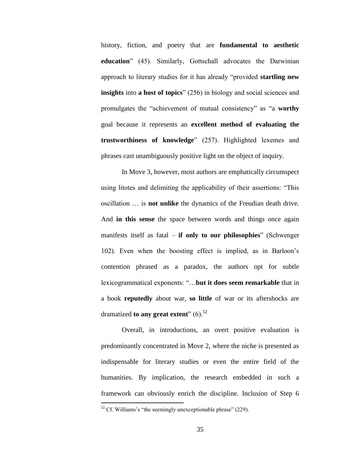history, fiction, and poetry that are **fundamental to aesthetic education**" (45). Similarly, Gottschall advocates the Darwinian approach to literary studies for it has already "provided **startling new insights** into **a host of topics**" (256) in biology and social sciences and promulgates the "achievement of mutual consistency" as "a **worthy**  goal because it represents an **excellent method of evaluating the trustworthiness of knowledge**" (257). Highlighted lexemes and phrases cast unambiguously positive light on the object of inquiry.

In Move 3, however, most authors are emphatically circumspect using litotes and delimiting the applicability of their assertions: "This oscillation … is **not unlike** the dynamics of the Freudian death drive. And **in this sense** the space between words and things once again manifests itself as fatal – **if only to our philosophies**" (Schwenger 102). Even when the boosting effect is implied, as in Barloon"s contention phrased as a paradox, the authors opt for subtle lexicogrammatical exponents: "…**but it does seem remarkable** that in a book **reputedly** about war, **so little** of war or its aftershocks are dramatized **to any great extent**"  $(6)$ <sup>52</sup>

Overall, in introductions, an overt positive evaluation is predominantly concentrated in Move 2, where the niche is presented as indispensable for literary studies or even the entire field of the humanities. By implication, the research embedded in such a framework can obviously enrich the discipline. Inclusion of Step 6

 $52$  Cf. Williams's "the seemingly unexceptionable phrase" (229).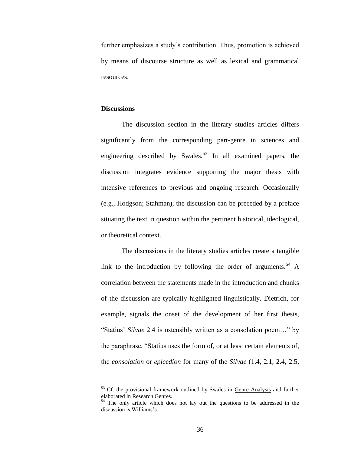further emphasizes a study"s contribution. Thus, promotion is achieved by means of discourse structure as well as lexical and grammatical resources.

#### **Discussions**

 $\overline{a}$ 

The discussion section in the literary studies articles differs significantly from the corresponding part-genre in sciences and engineering described by Swales.<sup>53</sup> In all examined papers, the discussion integrates evidence supporting the major thesis with intensive references to previous and ongoing research. Occasionally (e.g., Hodgson; Stahman), the discussion can be preceded by a preface situating the text in question within the pertinent historical, ideological, or theoretical context.

The discussions in the literary studies articles create a tangible link to the introduction by following the order of arguments.<sup>54</sup> A correlation between the statements made in the introduction and chunks of the discussion are typically highlighted linguistically. Dietrich, for example, signals the onset of the development of her first thesis, "Statius" *Silvae* 2.4 is ostensibly written as a consolation poem…" by the paraphrase, "Statius uses the form of, or at least certain elements of, the *consolation* or *epicedion* for many of the *Silvae* (1.4, 2.1, 2.4, 2.5,

<sup>&</sup>lt;sup>53</sup> Cf. the provisional framework outlined by Swales in Genre Analysis and further elaborated in Research Genres.

<sup>&</sup>lt;sup>54</sup> The only article which does not lay out the questions to be addressed in the discussion is Williams's.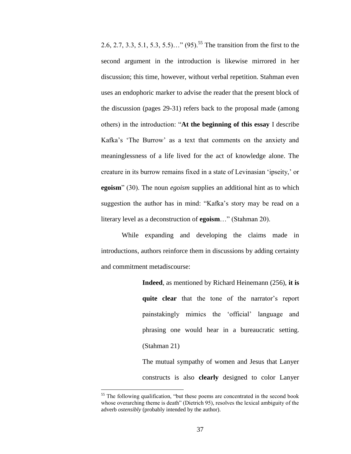2.6, 2.7, 3.3, 5.1, 5.3, 5.5)…" (95).<sup>55</sup> The transition from the first to the second argument in the introduction is likewise mirrored in her discussion; this time, however, without verbal repetition. Stahman even uses an endophoric marker to advise the reader that the present block of the discussion (pages 29-31) refers back to the proposal made (among others) in the introduction: "**At the beginning of this essay** I describe Kafka's 'The Burrow' as a text that comments on the anxiety and meaninglessness of a life lived for the act of knowledge alone. The creature in its burrow remains fixed in a state of Levinasian "ipseity," or **egoism**" (30). The noun *egoism* supplies an additional hint as to which suggestion the author has in mind: "Kafka"s story may be read on a literary level as a deconstruction of **egoism**…" (Stahman 20).

While expanding and developing the claims made in introductions, authors reinforce them in discussions by adding certainty and commitment metadiscourse:

> **Indeed**, as mentioned by Richard Heinemann (256), **it is**  quite clear that the tone of the narrator's report painstakingly mimics the "official" language and phrasing one would hear in a bureaucratic setting. (Stahman 21)

> The mutual sympathy of women and Jesus that Lanyer constructs is also **clearly** designed to color Lanyer

<sup>&</sup>lt;sup>55</sup> The following qualification, "but these poems are concentrated in the second book whose overarching theme is death" (Dietrich 95), resolves the lexical ambiguity of the adverb *ostensibly* (probably intended by the author).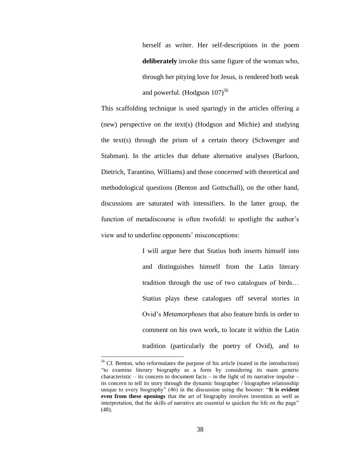herself as writer. Her self-descriptions in the poem **deliberately** invoke this same figure of the woman who, through her pitying love for Jesus, is rendered both weak and powerful. (Hodgson  $107$ )<sup>56</sup>

This scaffolding technique is used sparingly in the articles offering a (new) perspective on the text(s) (Hodgson and Michie) and studying the text(s) through the prism of a certain theory (Schwenger and Stahman). In the articles that debate alternative analyses (Barloon, Dietrich, Tarantino, Williams) and those concerned with theoretical and methodological questions (Benton and Gottschall), on the other hand, discussions are saturated with intensifiers. In the latter group, the function of metadiscourse is often twofold: to spotlight the author's view and to underline opponents' misconceptions:

> I will argue here that Statius both inserts himself into and distinguishes himself from the Latin literary tradition through the use of two catalogues of birds… Statius plays these catalogues off several stories in Ovid"s *Metamorphoses* that also feature birds in order to comment on his own work, to locate it within the Latin tradition (particularly the poetry of Ovid), and to

<sup>&</sup>lt;sup>56</sup> Cf. Benton, who reformulates the purpose of his article (stated in the introduction) "to examine literary biography as a form by considering its main generic characteristic – its concern to document facts – in the light of its narrative impulse – its concern to tell its story through the dynamic biographer / biographee relationship unique to every biography" (46) in the discussion using the booster: "**It is evident even from these openings** that the art of biography involves invention as well as interpretation, that the skills of narrative are essential to quicken the life on the page" (48).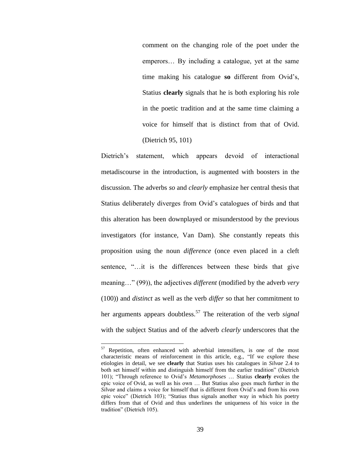comment on the changing role of the poet under the emperors… By including a catalogue, yet at the same time making his catalogue **so** different from Ovid"s, Statius **clearly** signals that he is both exploring his role in the poetic tradition and at the same time claiming a voice for himself that is distinct from that of Ovid. (Dietrich 95, 101)

Dietrich"s statement, which appears devoid of interactional metadiscourse in the introduction, is augmented with boosters in the discussion. The adverbs *so* and *clearly* emphasize her central thesis that Statius deliberately diverges from Ovid"s catalogues of birds and that this alteration has been downplayed or misunderstood by the previous investigators (for instance, Van Dam). She constantly repeats this proposition using the noun *difference* (once even placed in a cleft sentence, "…it is the differences between these birds that give meaning…" (99)), the adjectives *different* (modified by the adverb *very* (100)) and *distinct* as well as the verb *differ* so that her commitment to her arguments appears doubtless.<sup>57</sup> The reiteration of the verb *signal* with the subject Statius and of the adverb *clearly* underscores that the

<sup>&</sup>lt;sup>57</sup> Repetition, often enhanced with adverbial intensifiers, is one of the most characteristic means of reinforcement in this article, e.g., "If we explore these etiologies in detail, we see **clearly** that Statius uses his catalogues in *Silvae* 2.4 to both set himself within and distinguish himself from the earlier tradition" (Dietrich 101); "Through reference to Ovid"s *Metamorphoses* … Statius **clearly** evokes the epic voice of Ovid, as well as his own … But Statius also goes much further in the *Silvae* and claims a voice for himself that is different from Ovid's and from his own epic voice" (Dietrich 103); "Statius thus signals another way in which his poetry differs from that of Ovid and thus underlines the uniqueness of his voice in the tradition" (Dietrich 105).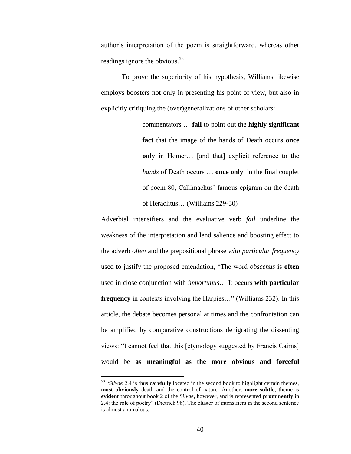author"s interpretation of the poem is straightforward, whereas other readings ignore the obvious.<sup>58</sup>

To prove the superiority of his hypothesis, Williams likewise employs boosters not only in presenting his point of view, but also in explicitly critiquing the (over)generalizations of other scholars:

> commentators … **fail** to point out the **highly significant fact** that the image of the hands of Death occurs **once only** in Homer… [and that] explicit reference to the *hands* of Death occurs … **once only**, in the final couplet of poem 80, Callimachus' famous epigram on the death of Heraclitus… (Williams 229-30)

Adverbial intensifiers and the evaluative verb *fail* underline the weakness of the interpretation and lend salience and boosting effect to the adverb *often* and the prepositional phrase *with particular frequency* used to justify the proposed emendation, "The word *obscenus* is **often** used in close conjunction with *importunus*… It occurs **with particular frequency** in contexts involving the Harpies…" (Williams 232). In this article, the debate becomes personal at times and the confrontation can be amplified by comparative constructions denigrating the dissenting views: "I cannot feel that this [etymology suggested by Francis Cairns] would be **as meaningful as the more obvious and forceful**

<sup>58</sup> "*Silvae* 2.4 is thus **carefully** located in the second book to highlight certain themes, **most obviously** death and the control of nature. Another, **more subtle**, theme is **evident** throughout book 2 of the *Silvae*, however, and is represented **prominently** in 2.4: the role of poetry" (Dietrich 98). The cluster of intensifiers in the second sentence is almost anomalous.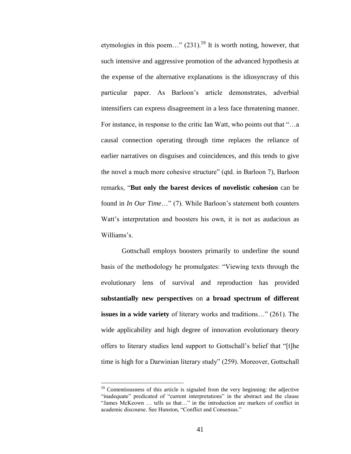etymologies in this poem..."  $(231)$ <sup>59</sup> It is worth noting, however, that such intensive and aggressive promotion of the advanced hypothesis at the expense of the alternative explanations is the idiosyncrasy of this particular paper. As Barloon"s article demonstrates, adverbial intensifiers can express disagreement in a less face threatening manner. For instance, in response to the critic Ian Watt, who points out that "…a causal connection operating through time replaces the reliance of earlier narratives on disguises and coincidences, and this tends to give the novel a much more cohesive structure" (qtd. in Barloon 7), Barloon remarks, "**But only the barest devices of novelistic cohesion** can be found in *In Our Time*..." (7). While Barloon's statement both counters Watt's interpretation and boosters his own, it is not as audacious as Williams's

Gottschall employs boosters primarily to underline the sound basis of the methodology he promulgates: "Viewing texts through the evolutionary lens of survival and reproduction has provided **substantially new perspectives** on **a broad spectrum of different issues in a wide variety** of literary works and traditions…" (261). The wide applicability and high degree of innovation evolutionary theory offers to literary studies lend support to Gottschall"s belief that "[t]he time is high for a Darwinian literary study" (259). Moreover, Gottschall

<sup>&</sup>lt;sup>59</sup> Contentiousness of this article is signaled from the very beginning: the adjective "inadequate" predicated of "current interpretations" in the abstract and the clause "James McKeown … tells us that…" in the introduction are markers of conflict in academic discourse. See Hunston, "Conflict and Consensus."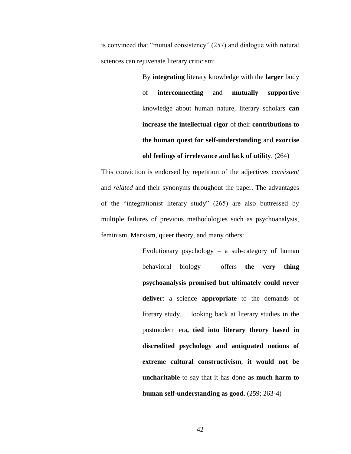is convinced that "mutual consistency" (257) and dialogue with natural sciences can rejuvenate literary criticism:

> By **integrating** literary knowledge with the **larger** body of **interconnecting** and **mutually supportive** knowledge about human nature, literary scholars **can increase the intellectual rigor** of their **contributions to the human quest for self-understanding** and **exorcise**

**old feelings of irrelevance and lack of utility**. (264)

This conviction is endorsed by repetition of the adjectives *consistent* and *related* and their synonyms throughout the paper. The advantages of the "integrationist literary study" (265) are also buttressed by multiple failures of previous methodologies such as psychoanalysis, feminism, Marxism, queer theory, and many others:

> Evolutionary psychology  $-$  a sub-category of human behavioral biology – offers **the very thing psychoanalysis promised but ultimately could never deliver**: a science **appropriate** to the demands of literary study.… looking back at literary studies in the postmodern era**, tied into literary theory based in discredited psychology and antiquated notions of extreme cultural constructivism**, **it would not be uncharitable** to say that it has done **as much harm to human self-understanding as good**. (259; 263-4)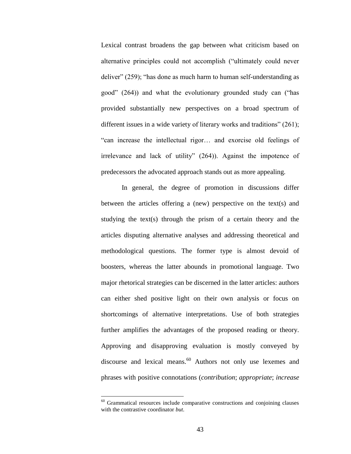Lexical contrast broadens the gap between what criticism based on alternative principles could not accomplish ("ultimately could never deliver" (259); "has done as much harm to human self-understanding as good" (264)) and what the evolutionary grounded study can ("has provided substantially new perspectives on a broad spectrum of different issues in a wide variety of literary works and traditions" (261); "can increase the intellectual rigor… and exorcise old feelings of irrelevance and lack of utility" (264)). Against the impotence of predecessors the advocated approach stands out as more appealing.

In general, the degree of promotion in discussions differ between the articles offering a (new) perspective on the text(s) and studying the text(s) through the prism of a certain theory and the articles disputing alternative analyses and addressing theoretical and methodological questions. The former type is almost devoid of boosters, whereas the latter abounds in promotional language. Two major rhetorical strategies can be discerned in the latter articles: authors can either shed positive light on their own analysis or focus on shortcomings of alternative interpretations. Use of both strategies further amplifies the advantages of the proposed reading or theory. Approving and disapproving evaluation is mostly conveyed by discourse and lexical means.<sup>60</sup> Authors not only use lexemes and phrases with positive connotations (*contribution*; *appropriate*; *increase* 

 $60$  Grammatical resources include comparative constructions and conjoining clauses with the contrastive coordinator *but*.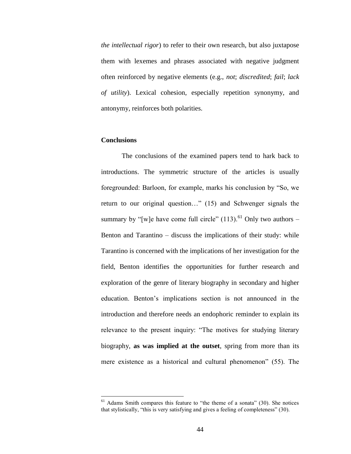*the intellectual rigor*) to refer to their own research, but also juxtapose them with lexemes and phrases associated with negative judgment often reinforced by negative elements (e.g., *not*; *discredited*; *fail*; *lack of utility*). Lexical cohesion, especially repetition synonymy, and antonymy, reinforces both polarities.

# **Conclusions**

 $\overline{a}$ 

The conclusions of the examined papers tend to hark back to introductions. The symmetric structure of the articles is usually foregrounded: Barloon, for example, marks his conclusion by "So, we return to our original question…" (15) and Schwenger signals the summary by "[w]e have come full circle"  $(113)$ .<sup>61</sup> Only two authors – Benton and Tarantino – discuss the implications of their study: while Tarantino is concerned with the implications of her investigation for the field, Benton identifies the opportunities for further research and exploration of the genre of literary biography in secondary and higher education. Benton"s implications section is not announced in the introduction and therefore needs an endophoric reminder to explain its relevance to the present inquiry: "The motives for studying literary biography, **as was implied at the outset**, spring from more than its mere existence as a historical and cultural phenomenon" (55). The

 $<sup>61</sup>$  Adams Smith compares this feature to "the theme of a sonata" (30). She notices</sup> that stylistically, "this is very satisfying and gives a feeling of completeness" (30).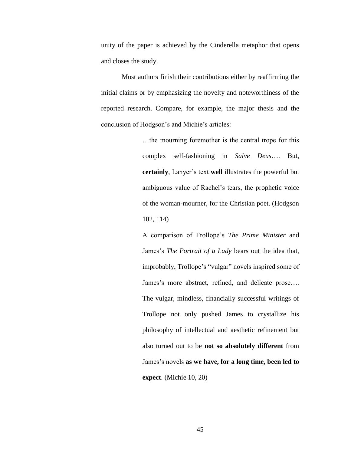unity of the paper is achieved by the Cinderella metaphor that opens and closes the study.

Most authors finish their contributions either by reaffirming the initial claims or by emphasizing the novelty and noteworthiness of the reported research. Compare, for example, the major thesis and the conclusion of Hodgson"s and Michie"s articles:

> …the mourning foremother is the central trope for this complex self-fashioning in *Salve Deus*…. But, **certainly**, Lanyer"s text **well** illustrates the powerful but ambiguous value of Rachel"s tears, the prophetic voice of the woman-mourner, for the Christian poet. (Hodgson 102, 114)

> A comparison of Trollope"s *The Prime Minister* and James's *The Portrait of a Lady* bears out the idea that, improbably, Trollope's "vulgar" novels inspired some of James's more abstract, refined, and delicate prose.... The vulgar, mindless, financially successful writings of Trollope not only pushed James to crystallize his philosophy of intellectual and aesthetic refinement but also turned out to be **not so absolutely different** from James"s novels **as we have, for a long time, been led to expect**. (Michie 10, 20)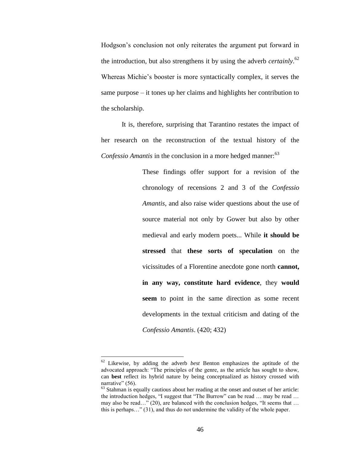Hodgson"s conclusion not only reiterates the argument put forward in the introduction, but also strengthens it by using the adverb *certainly*. 62 Whereas Michie"s booster is more syntactically complex, it serves the same purpose – it tones up her claims and highlights her contribution to the scholarship.

It is, therefore, surprising that Tarantino restates the impact of her research on the reconstruction of the textual history of the *Confessio Amantis* in the conclusion in a more hedged manner:<sup>63</sup>

> These findings offer support for a revision of the chronology of recensions 2 and 3 of the *Confessio Amantis*, and also raise wider questions about the use of source material not only by Gower but also by other medieval and early modern poets... While **it should be stressed** that **these sorts of speculation** on the vicissitudes of a Florentine anecdote gone north **cannot, in any way, constitute hard evidence**, they **would seem** to point in the same direction as some recent developments in the textual criticism and dating of the *Confessio Amantis*. (420; 432)

<sup>62</sup> Likewise, by adding the adverb *best* Benton emphasizes the aptitude of the advocated approach: "The principles of the genre, as the article has sought to show, can **best** reflect its hybrid nature by being conceptualized as history crossed with narrative" (56).

 $63$  Stahman is equally cautious about her reading at the onset and outset of her article: the introduction hedges, "I suggest that "The Burrow" can be read … may be read … may also be read…" (20), are balanced with the conclusion hedges, "It seems that … this is perhaps…" (31), and thus do not undermine the validity of the whole paper.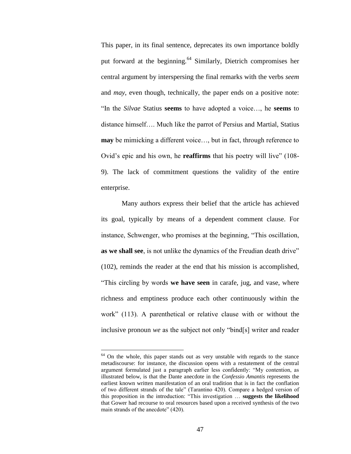This paper, in its final sentence, deprecates its own importance boldly put forward at the beginning.<sup>64</sup> Similarly, Dietrich compromises her central argument by interspersing the final remarks with the verbs *seem* and *may*, even though, technically, the paper ends on a positive note: "In the *Silvae* Statius **seems** to have adopted a voice…, he **seems** to distance himself…. Much like the parrot of Persius and Martial, Statius **may** be mimicking a different voice..., but in fact, through reference to Ovid"s epic and his own, he **reaffirms** that his poetry will live" (108- 9). The lack of commitment questions the validity of the entire enterprise.

Many authors express their belief that the article has achieved its goal, typically by means of a dependent comment clause. For instance, Schwenger, who promises at the beginning, "This oscillation, **as we shall see**, is not unlike the dynamics of the Freudian death drive" (102), reminds the reader at the end that his mission is accomplished, "This circling by words **we have seen** in carafe, jug, and vase, where richness and emptiness produce each other continuously within the work" (113). A parenthetical or relative clause with or without the inclusive pronoun *we* as the subject not only "bind[s] writer and reader

 $64$  On the whole, this paper stands out as very unstable with regards to the stance metadiscourse: for instance, the discussion opens with a restatement of the central argument formulated just a paragraph earlier less confidently: "My contention, as illustrated below, is that the Dante anecdote in the *Confessio Amantis* represents the earliest known written manifestation of an oral tradition that is in fact the conflation of two different strands of the tale" (Tarantino 420). Compare a hedged version of this proposition in the introduction: "This investigation … **suggests the likelihood** that Gower had recourse to oral resources based upon a received synthesis of the two main strands of the anecdote" (420).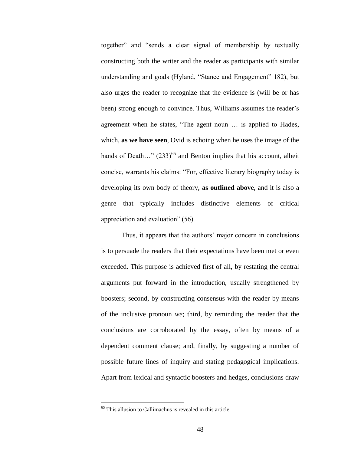together" and "sends a clear signal of membership by textually constructing both the writer and the reader as participants with similar understanding and goals (Hyland, "Stance and Engagement" 182), but also urges the reader to recognize that the evidence is (will be or has been) strong enough to convince. Thus, Williams assumes the reader's agreement when he states, "The agent noun … is applied to Hades, which, **as we have seen**, Ovid is echoing when he uses the image of the hands of Death..."  $(233)^{65}$  and Benton implies that his account, albeit concise, warrants his claims: "For, effective literary biography today is developing its own body of theory, **as outlined above**, and it is also a genre that typically includes distinctive elements of critical appreciation and evaluation" (56).

Thus, it appears that the authors' major concern in conclusions is to persuade the readers that their expectations have been met or even exceeded. This purpose is achieved first of all, by restating the central arguments put forward in the introduction, usually strengthened by boosters; second, by constructing consensus with the reader by means of the inclusive pronoun *we*; third, by reminding the reader that the conclusions are corroborated by the essay, often by means of a dependent comment clause; and, finally, by suggesting a number of possible future lines of inquiry and stating pedagogical implications. Apart from lexical and syntactic boosters and hedges, conclusions draw

<sup>65</sup> This allusion to Callimachus is revealed in this article.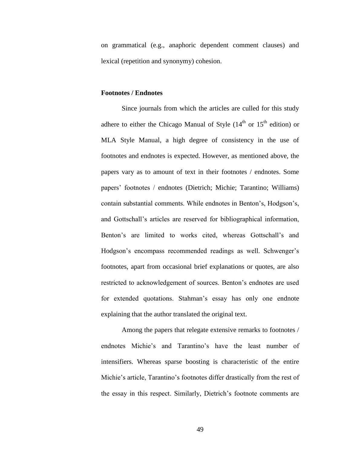on grammatical (e.g., anaphoric dependent comment clauses) and lexical (repetition and synonymy) cohesion.

### **Footnotes / Endnotes**

Since journals from which the articles are culled for this study adhere to either the Chicago Manual of Style  $(14<sup>th</sup>$  or  $15<sup>th</sup>$  edition) or MLA Style Manual, a high degree of consistency in the use of footnotes and endnotes is expected. However, as mentioned above, the papers vary as to amount of text in their footnotes / endnotes. Some papers" footnotes / endnotes (Dietrich; Michie; Tarantino; Williams) contain substantial comments. While endnotes in Benton"s, Hodgson"s, and Gottschall"s articles are reserved for bibliographical information, Benton's are limited to works cited, whereas Gottschall's and Hodgson's encompass recommended readings as well. Schwenger's footnotes, apart from occasional brief explanations or quotes, are also restricted to acknowledgement of sources. Benton"s endnotes are used for extended quotations. Stahman"s essay has only one endnote explaining that the author translated the original text.

Among the papers that relegate extensive remarks to footnotes / endnotes Michie"s and Tarantino"s have the least number of intensifiers. Whereas sparse boosting is characteristic of the entire Michie's article, Tarantino's footnotes differ drastically from the rest of the essay in this respect. Similarly, Dietrich"s footnote comments are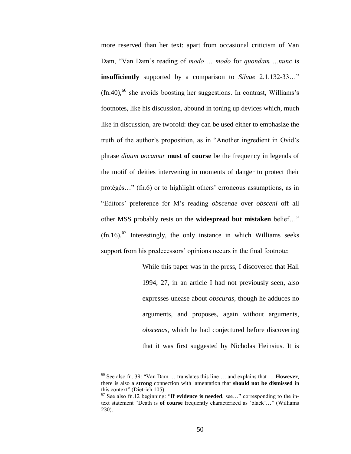more reserved than her text: apart from occasional criticism of Van Dam, "Van Dam"s reading of *modo … modo* for *quondam …nunc* is **insufficiently** supported by a comparison to *Silvae* 2.1.132-33…"  $(\text{fn.40})$ , <sup>66</sup> she avoids boosting her suggestions. In contrast, Williams's footnotes, like his discussion, abound in toning up devices which, much like in discussion, are twofold: they can be used either to emphasize the truth of the author"s proposition, as in "Another ingredient in Ovid"s phrase *diuum uocamur* **must of course** be the frequency in legends of the motif of deities intervening in moments of danger to protect their protégés..." (fn.6) or to highlight others' erroneous assumptions, as in "Editors" preference for M"s reading *obscenae* over *obsceni* off all other MSS probably rests on the **widespread but mistaken** belief…"  $(\text{fn}.16)$ .<sup>67</sup> Interestingly, the only instance in which Williams seeks support from his predecessors' opinions occurs in the final footnote:

> While this paper was in the press, I discovered that Hall 1994, 27, in an article I had not previously seen, also expresses unease about *obscuras*, though he adduces no arguments, and proposes, again without arguments, *obscenas*, which he had conjectured before discovering that it was first suggested by Nicholas Heinsius. It is

<sup>66</sup> See also fn. 39: "Van Dam … translates this line … and explains that … **However**, there is also a **strong** connection with lamentation that **should not be dismissed** in this context" (Dietrich 105).

<sup>67</sup> See also fn.12 beginning: "**If evidence is needed**, see…" corresponding to the intext statement "Death is **of course** frequently characterized as "black"…" (Williams 230).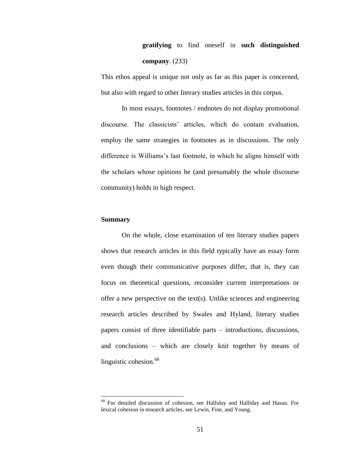# **gratifying** to find oneself in **such distinguished company**. (233)

This ethos appeal is unique not only as far as this paper is concerned, but also with regard to other literary studies articles in this corpus.

In most essays, footnotes / endnotes do not display promotional discourse. The classicists" articles, which do contain evaluation, employ the same strategies in footnotes as in discussions. The only difference is Williams"s last footnote, in which he aligns himself with the scholars whose opinions he (and presumably the whole discourse community) holds in high respect.

### **Summary**

 $\overline{a}$ 

On the whole, close examination of ten literary studies papers shows that research articles in this field typically have an essay form even though their communicative purposes differ, that is, they can focus on theoretical questions, reconsider current interpretations or offer a new perspective on the text(s). Unlike sciences and engineering research articles described by Swales and Hyland, literary studies papers consist of three identifiable parts – introductions, discussions, and conclusions – which are closely knit together by means of linguistic cohesion.<sup>68</sup>

<sup>68</sup> For detailed discussion of cohesion, see Halliday and Halliday and Hasan. For lexical cohesion in research articles, see Lewin, Fine, and Young.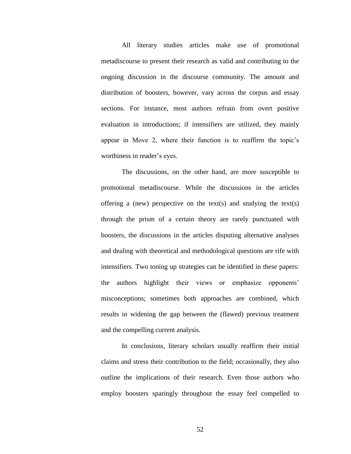All literary studies articles make use of promotional metadiscourse to present their research as valid and contributing to the ongoing discussion in the discourse community. The amount and distribution of boosters, however, vary across the corpus and essay sections. For instance, most authors refrain from overt positive evaluation in introductions; if intensifiers are utilized, they mainly appear in Move 2, where their function is to reaffirm the topic"s worthiness in reader's eyes.

The discussions, on the other hand, are more susceptible to promotional metadiscourse. While the discussions in the articles offering a (new) perspective on the text(s) and studying the text(s) through the prism of a certain theory are rarely punctuated with boosters, the discussions in the articles disputing alternative analyses and dealing with theoretical and methodological questions are rife with intensifiers. Two toning up strategies can be identified in these papers: the authors highlight their views or emphasize opponents" misconceptions; sometimes both approaches are combined, which results in widening the gap between the (flawed) previous treatment and the compelling current analysis.

In conclusions, literary scholars usually reaffirm their initial claims and stress their contribution to the field; occasionally, they also outline the implications of their research. Even those authors who employ boosters sparingly throughout the essay feel compelled to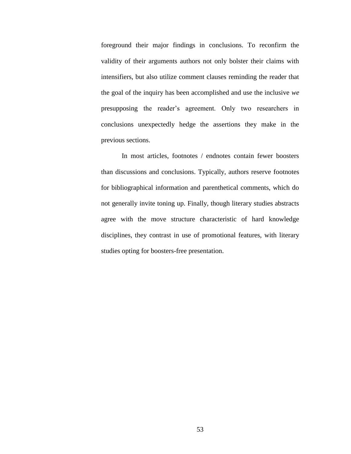foreground their major findings in conclusions. To reconfirm the validity of their arguments authors not only bolster their claims with intensifiers, but also utilize comment clauses reminding the reader that the goal of the inquiry has been accomplished and use the inclusive *we* presupposing the reader"s agreement. Only two researchers in conclusions unexpectedly hedge the assertions they make in the previous sections.

In most articles, footnotes / endnotes contain fewer boosters than discussions and conclusions. Typically, authors reserve footnotes for bibliographical information and parenthetical comments, which do not generally invite toning up. Finally, though literary studies abstracts agree with the move structure characteristic of hard knowledge disciplines, they contrast in use of promotional features, with literary studies opting for boosters-free presentation.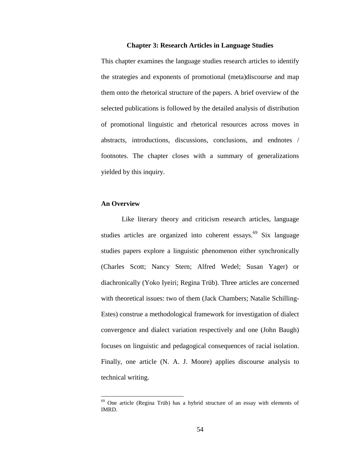#### **Chapter 3: Research Articles in Language Studies**

This chapter examines the language studies research articles to identify the strategies and exponents of promotional (meta)discourse and map them onto the rhetorical structure of the papers. A brief overview of the selected publications is followed by the detailed analysis of distribution of promotional linguistic and rhetorical resources across moves in abstracts, introductions, discussions, conclusions, and endnotes / footnotes. The chapter closes with a summary of generalizations yielded by this inquiry.

#### **An Overview**

 $\overline{a}$ 

Like literary theory and criticism research articles, language studies articles are organized into coherent essays.<sup>69</sup> Six language studies papers explore a linguistic phenomenon either synchronically (Charles Scott; Nancy Stern; Alfred Wedel; Susan Yager) or diachronically (Yoko Iyeiri; Regina Trüb). Three articles are concerned with theoretical issues: two of them (Jack Chambers; Natalie Schilling-Estes) construe a methodological framework for investigation of dialect convergence and dialect variation respectively and one (John Baugh) focuses on linguistic and pedagogical consequences of racial isolation. Finally, one article (N. A. J. Moore) applies discourse analysis to technical writing.

 $69$  One article (Regina Trüb) has a hybrid structure of an essay with elements of IMRD.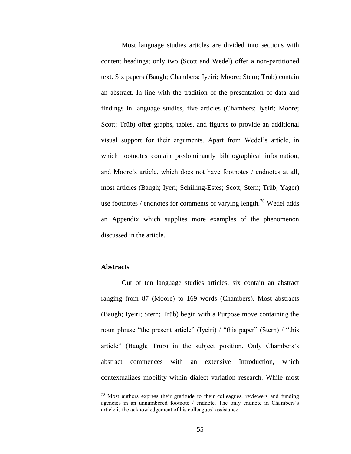Most language studies articles are divided into sections with content headings; only two (Scott and Wedel) offer a non-partitioned text. Six papers (Baugh; Chambers; Iyeiri; Moore; Stern; Trüb) contain an abstract. In line with the tradition of the presentation of data and findings in language studies, five articles (Chambers; Iyeiri; Moore; Scott; Trüb) offer graphs, tables, and figures to provide an additional visual support for their arguments. Apart from Wedel"s article, in which footnotes contain predominantly bibliographical information, and Moore"s article, which does not have footnotes / endnotes at all, most articles (Baugh; Iyeri; Schilling-Estes; Scott; Stern; Trüb; Yager) use footnotes / endnotes for comments of varying length.<sup>70</sup> Wedel adds an Appendix which supplies more examples of the phenomenon discussed in the article.

# **Abstracts**

 $\overline{a}$ 

Out of ten language studies articles, six contain an abstract ranging from 87 (Moore) to 169 words (Chambers). Most abstracts (Baugh; Iyeiri; Stern; Trüb) begin with a Purpose move containing the noun phrase "the present article" (Iyeiri) / "this paper" (Stern) / "this article" (Baugh; Trüb) in the subject position. Only Chambers"s abstract commences with an extensive Introduction, which contextualizes mobility within dialect variation research. While most

 $70$  Most authors express their gratitude to their colleagues, reviewers and funding agencies in an unnumbered footnote / endnote. The only endnote in Chambers's article is the acknowledgement of his colleagues' assistance.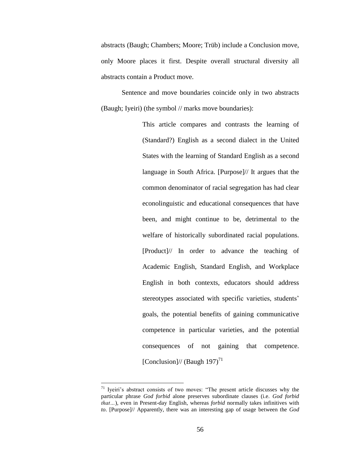abstracts (Baugh; Chambers; Moore; Trüb) include a Conclusion move, only Moore places it first. Despite overall structural diversity all abstracts contain a Product move.

Sentence and move boundaries coincide only in two abstracts (Baugh; Iyeiri) (the symbol // marks move boundaries):

> This article compares and contrasts the learning of (Standard?) English as a second dialect in the United States with the learning of Standard English as a second language in South Africa. [Purpose]// It argues that the common denominator of racial segregation has had clear econolinguistic and educational consequences that have been, and might continue to be, detrimental to the welfare of historically subordinated racial populations. [Product]// In order to advance the teaching of Academic English, Standard English, and Workplace English in both contexts, educators should address stereotypes associated with specific varieties, students' goals, the potential benefits of gaining communicative competence in particular varieties, and the potential consequences of not gaining that competence. [Conclusion]// (Baugh  $197$ )<sup>71</sup>

 $71$  Iyeiri's abstract consists of two moves: "The present article discusses why the particular phrase *God forbid* alone preserves subordinate clauses (i.e. *God forbid that…*), even in Present-day English, whereas *forbid* normally takes infinitives with *to*. [Purpose]// Apparently, there was an interesting gap of usage between the *God*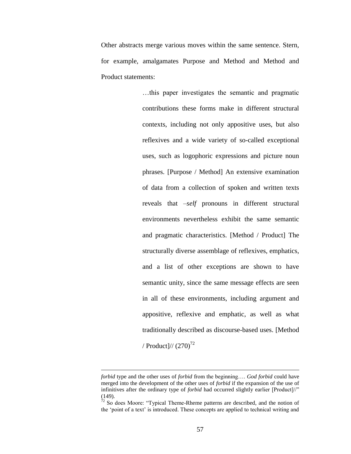Other abstracts merge various moves within the same sentence. Stern, for example, amalgamates Purpose and Method and Method and Product statements:

> …this paper investigates the semantic and pragmatic contributions these forms make in different structural contexts, including not only appositive uses, but also reflexives and a wide variety of so-called exceptional uses, such as logophoric expressions and picture noun phrases. [Purpose / Method] An extensive examination of data from a collection of spoken and written texts reveals that *–self* pronouns in different structural environments nevertheless exhibit the same semantic and pragmatic characteristics. [Method / Product] The structurally diverse assemblage of reflexives, emphatics, and a list of other exceptions are shown to have semantic unity, since the same message effects are seen in all of these environments, including argument and appositive, reflexive and emphatic, as well as what traditionally described as discourse-based uses. [Method / Product]//  $(270)^{72}$

*forbid* type and the other uses of *forbid* from the beginning…. *God forbid* could have merged into the development of the other uses of *forbid* if the expansion of the use of infinitives after the ordinary type of *forbid* had occurred slightly earlier [Product]//" (149).

 $72$  So does Moore: "Typical Theme-Rheme patterns are described, and the notion of the "point of a text" is introduced. These concepts are applied to technical writing and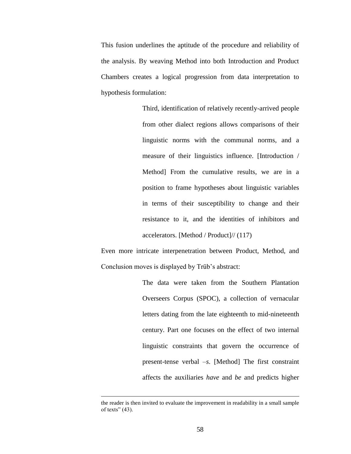This fusion underlines the aptitude of the procedure and reliability of the analysis. By weaving Method into both Introduction and Product Chambers creates a logical progression from data interpretation to hypothesis formulation:

> Third, identification of relatively recently-arrived people from other dialect regions allows comparisons of their linguistic norms with the communal norms, and a measure of their linguistics influence. [Introduction / Method] From the cumulative results, we are in a position to frame hypotheses about linguistic variables in terms of their susceptibility to change and their resistance to it, and the identities of inhibitors and accelerators. [Method / Product]// (117)

Even more intricate interpenetration between Product, Method, and Conclusion moves is displayed by Trüb's abstract:

> The data were taken from the Southern Plantation Overseers Corpus (SPOC), a collection of vernacular letters dating from the late eighteenth to mid-nineteenth century. Part one focuses on the effect of two internal linguistic constraints that govern the occurrence of present-tense verbal *–s*. [Method] The first constraint affects the auxiliaries *have* and *be* and predicts higher

the reader is then invited to evaluate the improvement in readability in a small sample of texts" (43).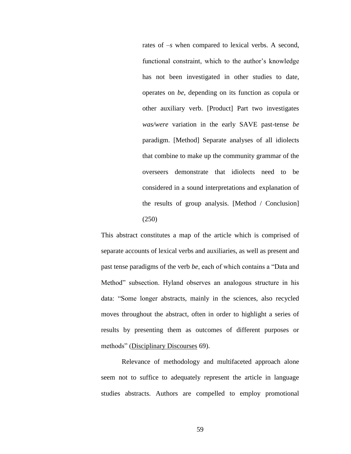rates of *–s* when compared to lexical verbs. A second, functional constraint, which to the author's knowledge has not been investigated in other studies to date, operates on *be*, depending on its function as copula or other auxiliary verb. [Product] Part two investigates *was/were* variation in the early SAVE past-tense *be* paradigm. [Method] Separate analyses of all idiolects that combine to make up the community grammar of the overseers demonstrate that idiolects need to be considered in a sound interpretations and explanation of the results of group analysis. [Method / Conclusion] (250)

This abstract constitutes a map of the article which is comprised of separate accounts of lexical verbs and auxiliaries, as well as present and past tense paradigms of the verb *be*, each of which contains a "Data and Method" subsection. Hyland observes an analogous structure in his data: "Some longer abstracts, mainly in the sciences, also recycled moves throughout the abstract, often in order to highlight a series of results by presenting them as outcomes of different purposes or methods" (Disciplinary Discourses 69).

Relevance of methodology and multifaceted approach alone seem not to suffice to adequately represent the article in language studies abstracts. Authors are compelled to employ promotional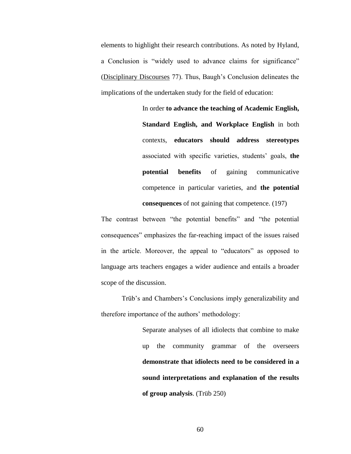elements to highlight their research contributions. As noted by Hyland, a Conclusion is "widely used to advance claims for significance" (Disciplinary Discourses 77). Thus, Baugh"s Conclusion delineates the implications of the undertaken study for the field of education:

> In order **to advance the teaching of Academic English, Standard English, and Workplace English** in both contexts, **educators should address stereotypes** associated with specific varieties, students" goals, **the potential benefits** of gaining communicative competence in particular varieties, and **the potential consequences** of not gaining that competence. (197)

The contrast between "the potential benefits" and "the potential consequences" emphasizes the far-reaching impact of the issues raised in the article. Moreover, the appeal to "educators" as opposed to language arts teachers engages a wider audience and entails a broader scope of the discussion.

Trüb's and Chambers's Conclusions imply generalizability and therefore importance of the authors' methodology:

> Separate analyses of all idiolects that combine to make up the community grammar of the overseers **demonstrate that idiolects need to be considered in a sound interpretations and explanation of the results of group analysis**. (Trüb 250)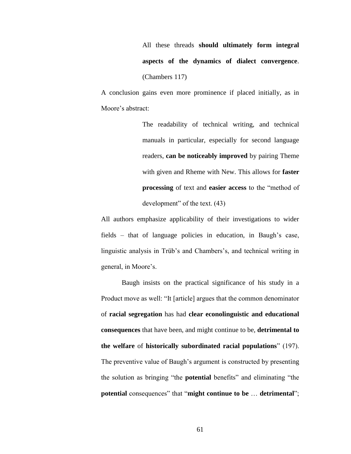All these threads **should ultimately form integral aspects of the dynamics of dialect convergence**. (Chambers 117)

A conclusion gains even more prominence if placed initially, as in Moore's abstract:

> The readability of technical writing, and technical manuals in particular, especially for second language readers, **can be noticeably improved** by pairing Theme with given and Rheme with New. This allows for **faster processing** of text and **easier access** to the "method of development" of the text. (43)

All authors emphasize applicability of their investigations to wider fields – that of language policies in education, in Baugh's case, linguistic analysis in Trüb's and Chambers's, and technical writing in general, in Moore's.

Baugh insists on the practical significance of his study in a Product move as well: "It [article] argues that the common denominator of **racial segregation** has had **clear econolinguistic and educational consequences** that have been, and might continue to be, **detrimental to the welfare** of **historically subordinated racial populations**" (197). The preventive value of Baugh's argument is constructed by presenting the solution as bringing "the **potential** benefits" and eliminating "the **potential** consequences" that "**might continue to be** … **detrimental**";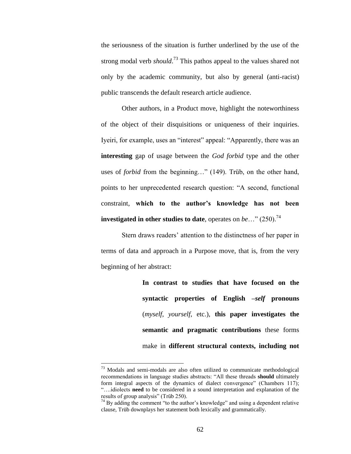the seriousness of the situation is further underlined by the use of the strong modal verb *should*. <sup>73</sup> This pathos appeal to the values shared not only by the academic community, but also by general (anti-racist) public transcends the default research article audience.

Other authors, in a Product move, highlight the noteworthiness of the object of their disquisitions or uniqueness of their inquiries. Iyeiri, for example, uses an "interest" appeal: "Apparently, there was an **interesting** gap of usage between the *God forbid* type and the other uses of *forbid* from the beginning…" (149). Trüb, on the other hand, points to her unprecedented research question: "A second, functional constraint, **which to the author's knowledge has not been investigated in other studies to date**, operates on *be*..." (250).<sup>74</sup>

Stern draws readers" attention to the distinctness of her paper in terms of data and approach in a Purpose move, that is, from the very beginning of her abstract:

> **In contrast to studies that have focused on the syntactic properties of English –***self* **pronouns** (*myself*, *yourself*, etc.), **this paper investigates the semantic and pragmatic contributions** these forms make in **different structural contexts, including not**

 $73$  Modals and semi-modals are also often utilized to communicate methodological recommendations in language studies abstracts: "All these threads **should** ultimately form integral aspects of the dynamics of dialect convergence" (Chambers 117); "….idiolects **need** to be considered in a sound interpretation and explanation of the results of group analysis" (Trüb 250).

 $74$  By adding the comment "to the author's knowledge" and using a dependent relative clause, Trüb downplays her statement both lexically and grammatically.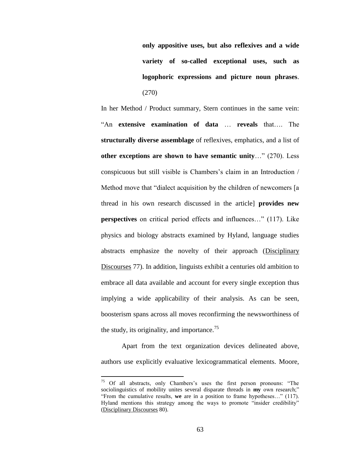**only appositive uses, but also reflexives and a wide variety of so-called exceptional uses, such as logophoric expressions and picture noun phrases**. (270)

In her Method / Product summary, Stern continues in the same vein: "An **extensive examination of data** … **reveals** that…. The **structurally diverse assemblage** of reflexives, emphatics, and a list of **other exceptions are shown to have semantic unity**…" (270). Less conspicuous but still visible is Chambers"s claim in an Introduction / Method move that "dialect acquisition by the children of newcomers [a thread in his own research discussed in the article] **provides new perspectives** on critical period effects and influences..." (117). Like physics and biology abstracts examined by Hyland, language studies abstracts emphasize the novelty of their approach (Disciplinary Discourses 77). In addition, linguists exhibit a centuries old ambition to embrace all data available and account for every single exception thus implying a wide applicability of their analysis. As can be seen, boosterism spans across all moves reconfirming the newsworthiness of the study, its originality, and importance.<sup>75</sup>

Apart from the text organization devices delineated above, authors use explicitly evaluative lexicogrammatical elements. Moore,

<sup>&</sup>lt;sup>75</sup> Of all abstracts, only Chambers's uses the first person pronouns: "The sociolinguistics of mobility unites several disparate threads in **my** own research;" "From the cumulative results, **we** are in a position to frame hypotheses…" (117). Hyland mentions this strategy among the ways to promote "insider credibility" (Disciplinary Discourses 80).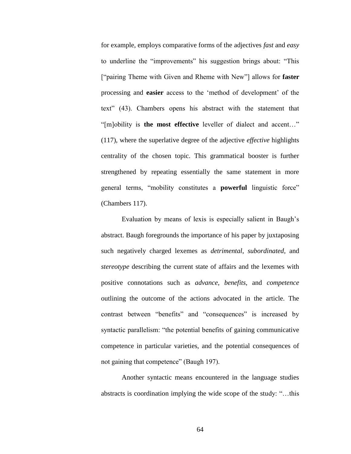for example, employs comparative forms of the adjectives *fast* and *easy* to underline the "improvements" his suggestion brings about: "This ["pairing Theme with Given and Rheme with New"] allows for **faster** processing and **easier** access to the "method of development" of the text" (43). Chambers opens his abstract with the statement that "[m]obility is **the most effective** leveller of dialect and accent…" (117), where the superlative degree of the adjective *effective* highlights centrality of the chosen topic. This grammatical booster is further strengthened by repeating essentially the same statement in more general terms, "mobility constitutes a **powerful** linguistic force" (Chambers 117).

Evaluation by means of lexis is especially salient in Baugh"s abstract. Baugh foregrounds the importance of his paper by juxtaposing such negatively charged lexemes as *detrimental*, *subordinated*, and *stereotype* describing the current state of affairs and the lexemes with positive connotations such as *advance*, *benefits*, and *competence* outlining the outcome of the actions advocated in the article. The contrast between "benefits" and "consequences" is increased by syntactic parallelism: "the potential benefits of gaining communicative competence in particular varieties, and the potential consequences of not gaining that competence" (Baugh 197).

Another syntactic means encountered in the language studies abstracts is coordination implying the wide scope of the study: "…this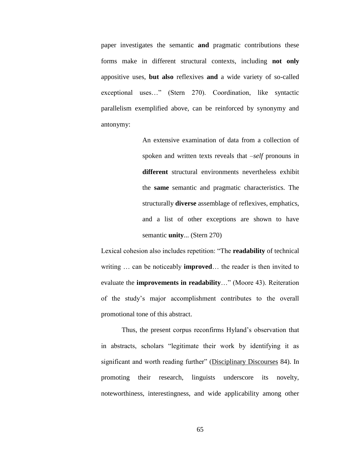paper investigates the semantic **and** pragmatic contributions these forms make in different structural contexts, including **not only** appositive uses, **but also** reflexives **and** a wide variety of so-called exceptional uses…" (Stern 270). Coordination, like syntactic parallelism exemplified above, can be reinforced by synonymy and antonymy:

> An extensive examination of data from a collection of spoken and written texts reveals that *–self* pronouns in **different** structural environments nevertheless exhibit the **same** semantic and pragmatic characteristics. The structurally **diverse** assemblage of reflexives, emphatics, and a list of other exceptions are shown to have semantic **unity**... (Stern 270)

Lexical cohesion also includes repetition: "The **readability** of technical writing … can be noticeably **improved**… the reader is then invited to evaluate the **improvements in readability**…" (Moore 43). Reiteration of the study"s major accomplishment contributes to the overall promotional tone of this abstract.

Thus, the present corpus reconfirms Hyland"s observation that in abstracts, scholars "legitimate their work by identifying it as significant and worth reading further" (Disciplinary Discourses 84). In promoting their research, linguists underscore its novelty, noteworthiness, interestingness, and wide applicability among other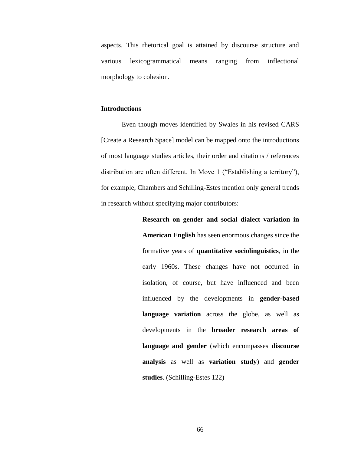aspects. This rhetorical goal is attained by discourse structure and various lexicogrammatical means ranging from inflectional morphology to cohesion.

### **Introductions**

Even though moves identified by Swales in his revised CARS [Create a Research Space] model can be mapped onto the introductions of most language studies articles, their order and citations / references distribution are often different. In Move 1 ("Establishing a territory"), for example, Chambers and Schilling-Estes mention only general trends in research without specifying major contributors:

> **Research on gender and social dialect variation in American English** has seen enormous changes since the formative years of **quantitative sociolinguistics**, in the early 1960s. These changes have not occurred in isolation, of course, but have influenced and been influenced by the developments in **gender-based language variation** across the globe, as well as developments in the **broader research areas of language and gender** (which encompasses **discourse analysis** as well as **variation study**) and **gender studies**. (Schilling-Estes 122)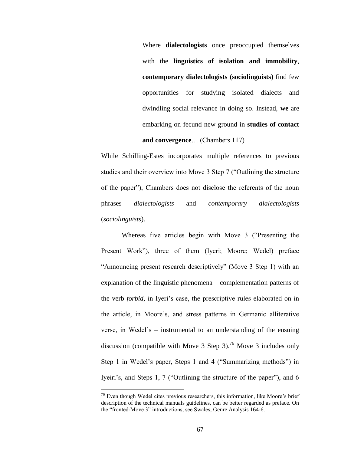Where **dialectologists** once preoccupied themselves with the **linguistics of isolation and immobility**, **contemporary dialectologists (sociolinguists)** find few opportunities for studying isolated dialects and dwindling social relevance in doing so. Instead, **we** are embarking on fecund new ground in **studies of contact and convergence**… (Chambers 117)

While Schilling-Estes incorporates multiple references to previous studies and their overview into Move 3 Step 7 ("Outlining the structure of the paper"), Chambers does not disclose the referents of the noun phrases *dialectologists* and *contemporary dialectologists*  (*sociolinguists*).

Whereas five articles begin with Move 3 ("Presenting the Present Work"), three of them (Iyeri; Moore; Wedel) preface "Announcing present research descriptively" (Move 3 Step 1) with an explanation of the linguistic phenomena – complementation patterns of the verb *forbid*, in Iyeri"s case, the prescriptive rules elaborated on in the article, in Moore"s, and stress patterns in Germanic alliterative verse, in Wedel"s – instrumental to an understanding of the ensuing discussion (compatible with Move 3 Step 3).<sup>76</sup> Move 3 includes only Step 1 in Wedel"s paper, Steps 1 and 4 ("Summarizing methods") in Iyeiri"s, and Steps 1, 7 ("Outlining the structure of the paper"), and 6

<sup>&</sup>lt;sup>76</sup> Even though Wedel cites previous researchers, this information, like Moore's brief description of the technical manuals guidelines, can be better regarded as preface. On the "fronted-Move 3" introductions, see Swales, Genre Analysis 164-6.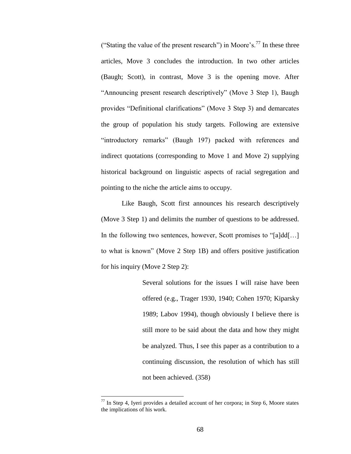("Stating the value of the present research") in Moore's.<sup>77</sup> In these three articles, Move 3 concludes the introduction. In two other articles (Baugh; Scott), in contrast, Move 3 is the opening move. After "Announcing present research descriptively" (Move 3 Step 1), Baugh provides "Definitional clarifications" (Move 3 Step 3) and demarcates the group of population his study targets. Following are extensive "introductory remarks" (Baugh 197) packed with references and indirect quotations (corresponding to Move 1 and Move 2) supplying historical background on linguistic aspects of racial segregation and pointing to the niche the article aims to occupy.

Like Baugh, Scott first announces his research descriptively (Move 3 Step 1) and delimits the number of questions to be addressed. In the following two sentences, however, Scott promises to "[a]dd[...] to what is known" (Move 2 Step 1B) and offers positive justification for his inquiry (Move 2 Step 2):

> Several solutions for the issues I will raise have been offered (e.g., Trager 1930, 1940; Cohen 1970; Kiparsky 1989; Labov 1994), though obviously I believe there is still more to be said about the data and how they might be analyzed. Thus, I see this paper as a contribution to a continuing discussion, the resolution of which has still not been achieved. (358)

 $77$  In Step 4, Iyeri provides a detailed account of her corpora; in Step 6, Moore states the implications of his work.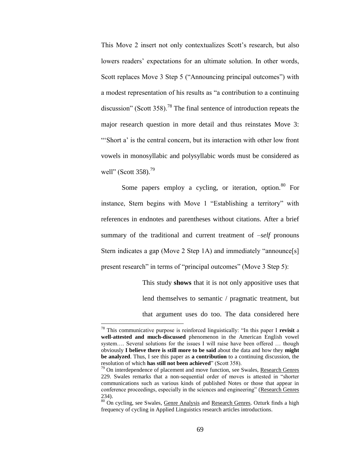This Move 2 insert not only contextualizes Scott's research, but also lowers readers' expectations for an ultimate solution. In other words, Scott replaces Move 3 Step 5 ("Announcing principal outcomes") with a modest representation of his results as "a contribution to a continuing discussion" (Scott 358).<sup>78</sup> The final sentence of introduction repeats the major research question in more detail and thus reinstates Move 3: "Short a' is the central concern, but its interaction with other low front vowels in monosyllabic and polysyllabic words must be considered as well" (Scott 358). $^{79}$ 

Some papers employ a cycling, or iteration, option.<sup>80</sup> For instance, Stern begins with Move 1 "Establishing a territory" with references in endnotes and parentheses without citations. After a brief summary of the traditional and current treatment of *–self* pronouns Stern indicates a gap (Move 2 Step 1A) and immediately "announce[s] present research" in terms of "principal outcomes" (Move 3 Step 5):

> This study **shows** that it is not only appositive uses that lend themselves to semantic / pragmatic treatment, but that argument uses do too. The data considered here

<sup>78</sup> This communicative purpose is reinforced linguistically: "In this paper I **revisit** a **well-attested and much-discussed** phenomenon in the American English vowel system…. Several solutions for the issues I will raise have been offered … though obviously **I believe there is still more to be said** about the data and how they **might be analyzed**. Thus, I see this paper as **a contribution** to a continuing discussion, the resolution of which **has still not been achieved**" (Scott 358).

 $79$  On interdependence of placement and move function, see Swales, Research Genres 229. Swales remarks that a non-sequential order of moves is attested in "shorter communications such as various kinds of published Notes or those that appear in conference proceedings, especially in the sciences and engineering" (Research Genres 234).

<sup>80</sup> On cycling, see Swales, Genre Analysis and Research Genres. Ozturk finds a high frequency of cycling in Applied Linguistics research articles introductions.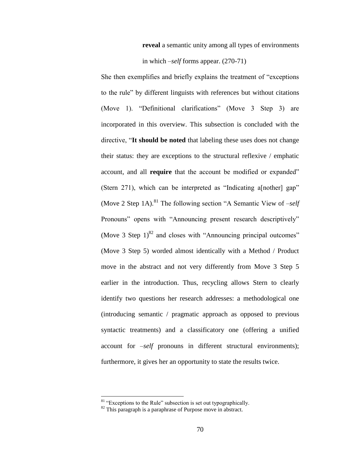**reveal** a semantic unity among all types of environments

in which *–self* forms appear. (270-71)

She then exemplifies and briefly explains the treatment of "exceptions to the rule" by different linguists with references but without citations (Move 1). "Definitional clarifications" (Move 3 Step 3) are incorporated in this overview. This subsection is concluded with the directive, "**It should be noted** that labeling these uses does not change their status: they are exceptions to the structural reflexive / emphatic account, and all **require** that the account be modified or expanded" (Stern 271), which can be interpreted as "Indicating a[nother] gap" (Move 2 Step 1A).<sup>81</sup> The following section "A Semantic View of  $-self$ Pronouns" opens with "Announcing present research descriptively" (Move 3 Step  $1$ )<sup>82</sup> and closes with "Announcing principal outcomes" (Move 3 Step 5) worded almost identically with a Method / Product move in the abstract and not very differently from Move 3 Step 5 earlier in the introduction. Thus, recycling allows Stern to clearly identify two questions her research addresses: a methodological one (introducing semantic / pragmatic approach as opposed to previous syntactic treatments) and a classificatory one (offering a unified account for *–self* pronouns in different structural environments); furthermore, it gives her an opportunity to state the results twice.

<sup>&</sup>lt;sup>81</sup> "Exceptions to the Rule" subsection is set out typographically.

 $82$  This paragraph is a paraphrase of Purpose move in abstract.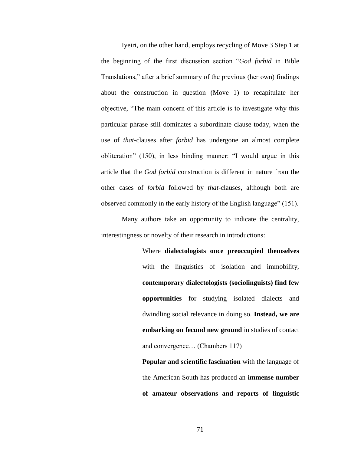Iyeiri, on the other hand, employs recycling of Move 3 Step 1 at the beginning of the first discussion section "*God forbid* in Bible Translations," after a brief summary of the previous (her own) findings about the construction in question (Move 1) to recapitulate her objective, "The main concern of this article is to investigate why this particular phrase still dominates a subordinate clause today, when the use of *that*-clauses after *forbid* has undergone an almost complete obliteration" (150), in less binding manner: "I would argue in this article that the *God forbid* construction is different in nature from the other cases of *forbid* followed by *that*-clauses, although both are observed commonly in the early history of the English language" (151).

Many authors take an opportunity to indicate the centrality, interestingness or novelty of their research in introductions:

> Where **dialectologists once preoccupied themselves** with the linguistics of isolation and immobility, **contemporary dialectologists (sociolinguists) find few opportunities** for studying isolated dialects and dwindling social relevance in doing so. **Instead, we are embarking on fecund new ground** in studies of contact and convergence… (Chambers 117)

> **Popular and scientific fascination** with the language of the American South has produced an **immense number of amateur observations and reports of linguistic**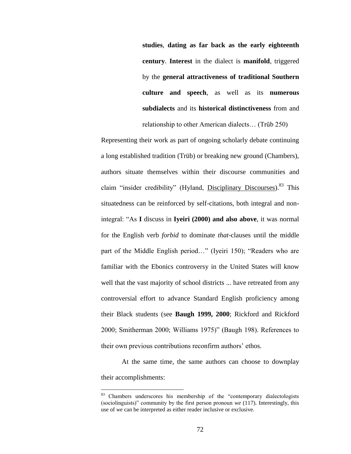**studies**, **dating as far back as the early eighteenth century**. **Interest** in the dialect is **manifold**, triggered by the **general attractiveness of traditional Southern culture and speech**, as well as its **numerous subdialects** and its **historical distinctiveness** from and relationship to other American dialects… (Trüb 250)

Representing their work as part of ongoing scholarly debate continuing a long established tradition (Trüb) or breaking new ground (Chambers), authors situate themselves within their discourse communities and claim "insider credibility" (Hyland, Disciplinary Discourses).<sup>83</sup> This situatedness can be reinforced by self-citations, both integral and nonintegral: "As **I** discuss in **Iyeiri (2000) and also above**, it was normal for the English verb *forbid* to dominate *that*-clauses until the middle part of the Middle English period…" (Iyeiri 150); "Readers who are familiar with the Ebonics controversy in the United States will know well that the vast majority of school districts ... have retreated from any controversial effort to advance Standard English proficiency among their Black students (see **Baugh 1999, 2000**; Rickford and Rickford 2000; Smitherman 2000; Williams 1975)" (Baugh 198). References to their own previous contributions reconfirm authors' ethos.

At the same time, the same authors can choose to downplay their accomplishments:

<sup>83</sup> Chambers underscores his membership of the "contemporary dialectologists (sociolinguists)" community by the first person pronoun *we* (117). Interestingly, this use of *we* can be interpreted as either reader inclusive or exclusive.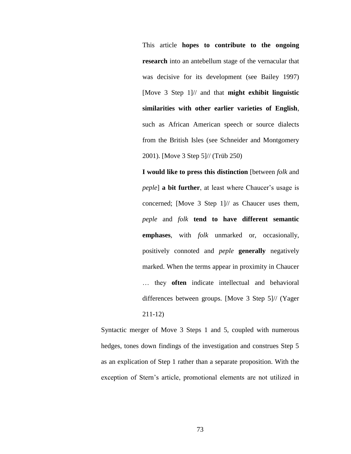This article **hopes to contribute to the ongoing research** into an antebellum stage of the vernacular that was decisive for its development (see Bailey 1997) [Move 3 Step 1]// and that **might exhibit linguistic similarities with other earlier varieties of English**, such as African American speech or source dialects from the British Isles (see Schneider and Montgomery 2001). [Move 3 Step 5]// (Trüb 250)

**I would like to press this distinction** [between *folk* and *peple*] **a bit further**, at least where Chaucer's usage is concerned; [Move 3 Step 1]// as Chaucer uses them, *peple* and *folk* **tend to have different semantic emphases**, with *folk* unmarked or, occasionally, positively connoted and *peple* **generally** negatively marked. When the terms appear in proximity in Chaucer … they **often** indicate intellectual and behavioral differences between groups. [Move 3 Step 5]// (Yager 211-12)

Syntactic merger of Move 3 Steps 1 and 5, coupled with numerous hedges, tones down findings of the investigation and construes Step 5 as an explication of Step 1 rather than a separate proposition. With the exception of Stern"s article, promotional elements are not utilized in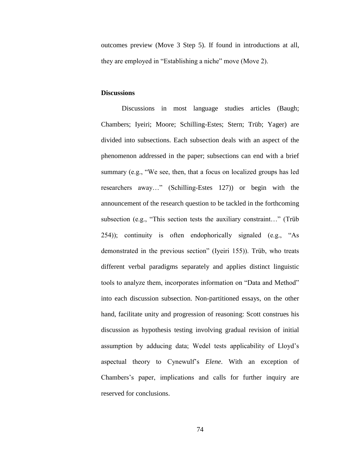outcomes preview (Move 3 Step 5). If found in introductions at all, they are employed in "Establishing a niche" move (Move 2).

# **Discussions**

Discussions in most language studies articles (Baugh; Chambers; Iyeiri; Moore; Schilling-Estes; Stern; Trüb; Yager) are divided into subsections. Each subsection deals with an aspect of the phenomenon addressed in the paper; subsections can end with a brief summary (e.g., "We see, then, that a focus on localized groups has led researchers away…" (Schilling-Estes 127)) or begin with the announcement of the research question to be tackled in the forthcoming subsection (e.g., "This section tests the auxiliary constraint…" (Trüb 254)); continuity is often endophorically signaled (e.g., "As demonstrated in the previous section" (Iyeiri 155)). Trüb, who treats different verbal paradigms separately and applies distinct linguistic tools to analyze them, incorporates information on "Data and Method" into each discussion subsection. Non-partitioned essays, on the other hand, facilitate unity and progression of reasoning: Scott construes his discussion as hypothesis testing involving gradual revision of initial assumption by adducing data; Wedel tests applicability of Lloyd"s aspectual theory to Cynewulf"s *Elene*. With an exception of Chambers"s paper, implications and calls for further inquiry are reserved for conclusions.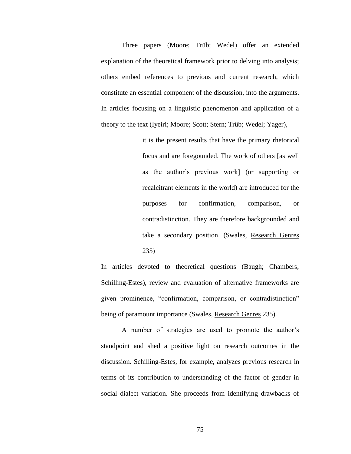Three papers (Moore; Trüb; Wedel) offer an extended explanation of the theoretical framework prior to delving into analysis; others embed references to previous and current research, which constitute an essential component of the discussion, into the arguments. In articles focusing on a linguistic phenomenon and application of a theory to the text (Iyeiri; Moore; Scott; Stern; Trüb; Wedel; Yager),

> it is the present results that have the primary rhetorical focus and are foregounded. The work of others [as well as the author"s previous work] (or supporting or recalcitrant elements in the world) are introduced for the purposes for confirmation, comparison, or contradistinction. They are therefore backgrounded and take a secondary position. (Swales, Research Genres 235)

In articles devoted to theoretical questions (Baugh; Chambers; Schilling-Estes), review and evaluation of alternative frameworks are given prominence, "confirmation, comparison, or contradistinction" being of paramount importance (Swales, Research Genres 235).

A number of strategies are used to promote the author"s standpoint and shed a positive light on research outcomes in the discussion. Schilling-Estes, for example, analyzes previous research in terms of its contribution to understanding of the factor of gender in social dialect variation. She proceeds from identifying drawbacks of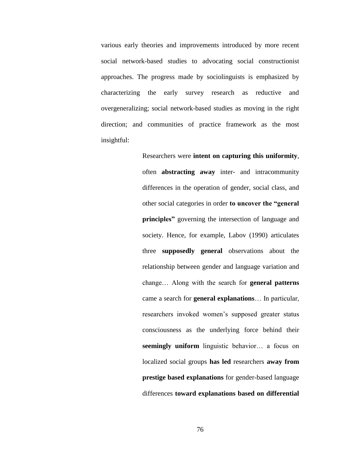various early theories and improvements introduced by more recent social network-based studies to advocating social constructionist approaches. The progress made by sociolinguists is emphasized by characterizing the early survey research as reductive and overgeneralizing; social network-based studies as moving in the right direction; and communities of practice framework as the most insightful:

> Researchers were **intent on capturing this uniformity**, often **abstracting away** inter- and intracommunity differences in the operation of gender, social class, and other social categories in order **to uncover the "general principles"** governing the intersection of language and society. Hence, for example, Labov (1990) articulates three **supposedly general** observations about the relationship between gender and language variation and change… Along with the search for **general patterns** came a search for **general explanations**… In particular, researchers invoked women"s supposed greater status consciousness as the underlying force behind their **seemingly uniform** linguistic behavior… a focus on localized social groups **has led** researchers **away from prestige based explanations** for gender-based language differences **toward explanations based on differential**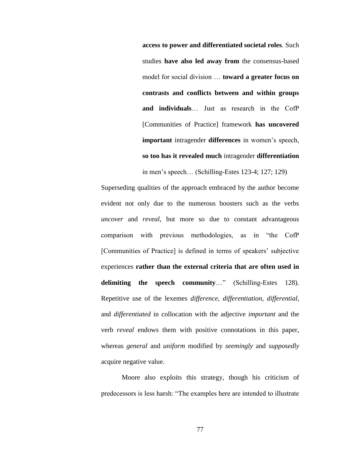**access to power and differentiated societal roles**. Such studies **have also led away from** the consensus-based model for social division … **toward a greater focus on contrasts and conflicts between and within groups and individuals**… Just as research in the CofP [Communities of Practice] framework **has uncovered important** intragender **differences** in women"s speech, **so too has it revealed much** intragender **differentiation**

in men"s speech… (Schilling-Estes 123-4; 127; 129)

Superseding qualities of the approach embraced by the author become evident not only due to the numerous boosters such as the verbs *uncover* and *reveal*, but more so due to constant advantageous comparison with previous methodologies, as in "the CofP [Communities of Practice] is defined in terms of speakers' subjective experiences **rather than the external criteria that are often used in delimiting the speech community**…" (Schilling-Estes 128). Repetitive use of the lexemes *difference*, *differentiation*, *differential*, and *differentiated* in collocation with the adjective *important* and the verb *reveal* endows them with positive connotations in this paper, whereas *general* and *uniform* modified by *seemingly* and *supposedly* acquire negative value.

Moore also exploits this strategy, though his criticism of predecessors is less harsh: "The examples here are intended to illustrate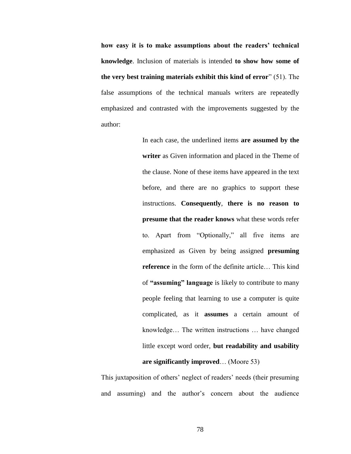**how easy it is to make assumptions about the readers' technical knowledge**. Inclusion of materials is intended **to show how some of the very best training materials exhibit this kind of error**" (51). The false assumptions of the technical manuals writers are repeatedly emphasized and contrasted with the improvements suggested by the author:

> In each case, the underlined items **are assumed by the writer** as Given information and placed in the Theme of the clause. None of these items have appeared in the text before, and there are no graphics to support these instructions. **Consequently**, **there is no reason to presume that the reader knows** what these words refer to. Apart from "Optionally," all five items are emphasized as Given by being assigned **presuming reference** in the form of the definite article… This kind of **"assuming" language** is likely to contribute to many people feeling that learning to use a computer is quite complicated, as it **assumes** a certain amount of knowledge… The written instructions … have changed little except word order, **but readability and usability are significantly improved**… (Moore 53)

This juxtaposition of others' neglect of readers' needs (their presuming and assuming) and the author"s concern about the audience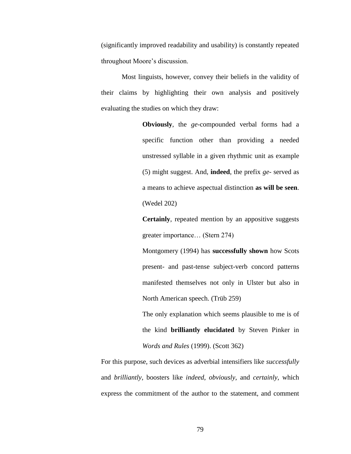(significantly improved readability and usability) is constantly repeated throughout Moore"s discussion.

Most linguists, however, convey their beliefs in the validity of their claims by highlighting their own analysis and positively evaluating the studies on which they draw:

> **Obviously**, the *ge*-compounded verbal forms had a specific function other than providing a needed unstressed syllable in a given rhythmic unit as example (5) might suggest. And, **indeed**, the prefix *ge*- served as a means to achieve aspectual distinction **as will be seen**. (Wedel 202)

> **Certainly**, repeated mention by an appositive suggests greater importance… (Stern 274)

> Montgomery (1994) has **successfully shown** how Scots present- and past-tense subject-verb concord patterns manifested themselves not only in Ulster but also in North American speech. (Trüb 259)

> The only explanation which seems plausible to me is of the kind **brilliantly elucidated** by Steven Pinker in *Words and Rules* (1999). (Scott 362)

For this purpose, such devices as adverbial intensifiers like *successfully* and *brilliantly*, boosters like *indeed*, *obviously*, and *certainly*, which express the commitment of the author to the statement, and comment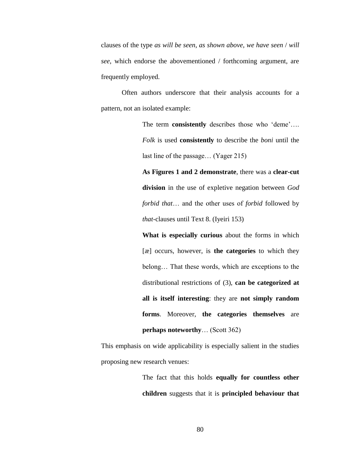clauses of the type *as will be seen*, *as shown above*, *we have seen* / *will see*, which endorse the abovementioned / forthcoming argument, are frequently employed.

Often authors underscore that their analysis accounts for a pattern, not an isolated example:

> The term **consistently** describes those who 'deme'.... *Folk* is used **consistently** to describe the *boni* until the last line of the passage… (Yager 215)

> **As Figures 1 and 2 demonstrate**, there was a **clear-cut division** in the use of expletive negation between *God forbid that*… and the other uses of *forbid* followed by *that*-clauses until Text 8. (Iyeiri 153)

> **What is especially curious** about the forms in which [æ] occurs, however, is **the categories** to which they belong… That these words, which are exceptions to the distributional restrictions of (3), **can be categorized at all is itself interesting**: they are **not simply random forms**. Moreover, **the categories themselves** are **perhaps noteworthy**… (Scott 362)

This emphasis on wide applicability is especially salient in the studies proposing new research venues:

> The fact that this holds **equally for countless other children** suggests that it is **principled behaviour that**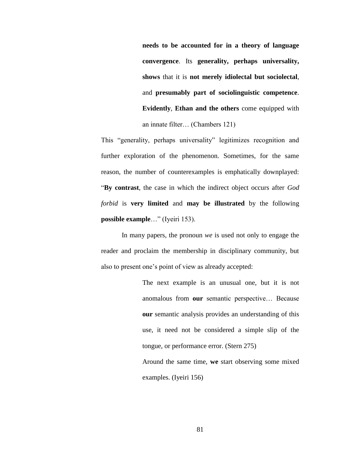**needs to be accounted for in a theory of language convergence**. Its **generality, perhaps universality, shows** that it is **not merely idiolectal but sociolectal**, and **presumably part of sociolinguistic competence**. **Evidently**, **Ethan and the others** come equipped with an innate filter… (Chambers 121)

This "generality, perhaps universality" legitimizes recognition and further exploration of the phenomenon. Sometimes, for the same reason, the number of counterexamples is emphatically downplayed: "**By contrast**, the case in which the indirect object occurs after *God forbid* is **very limited** and **may be illustrated** by the following **possible example**…" (Iyeiri 153).

In many papers, the pronoun *we* is used not only to engage the reader and proclaim the membership in disciplinary community, but also to present one"s point of view as already accepted:

> The next example is an unusual one, but it is not anomalous from **our** semantic perspective… Because **our** semantic analysis provides an understanding of this use, it need not be considered a simple slip of the tongue, or performance error. (Stern 275)

> Around the same time, **we** start observing some mixed examples. (Iyeiri 156)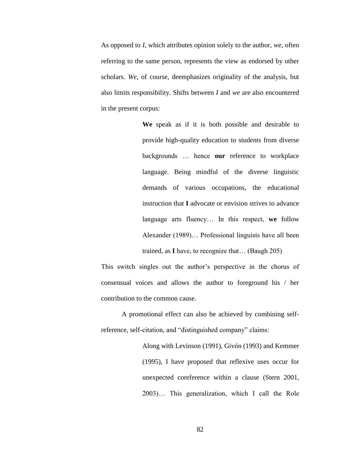As opposed to *I*, which attributes opinion solely to the author, *we*, often referring to the same person, represents the view as endorsed by other scholars. *We*, of course, deemphasizes originality of the analysis, but also limits responsibility. Shifts between *I* and *we* are also encountered in the present corpus:

> **We** speak as if it is both possible and desirable to provide high-quality education to students from diverse backgrounds … hence **our** reference to workplace language. Being mindful of the diverse linguistic demands of various occupations, the educational instruction that **I** advocate or envision strives to advance language arts fluency… In this respect, **we** follow Alexander (1989)… Professional linguists have all been trained, as **I** have, to recognize that… (Baugh 205)

This switch singles out the author's perspective in the chorus of consensual voices and allows the author to foreground his / her contribution to the common cause.

A promotional effect can also be achieved by combining selfreference, self-citation, and "distinguished company" claims:

> Along with Levinson (1991), Givón (1993) and Kemmer (1995), I have proposed that reflexive uses occur for unexpected coreference within a clause (Stern 2001, 2003)… This generalization, which I call the Role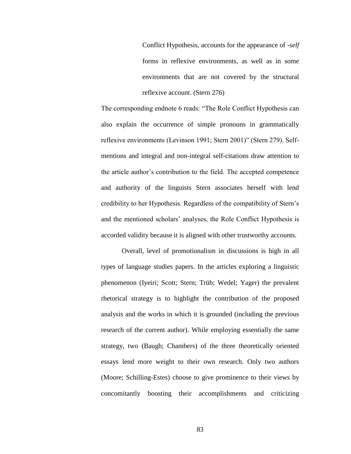Conflict Hypothesis, accounts for the appearance of -*self* forms in reflexive environments, as well as in some environments that are not covered by the structural reflexive account. (Stern 276)

The corresponding endnote 6 reads: "The Role Conflict Hypothesis can also explain the occurrence of simple pronouns in grammatically reflexive environments (Levinson 1991; Stern 2001)" (Stern 279). Selfmentions and integral and non-integral self-citations draw attention to the article author"s contribution to the field. The accepted competence and authority of the linguists Stern associates herself with lend credibility to her Hypothesis. Regardless of the compatibility of Stern"s and the mentioned scholars" analyses, the Role Conflict Hypothesis is accorded validity because it is aligned with other trustworthy accounts.

Overall, level of promotionalism in discussions is high in all types of language studies papers. In the articles exploring a linguistic phenomenon (Iyeiri; Scott; Stern; Trüb; Wedel; Yager) the prevalent rhetorical strategy is to highlight the contribution of the proposed analysis and the works in which it is grounded (including the previous research of the current author). While employing essentially the same strategy, two (Baugh; Chambers) of the three theoretically oriented essays lend more weight to their own research. Only two authors (Moore; Schilling-Estes) choose to give prominence to their views by concomitantly boosting their accomplishments and criticizing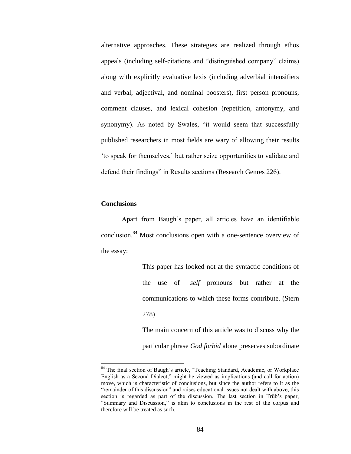alternative approaches. These strategies are realized through ethos appeals (including self-citations and "distinguished company" claims) along with explicitly evaluative lexis (including adverbial intensifiers and verbal, adjectival, and nominal boosters), first person pronouns, comment clauses, and lexical cohesion (repetition, antonymy, and synonymy). As noted by Swales, "it would seem that successfully published researchers in most fields are wary of allowing their results "to speak for themselves," but rather seize opportunities to validate and defend their findings" in Results sections (Research Genres 226).

### **Conclusions**

 $\overline{a}$ 

Apart from Baugh"s paper, all articles have an identifiable conclusion.<sup>84</sup> Most conclusions open with a one-sentence overview of the essay:

> This paper has looked not at the syntactic conditions of the use of *–self* pronouns but rather at the communications to which these forms contribute. (Stern 278) The main concern of this article was to discuss why the

> particular phrase *God forbid* alone preserves subordinate

<sup>&</sup>lt;sup>84</sup> The final section of Baugh's article, "Teaching Standard, Academic, or Workplace English as a Second Dialect," might be viewed as implications (and call for action) move, which is characteristic of conclusions, but since the author refers to it as the "remainder of this discussion" and raises educational issues not dealt with above, this section is regarded as part of the discussion. The last section in Trüb's paper, "Summary and Discussion," is akin to conclusions in the rest of the corpus and therefore will be treated as such.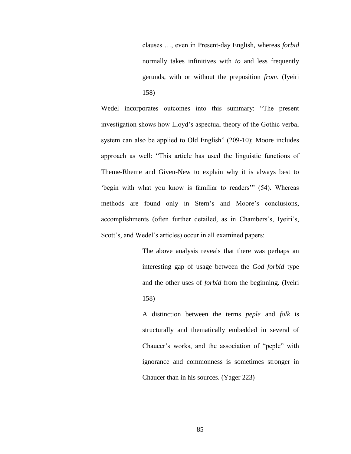clauses …, even in Present-day English, whereas *forbid* normally takes infinitives with *to* and less frequently gerunds, with or without the preposition *from*. (Iyeiri 158)

Wedel incorporates outcomes into this summary: "The present investigation shows how Lloyd"s aspectual theory of the Gothic verbal system can also be applied to Old English" (209-10); Moore includes approach as well: "This article has used the linguistic functions of Theme-Rheme and Given-New to explain why it is always best to "begin with what you know is familiar to readers" (54). Whereas methods are found only in Stern's and Moore's conclusions, accomplishments (often further detailed, as in Chambers's, Iyeiri's, Scott's, and Wedel's articles) occur in all examined papers:

> The above analysis reveals that there was perhaps an interesting gap of usage between the *God forbid* type and the other uses of *forbid* from the beginning. (Iyeiri 158)

> A distinction between the terms *peple* and *folk* is structurally and thematically embedded in several of Chaucer"s works, and the association of "peple" with ignorance and commonness is sometimes stronger in Chaucer than in his sources. (Yager 223)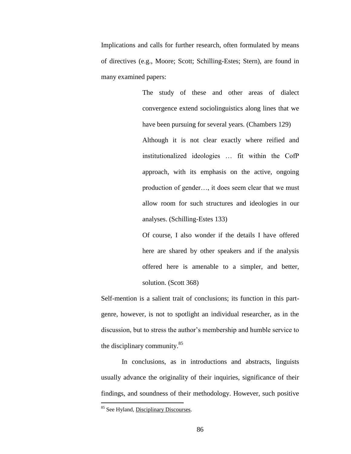Implications and calls for further research, often formulated by means of directives (e.g., Moore; Scott; Schilling-Estes; Stern), are found in many examined papers:

> The study of these and other areas of dialect convergence extend sociolinguistics along lines that we have been pursuing for several years. (Chambers 129) Although it is not clear exactly where reified and institutionalized ideologies … fit within the CofP approach, with its emphasis on the active, ongoing production of gender…, it does seem clear that we must allow room for such structures and ideologies in our

analyses. (Schilling-Estes 133)

Of course, I also wonder if the details I have offered here are shared by other speakers and if the analysis offered here is amenable to a simpler, and better, solution. (Scott 368)

Self-mention is a salient trait of conclusions; its function in this partgenre, however, is not to spotlight an individual researcher, as in the discussion, but to stress the author"s membership and humble service to the disciplinary community.<sup>85</sup>

In conclusions, as in introductions and abstracts, linguists usually advance the originality of their inquiries, significance of their findings, and soundness of their methodology. However, such positive

<sup>85</sup> See Hyland, Disciplinary Discourses.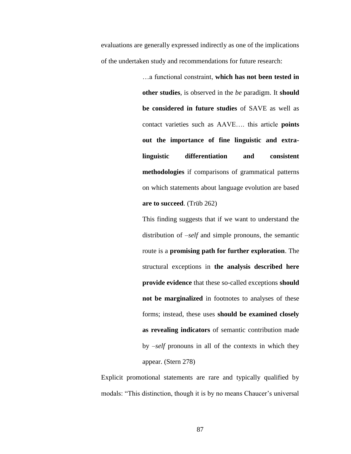evaluations are generally expressed indirectly as one of the implications of the undertaken study and recommendations for future research:

> …a functional constraint, **which has not been tested in other studies**, is observed in the *be* paradigm. It **should be considered in future studies** of SAVE as well as contact varieties such as AAVE…. this article **points out the importance of fine linguistic and extralinguistic differentiation and consistent methodologies** if comparisons of grammatical patterns on which statements about language evolution are based **are to succeed**. (Trüb 262)

> This finding suggests that if we want to understand the distribution of *–self* and simple pronouns, the semantic route is a **promising path for further exploration**. The structural exceptions in **the analysis described here provide evidence** that these so-called exceptions **should not be marginalized** in footnotes to analyses of these forms; instead, these uses **should be examined closely as revealing indicators** of semantic contribution made by *–self* pronouns in all of the contexts in which they appear. (Stern 278)

Explicit promotional statements are rare and typically qualified by modals: "This distinction, though it is by no means Chaucer's universal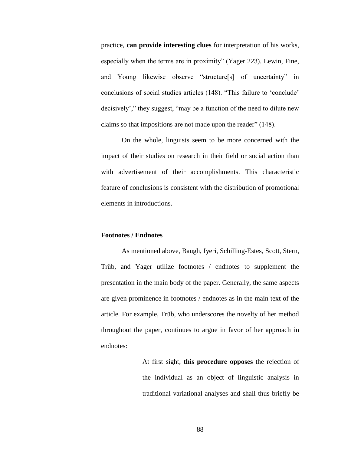practice, **can provide interesting clues** for interpretation of his works, especially when the terms are in proximity" (Yager 223). Lewin, Fine, and Young likewise observe "structure[s] of uncertainty" in conclusions of social studies articles (148). "This failure to "conclude" decisively"," they suggest, "may be a function of the need to dilute new claims so that impositions are not made upon the reader" (148).

On the whole, linguists seem to be more concerned with the impact of their studies on research in their field or social action than with advertisement of their accomplishments. This characteristic feature of conclusions is consistent with the distribution of promotional elements in introductions.

### **Footnotes / Endnotes**

As mentioned above, Baugh, Iyeri, Schilling-Estes, Scott, Stern, Trüb, and Yager utilize footnotes / endnotes to supplement the presentation in the main body of the paper. Generally, the same aspects are given prominence in footnotes / endnotes as in the main text of the article. For example, Trüb, who underscores the novelty of her method throughout the paper, continues to argue in favor of her approach in endnotes:

> At first sight, **this procedure opposes** the rejection of the individual as an object of linguistic analysis in traditional variational analyses and shall thus briefly be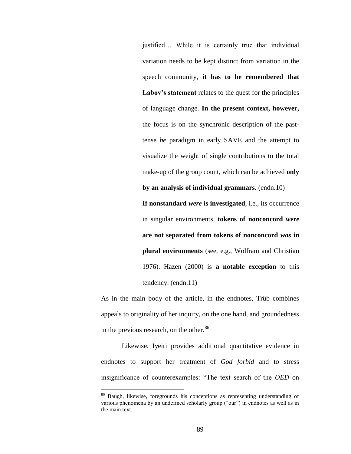justified… While it is certainly true that individual variation needs to be kept distinct from variation in the speech community, **it has to be remembered that Labov's statement** relates to the quest for the principles of language change. **In the present context, however,** the focus is on the synchronic description of the pasttense *be* paradigm in early SAVE and the attempt to visualize the weight of single contributions to the total make-up of the group count, which can be achieved **only** 

**If nonstandard** *were* **is investigated**, i.e., its occurrence in singular environments, **tokens of nonconcord** *were* **are not separated from tokens of nonconcord** *was* **in plural environments** (see, e.g., Wolfram and Christian 1976). Hazen (2000) is **a notable exception** to this tendency. (endn.11)

**by an analysis of individual grammars**. (endn.10)

As in the main body of the article, in the endnotes, Trüb combines appeals to originality of her inquiry, on the one hand, and groundedness in the previous research, on the other.<sup>86</sup>

Likewise, Iyeiri provides additional quantitative evidence in endnotes to support her treatment of *God forbid* and to stress insignificance of counterexamples: "The text search of the *OED* on

<sup>86</sup> Baugh, likewise, foregrounds his conceptions as representing understanding of various phenomena by an undefined scholarly group ("our") in endnotes as well as in the main text.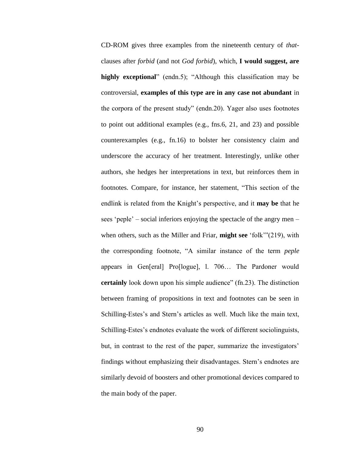CD-ROM gives three examples from the nineteenth century of *that*clauses after *forbid* (and not *God forbid*), which, **I would suggest, are highly exceptional**" (endn.5); "Although this classification may be controversial, **examples of this type are in any case not abundant** in the corpora of the present study" (endn.20). Yager also uses footnotes to point out additional examples (e.g., fns.6, 21, and 23) and possible counterexamples (e.g., fn.16) to bolster her consistency claim and underscore the accuracy of her treatment. Interestingly, unlike other authors, she hedges her interpretations in text, but reinforces them in footnotes. Compare, for instance, her statement, "This section of the endlink is related from the Knight's perspective, and it **may be** that he sees "peple" – social inferiors enjoying the spectacle of the angry men – when others, such as the Miller and Friar, **might see** "folk""(219), with the corresponding footnote, "A similar instance of the term *peple* appears in Gen[eral] Pro[logue], l. 706… The Pardoner would **certainly** look down upon his simple audience" (fn.23). The distinction between framing of propositions in text and footnotes can be seen in Schilling-Estes's and Stern's articles as well. Much like the main text, Schilling-Estes's endnotes evaluate the work of different sociolinguists, but, in contrast to the rest of the paper, summarize the investigators' findings without emphasizing their disadvantages. Stern's endnotes are similarly devoid of boosters and other promotional devices compared to the main body of the paper.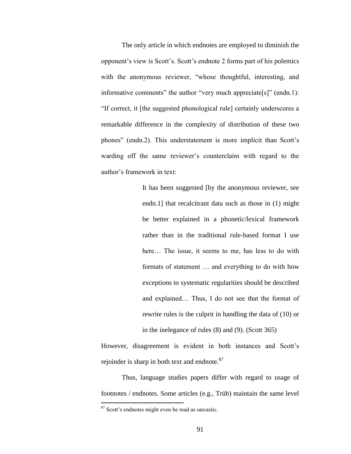The only article in which endnotes are employed to diminish the opponent"s view is Scott"s. Scott"s endnote 2 forms part of his polemics with the anonymous reviewer, "whose thoughtful, interesting, and informative comments" the author "very much appreciate[s]" (endn.1): "If correct, it [the suggested phonological rule] certainly underscores a remarkable difference in the complexity of distribution of these two phones" (endn.2). This understatement is more implicit than Scott's warding off the same reviewer"s counterclaim with regard to the author"s framework in text:

> It has been suggested [by the anonymous reviewer, see endn.1] that recalcitrant data such as those in (1) might be better explained in a phonetic/lexical framework rather than in the traditional rule-based format I use here... The issue, it seems to me, has less to do with formats of statement … and everything to do with how exceptions to systematic regularities should be described and explained… Thus, I do not see that the format of rewrite rules is the culprit in handling the data of (10) or in the inelegance of rules (8) and (9). (Scott 365)

However, disagreement is evident in both instances and Scott's rejoinder is sharp in both text and endnote.<sup>87</sup>

Thus, language studies papers differ with regard to usage of footnotes / endnotes. Some articles (e.g., Trüb) maintain the same level

<sup>87</sup> Scott"s endnotes might even be read as sarcastic.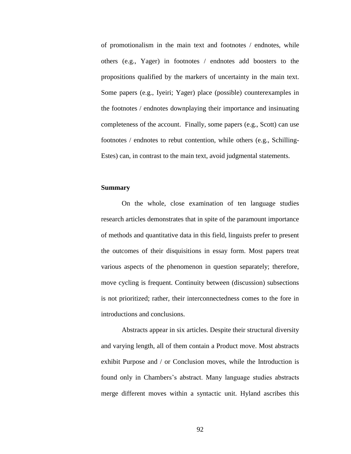of promotionalism in the main text and footnotes / endnotes, while others (e.g., Yager) in footnotes / endnotes add boosters to the propositions qualified by the markers of uncertainty in the main text. Some papers (e.g., Iyeiri; Yager) place (possible) counterexamples in the footnotes / endnotes downplaying their importance and insinuating completeness of the account. Finally, some papers (e.g., Scott) can use footnotes / endnotes to rebut contention, while others (e.g., Schilling-Estes) can, in contrast to the main text, avoid judgmental statements.

### **Summary**

On the whole, close examination of ten language studies research articles demonstrates that in spite of the paramount importance of methods and quantitative data in this field, linguists prefer to present the outcomes of their disquisitions in essay form. Most papers treat various aspects of the phenomenon in question separately; therefore, move cycling is frequent. Continuity between (discussion) subsections is not prioritized; rather, their interconnectedness comes to the fore in introductions and conclusions.

Abstracts appear in six articles. Despite their structural diversity and varying length, all of them contain a Product move. Most abstracts exhibit Purpose and / or Conclusion moves, while the Introduction is found only in Chambers"s abstract. Many language studies abstracts merge different moves within a syntactic unit. Hyland ascribes this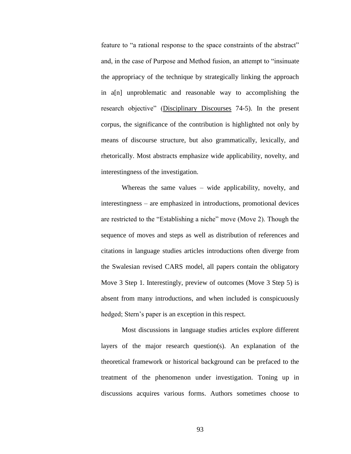feature to "a rational response to the space constraints of the abstract" and, in the case of Purpose and Method fusion, an attempt to "insinuate the appropriacy of the technique by strategically linking the approach in a[n] unproblematic and reasonable way to accomplishing the research objective" (Disciplinary Discourses 74-5). In the present corpus, the significance of the contribution is highlighted not only by means of discourse structure, but also grammatically, lexically, and rhetorically. Most abstracts emphasize wide applicability, novelty, and interestingness of the investigation.

Whereas the same values – wide applicability, novelty, and interestingness – are emphasized in introductions, promotional devices are restricted to the "Establishing a niche" move (Move 2). Though the sequence of moves and steps as well as distribution of references and citations in language studies articles introductions often diverge from the Swalesian revised CARS model, all papers contain the obligatory Move 3 Step 1. Interestingly, preview of outcomes (Move 3 Step 5) is absent from many introductions, and when included is conspicuously hedged; Stern's paper is an exception in this respect.

Most discussions in language studies articles explore different layers of the major research question(s). An explanation of the theoretical framework or historical background can be prefaced to the treatment of the phenomenon under investigation. Toning up in discussions acquires various forms. Authors sometimes choose to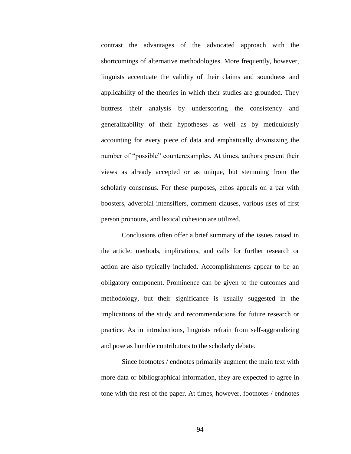contrast the advantages of the advocated approach with the shortcomings of alternative methodologies. More frequently, however, linguists accentuate the validity of their claims and soundness and applicability of the theories in which their studies are grounded. They buttress their analysis by underscoring the consistency and generalizability of their hypotheses as well as by meticulously accounting for every piece of data and emphatically downsizing the number of "possible" counterexamples. At times, authors present their views as already accepted or as unique, but stemming from the scholarly consensus. For these purposes, ethos appeals on a par with boosters, adverbial intensifiers, comment clauses, various uses of first person pronouns, and lexical cohesion are utilized.

Conclusions often offer a brief summary of the issues raised in the article; methods, implications, and calls for further research or action are also typically included. Accomplishments appear to be an obligatory component. Prominence can be given to the outcomes and methodology, but their significance is usually suggested in the implications of the study and recommendations for future research or practice. As in introductions, linguists refrain from self-aggrandizing and pose as humble contributors to the scholarly debate.

Since footnotes / endnotes primarily augment the main text with more data or bibliographical information, they are expected to agree in tone with the rest of the paper. At times, however, footnotes / endnotes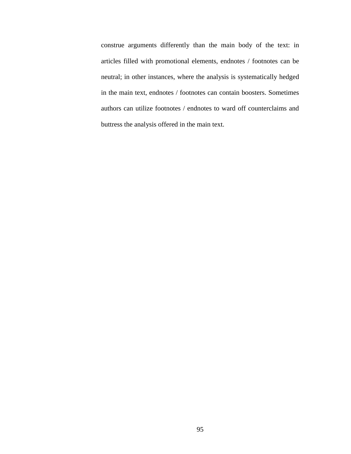construe arguments differently than the main body of the text: in articles filled with promotional elements, endnotes / footnotes can be neutral; in other instances, where the analysis is systematically hedged in the main text, endnotes / footnotes can contain boosters. Sometimes authors can utilize footnotes / endnotes to ward off counterclaims and buttress the analysis offered in the main text.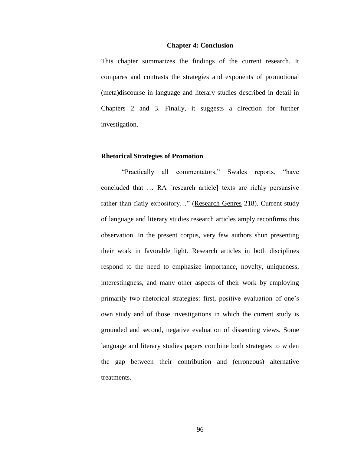#### **Chapter 4: Conclusion**

This chapter summarizes the findings of the current research. It compares and contrasts the strategies and exponents of promotional (meta)discourse in language and literary studies described in detail in Chapters 2 and 3. Finally, it suggests a direction for further investigation.

#### **Rhetorical Strategies of Promotion**

"Practically all commentators," Swales reports, "have concluded that … RA [research article] texts are richly persuasive rather than flatly expository..." (Research Genres 218). Current study of language and literary studies research articles amply reconfirms this observation. In the present corpus, very few authors shun presenting their work in favorable light. Research articles in both disciplines respond to the need to emphasize importance, novelty, uniqueness, interestingness, and many other aspects of their work by employing primarily two rhetorical strategies: first, positive evaluation of one"s own study and of those investigations in which the current study is grounded and second, negative evaluation of dissenting views. Some language and literary studies papers combine both strategies to widen the gap between their contribution and (erroneous) alternative treatments.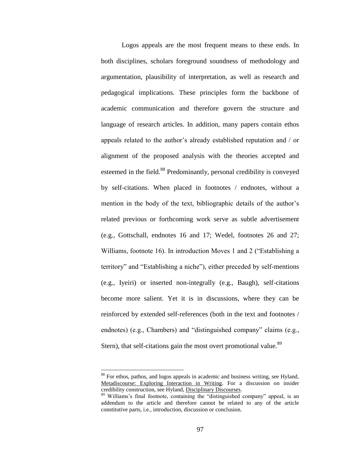Logos appeals are the most frequent means to these ends. In both disciplines, scholars foreground soundness of methodology and argumentation, plausibility of interpretation, as well as research and pedagogical implications. These principles form the backbone of academic communication and therefore govern the structure and language of research articles. In addition, many papers contain ethos appeals related to the author"s already established reputation and / or alignment of the proposed analysis with the theories accepted and esteemed in the field.<sup>88</sup> Predominantly, personal credibility is conveyed by self-citations. When placed in footnotes / endnotes, without a mention in the body of the text, bibliographic details of the author's related previous or forthcoming work serve as subtle advertisement (e.g., Gottschall, endnotes 16 and 17; Wedel, footnotes 26 and 27; Williams, footnote 16). In introduction Moves 1 and 2 ("Establishing a territory" and "Establishing a niche"), either preceded by self-mentions (e.g., Iyeiri) or inserted non-integrally (e.g., Baugh), self-citations become more salient. Yet it is in discussions, where they can be reinforced by extended self-references (both in the text and footnotes / endnotes) (e.g., Chambers) and "distinguished company" claims (e.g., Stern), that self-citations gain the most overt promotional value.<sup>89</sup>

<sup>&</sup>lt;sup>88</sup> For ethos, pathos, and logos appeals in academic and business writing, see Hyland, Metadiscourse: Exploring Interaction in Writing. For a discussion on insider credibility construction, see Hyland, Disciplinary Discourses.

<sup>&</sup>lt;sup>89</sup> Williams's final footnote, containing the "distinguished company" appeal, is an addendum to the article and therefore cannot be related to any of the article constitutive parts, i.e., introduction, discussion or conclusion.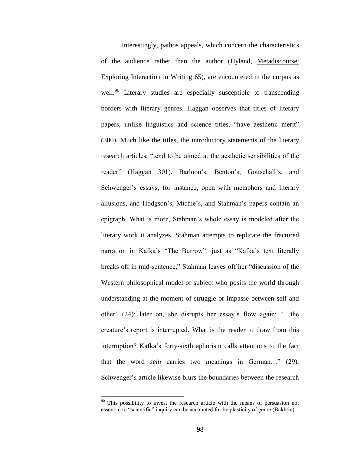Interestingly, pathos appeals, which concern the characteristics of the audience rather than the author (Hyland, Metadiscourse: Exploring Interaction in Writing 65), are encountered in the corpus as well.<sup>90</sup> Literary studies are especially susceptible to transcending borders with literary genres. Haggan observes that titles of literary papers, unlike linguistics and science titles, "have aesthetic merit" (300). Much like the titles, the introductory statements of the literary research articles, "tend to be aimed at the aesthetic sensibilities of the reader" (Haggan 301). Barloon's, Benton's, Gottschall's, and Schwenger's essays, for instance, open with metaphors and literary allusions, and Hodgson's, Michie's, and Stahman's papers contain an epigraph. What is more, Stahman"s whole essay is modeled after the literary work it analyzes. Stahman attempts to replicate the fractured narration in Kafka's "The Burrow": just as "Kafka's text literally breaks off in mid-sentence," Stahman leaves off her "discussion of the Western philosophical model of subject who posits the world through understanding at the moment of struggle or impasse between self and other" (24); later on, she disrupts her essay"s flow again: "…the creature"s report is interrupted. What is the reader to draw from this interruption? Kafka's forty-sixth aphorism calls attentions to the fact that the word *sein* carries two meanings in German…" (29). Schwenger's article likewise blurs the boundaries between the research

<sup>&</sup>lt;sup>90</sup> This possibility to invest the research article with the means of persuasion not essential to "scientific" inquiry can be accounted for by plasticity of genre (Bakhtin).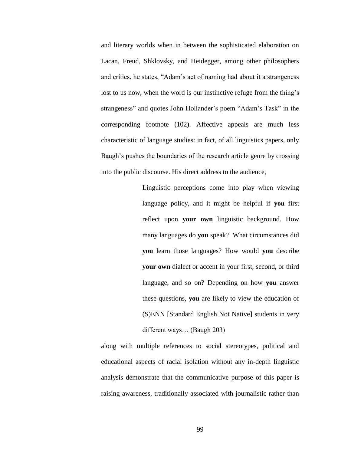and literary worlds when in between the sophisticated elaboration on Lacan, Freud, Shklovsky, and Heidegger, among other philosophers and critics, he states, "Adam"s act of naming had about it a strangeness lost to us now, when the word is our instinctive refuge from the thing's strangeness" and quotes John Hollander"s poem "Adam"s Task" in the corresponding footnote (102). Affective appeals are much less characteristic of language studies: in fact, of all linguistics papers, only Baugh's pushes the boundaries of the research article genre by crossing into the public discourse. His direct address to the audience,

> Linguistic perceptions come into play when viewing language policy, and it might be helpful if **you** first reflect upon **your own** linguistic background. How many languages do **you** speak? What circumstances did **you** learn those languages? How would **you** describe **your own** dialect or accent in your first, second, or third language, and so on? Depending on how **you** answer these questions, **you** are likely to view the education of (S)ENN [Standard English Not Native] students in very different ways… (Baugh 203)

along with multiple references to social stereotypes, political and educational aspects of racial isolation without any in-depth linguistic analysis demonstrate that the communicative purpose of this paper is raising awareness, traditionally associated with journalistic rather than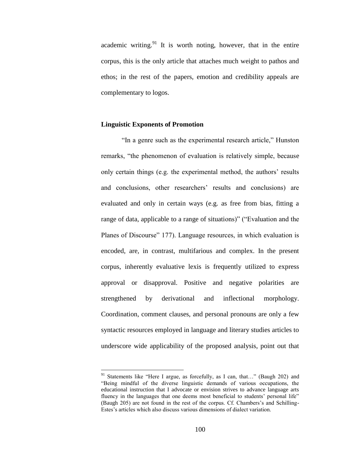academic writing. $91$  It is worth noting, however, that in the entire corpus, this is the only article that attaches much weight to pathos and ethos; in the rest of the papers, emotion and credibility appeals are complementary to logos.

## **Linguistic Exponents of Promotion**

 $\overline{a}$ 

"In a genre such as the experimental research article," Hunston remarks, "the phenomenon of evaluation is relatively simple, because only certain things (e.g. the experimental method, the authors' results and conclusions, other researchers' results and conclusions) are evaluated and only in certain ways (e.g. as free from bias, fitting a range of data, applicable to a range of situations)" ("Evaluation and the Planes of Discourse" 177). Language resources, in which evaluation is encoded, are, in contrast, multifarious and complex. In the present corpus, inherently evaluative lexis is frequently utilized to express approval or disapproval. Positive and negative polarities are strengthened by derivational and inflectional morphology. Coordination, comment clauses, and personal pronouns are only a few syntactic resources employed in language and literary studies articles to underscore wide applicability of the proposed analysis, point out that

<sup>&</sup>lt;sup>91</sup> Statements like "Here I argue, as forcefully, as I can, that..." (Baugh 202) and "Being mindful of the diverse linguistic demands of various occupations, the educational instruction that I advocate or envision strives to advance language arts fluency in the languages that one deems most beneficial to students' personal life" (Baugh 205) are not found in the rest of the corpus. Cf. Chambers's and Schilling-Estes"s articles which also discuss various dimensions of dialect variation.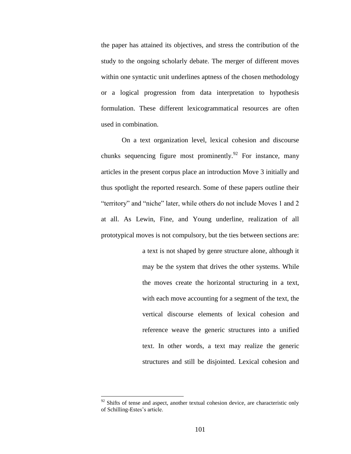the paper has attained its objectives, and stress the contribution of the study to the ongoing scholarly debate. The merger of different moves within one syntactic unit underlines aptness of the chosen methodology or a logical progression from data interpretation to hypothesis formulation. These different lexicogrammatical resources are often used in combination.

On a text organization level, lexical cohesion and discourse chunks sequencing figure most prominently.<sup>92</sup> For instance, many articles in the present corpus place an introduction Move 3 initially and thus spotlight the reported research. Some of these papers outline their "territory" and "niche" later, while others do not include Moves 1 and 2 at all. As Lewin, Fine, and Young underline, realization of all prototypical moves is not compulsory, but the ties between sections are:

> a text is not shaped by genre structure alone, although it may be the system that drives the other systems. While the moves create the horizontal structuring in a text, with each move accounting for a segment of the text, the vertical discourse elements of lexical cohesion and reference weave the generic structures into a unified text. In other words, a text may realize the generic structures and still be disjointed. Lexical cohesion and

 $92$  Shifts of tense and aspect, another textual cohesion device, are characteristic only of Schilling-Estes"s article.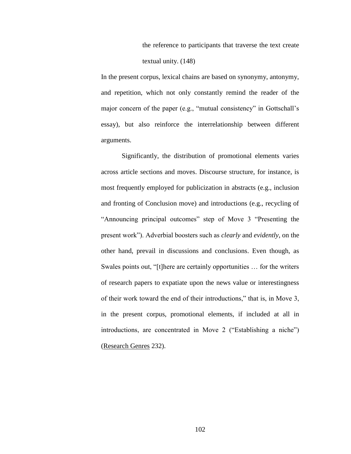the reference to participants that traverse the text create textual unity. (148)

In the present corpus, lexical chains are based on synonymy, antonymy, and repetition, which not only constantly remind the reader of the major concern of the paper (e.g., "mutual consistency" in Gottschall"s essay), but also reinforce the interrelationship between different arguments.

Significantly, the distribution of promotional elements varies across article sections and moves. Discourse structure, for instance, is most frequently employed for publicization in abstracts (e.g., inclusion and fronting of Conclusion move) and introductions (e.g., recycling of "Announcing principal outcomes" step of Move 3 "Presenting the present work"). Adverbial boosters such as *clearly* and *evidently*, on the other hand, prevail in discussions and conclusions. Even though, as Swales points out, "[t]here are certainly opportunities … for the writers of research papers to expatiate upon the news value or interestingness of their work toward the end of their introductions," that is, in Move 3, in the present corpus, promotional elements, if included at all in introductions, are concentrated in Move 2 ("Establishing a niche") (Research Genres 232).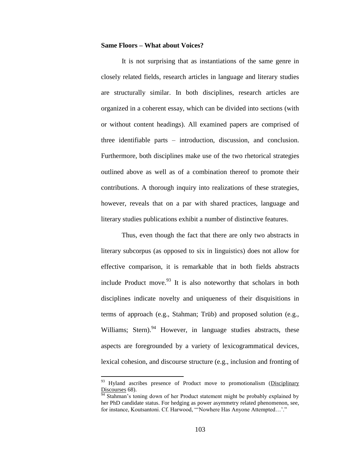### **Same Floors – What about Voices?**

It is not surprising that as instantiations of the same genre in closely related fields, research articles in language and literary studies are structurally similar. In both disciplines, research articles are organized in a coherent essay, which can be divided into sections (with or without content headings). All examined papers are comprised of three identifiable parts – introduction, discussion, and conclusion. Furthermore, both disciplines make use of the two rhetorical strategies outlined above as well as of a combination thereof to promote their contributions. A thorough inquiry into realizations of these strategies, however, reveals that on a par with shared practices, language and literary studies publications exhibit a number of distinctive features.

Thus, even though the fact that there are only two abstracts in literary subcorpus (as opposed to six in linguistics) does not allow for effective comparison, it is remarkable that in both fields abstracts include Product move.<sup>93</sup> It is also noteworthy that scholars in both disciplines indicate novelty and uniqueness of their disquisitions in terms of approach (e.g., Stahman; Trüb) and proposed solution (e.g., Williams; Stern). $94$  However, in language studies abstracts, these aspects are foregrounded by a variety of lexicogrammatical devices, lexical cohesion, and discourse structure (e.g., inclusion and fronting of

<sup>&</sup>lt;sup>93</sup> Hyland ascribes presence of Product move to promotionalism (Disciplinary Discourses 68).

Stahman's toning down of her Product statement might be probably explained by her PhD candidate status. For hedging as power asymmetry related phenomenon, see, for instance, Koutsantoni. Cf. Harwood, "'Nowhere Has Anyone Attempted...'."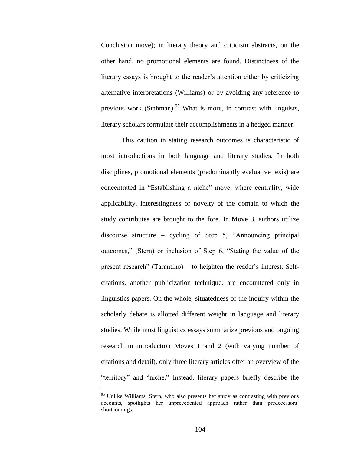Conclusion move); in literary theory and criticism abstracts, on the other hand, no promotional elements are found. Distinctness of the literary essays is brought to the reader"s attention either by criticizing alternative interpretations (Williams) or by avoiding any reference to previous work (Stahman).<sup>95</sup> What is more, in contrast with linguists, literary scholars formulate their accomplishments in a hedged manner.

This caution in stating research outcomes is characteristic of most introductions in both language and literary studies. In both disciplines, promotional elements (predominantly evaluative lexis) are concentrated in "Establishing a niche" move, where centrality, wide applicability, interestingness or novelty of the domain to which the study contributes are brought to the fore. In Move 3, authors utilize discourse structure – cycling of Step 5, "Announcing principal outcomes," (Stern) or inclusion of Step 6, "Stating the value of the present research" (Tarantino) – to heighten the reader"s interest. Selfcitations, another publicization technique, are encountered only in linguistics papers. On the whole, situatedness of the inquiry within the scholarly debate is allotted different weight in language and literary studies. While most linguistics essays summarize previous and ongoing research in introduction Moves 1 and 2 (with varying number of citations and detail), only three literary articles offer an overview of the "territory" and "niche." Instead, literary papers briefly describe the

<sup>&</sup>lt;sup>95</sup> Unlike Williams, Stern, who also presents her study as contrasting with previous accounts, spotlights her unprecedented approach rather than predecessors" shortcomings.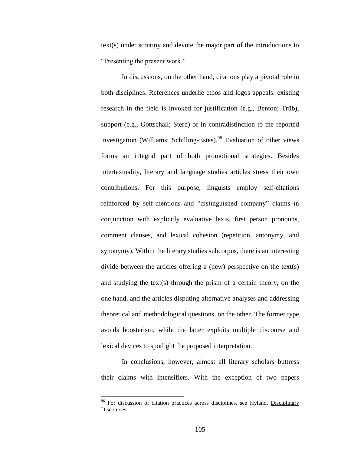text(s) under scrutiny and devote the major part of the introductions to "Presenting the present work."

In discussions, on the other hand, citations play a pivotal role in both disciplines. References underlie ethos and logos appeals: existing research in the field is invoked for justification (e.g., Benton; Trüb), support (e.g., Gottschall; Stern) or in contradistinction to the reported investigation (Williams; Schilling-Estes). <sup>96</sup> Evaluation of other views forms an integral part of both promotional strategies. Besides intertextuality, literary and language studies articles stress their own contributions. For this purpose, linguists employ self-citations reinforced by self-mentions and "distinguished company" claims in conjunction with explicitly evaluative lexis, first person pronouns, comment clauses, and lexical cohesion (repetition, antonymy, and synonymy). Within the literary studies subcorpus, there is an interesting divide between the articles offering a (new) perspective on the text(s) and studying the text(s) through the prism of a certain theory, on the one hand, and the articles disputing alternative analyses and addressing theoretical and methodological questions, on the other. The former type avoids boosterism, while the latter exploits multiple discourse and lexical devices to spotlight the proposed interpretation.

In conclusions, however, almost all literary scholars buttress their claims with intensifiers. With the exception of two papers

<sup>&</sup>lt;sup>96</sup> For discussion of citation practices across disciplines, see Hyland, Disciplinary Discourses.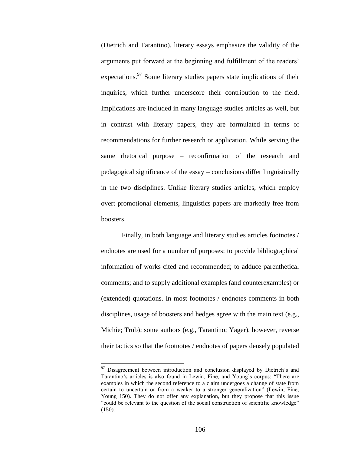(Dietrich and Tarantino), literary essays emphasize the validity of the arguments put forward at the beginning and fulfillment of the readers" expectations.<sup>97</sup> Some literary studies papers state implications of their inquiries, which further underscore their contribution to the field. Implications are included in many language studies articles as well, but in contrast with literary papers, they are formulated in terms of recommendations for further research or application. While serving the same rhetorical purpose – reconfirmation of the research and pedagogical significance of the essay – conclusions differ linguistically in the two disciplines. Unlike literary studies articles, which employ overt promotional elements, linguistics papers are markedly free from boosters.

Finally, in both language and literary studies articles footnotes / endnotes are used for a number of purposes: to provide bibliographical information of works cited and recommended; to adduce parenthetical comments; and to supply additional examples (and counterexamples) or (extended) quotations. In most footnotes / endnotes comments in both disciplines, usage of boosters and hedges agree with the main text (e.g., Michie; Trüb); some authors (e.g., Tarantino; Yager), however, reverse their tactics so that the footnotes / endnotes of papers densely populated

 $97$  Disagreement between introduction and conclusion displayed by Dietrich's and Tarantino"s articles is also found in Lewin, Fine, and Young"s corpus: "There are examples in which the second reference to a claim undergoes a change of state from certain to uncertain or from a weaker to a stronger generalization" (Lewin, Fine, Young 150). They do not offer any explanation, but they propose that this issue "could be relevant to the question of the social construction of scientific knowledge" (150).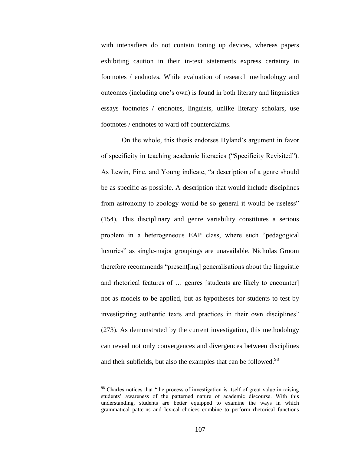with intensifiers do not contain toning up devices, whereas papers exhibiting caution in their in-text statements express certainty in footnotes / endnotes. While evaluation of research methodology and outcomes (including one"s own) is found in both literary and linguistics essays footnotes / endnotes, linguists, unlike literary scholars, use footnotes / endnotes to ward off counterclaims.

On the whole, this thesis endorses Hyland"s argument in favor of specificity in teaching academic literacies ("Specificity Revisited"). As Lewin, Fine, and Young indicate, "a description of a genre should be as specific as possible. A description that would include disciplines from astronomy to zoology would be so general it would be useless" (154). This disciplinary and genre variability constitutes a serious problem in a heterogeneous EAP class, where such "pedagogical luxuries" as single-major groupings are unavailable. Nicholas Groom therefore recommends "present[ing] generalisations about the linguistic and rhetorical features of … genres [students are likely to encounter] not as models to be applied, but as hypotheses for students to test by investigating authentic texts and practices in their own disciplines" (273). As demonstrated by the current investigation, this methodology can reveal not only convergences and divergences between disciplines and their subfields, but also the examples that can be followed.<sup>98</sup>

<sup>&</sup>lt;sup>98</sup> Charles notices that "the process of investigation is itself of great value in raising students" awareness of the patterned nature of academic discourse. With this understanding, students are better equipped to examine the ways in which grammatical patterns and lexical choices combine to perform rhetorical functions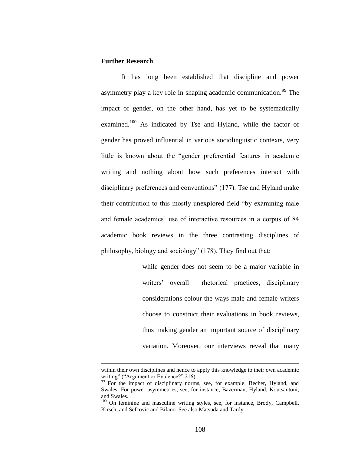# **Further Research**

 $\overline{a}$ 

It has long been established that discipline and power asymmetry play a key role in shaping academic communication.<sup>99</sup> The impact of gender, on the other hand, has yet to be systematically examined.<sup>100</sup> As indicated by Tse and Hyland, while the factor of gender has proved influential in various sociolinguistic contexts, very little is known about the "gender preferential features in academic writing and nothing about how such preferences interact with disciplinary preferences and conventions" (177). Tse and Hyland make their contribution to this mostly unexplored field "by examining male and female academics' use of interactive resources in a corpus of 84 academic book reviews in the three contrasting disciplines of philosophy, biology and sociology" (178). They find out that:

> while gender does not seem to be a major variable in writers' overall rhetorical practices, disciplinary considerations colour the ways male and female writers choose to construct their evaluations in book reviews, thus making gender an important source of disciplinary variation. Moreover, our interviews reveal that many

within their own disciplines and hence to apply this knowledge to their own academic writing" ("Argument or Evidence?" 216).

<sup>&</sup>lt;sup>99</sup> For the impact of disciplinary norms, see, for example, Becher, Hyland, and Swales. For power asymmetries, see, for instance, Bazerman, Hyland, Koutsantoni, and Swales.

<sup>&</sup>lt;sup>100</sup> On feminine and masculine writing styles, see, for instance, Brody, Campbell, Kirsch, and Sefcovic and Bifano. See also Matsuda and Tardy.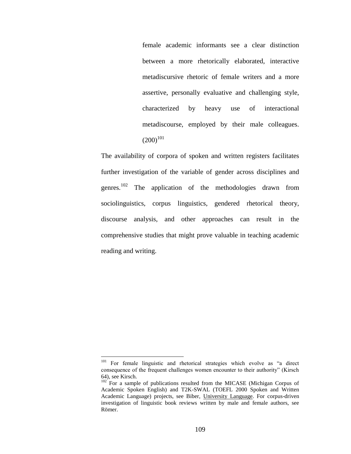female academic informants see a clear distinction between a more rhetorically elaborated, interactive metadiscursive rhetoric of female writers and a more assertive, personally evaluative and challenging style, characterized by heavy use of interactional metadiscourse, employed by their male colleagues.  $(200)^{101}$ 

The availability of corpora of spoken and written registers facilitates further investigation of the variable of gender across disciplines and genres. $^{102}$ The application of the methodologies drawn from sociolinguistics, corpus linguistics, gendered rhetorical theory, discourse analysis, and other approaches can result in the comprehensive studies that might prove valuable in teaching academic reading and writing.

<sup>&</sup>lt;sup>101</sup> For female linguistic and rhetorical strategies which evolve as "a direct consequence of the frequent challenges women encounter to their authority" (Kirsch 64), see Kirsch.

 $102$  For a sample of publications resulted from the MICASE (Michigan Corpus of Academic Spoken English) and T2K-SWAL (TOEFL 2000 Spoken and Written Academic Language) projects, see Biber, University Language. For corpus-driven investigation of linguistic book reviews written by male and female authors, see Römer.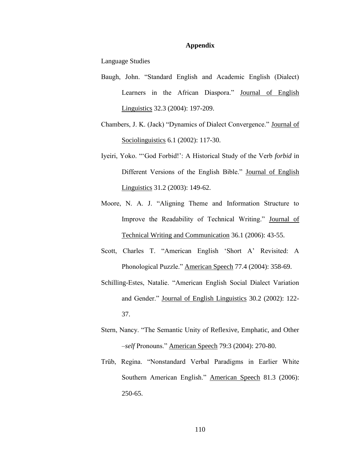### **Appendix**

Language Studies

- Baugh, John. "Standard English and Academic English (Dialect) Learners in the African Diaspora." Journal of English Linguistics 32.3 (2004): 197-209.
- Chambers, J. K. (Jack) "Dynamics of Dialect Convergence." Journal of Sociolinguistics 6.1 (2002): 117-30.
- Iyeiri, Yoko. ""God Forbid!": A Historical Study of the Verb *forbid* in Different Versions of the English Bible." Journal of English Linguistics 31.2 (2003): 149-62.
- Moore, N. A. J. "Aligning Theme and Information Structure to Improve the Readability of Technical Writing." Journal of Technical Writing and Communication 36.1 (2006): 43-55.
- Scott, Charles T. "American English "Short A" Revisited: A Phonological Puzzle." American Speech 77.4 (2004): 358-69.
- Schilling-Estes, Natalie. "American English Social Dialect Variation and Gender." Journal of English Linguistics 30.2 (2002): 122- 37.
- Stern, Nancy. "The Semantic Unity of Reflexive, Emphatic, and Other –*self* Pronouns." American Speech 79:3 (2004): 270-80.
- Trüb, Regina. "Nonstandard Verbal Paradigms in Earlier White Southern American English." American Speech 81.3 (2006): 250-65.

110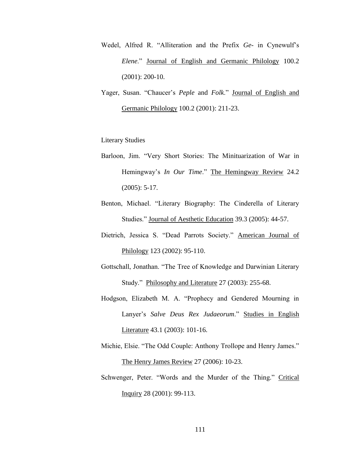- Wedel, Alfred R. "Alliteration and the Prefix *Ge-* in Cynewulf"s *Elene*." Journal of English and Germanic Philology 100.2 (2001): 200-10.
- Yager, Susan. "Chaucer"s *Peple* and *Folk*." Journal of English and Germanic Philology 100.2 (2001): 211-23.

# Literary Studies

- Barloon, Jim. "Very Short Stories: The Minituarization of War in Hemingway's *In Our Time.*" The Hemingway Review 24.2 (2005): 5-17.
- Benton, Michael. "Literary Biography: The Cinderella of Literary Studies." Journal of Aesthetic Education 39.3 (2005): 44-57.
- Dietrich, Jessica S. "Dead Parrots Society." American Journal of Philology 123 (2002): 95-110.
- Gottschall, Jonathan. "The Tree of Knowledge and Darwinian Literary Study." Philosophy and Literature 27 (2003): 255-68.
- Hodgson, Elizabeth M. A. "Prophecy and Gendered Mourning in Lanyer"s *Salve Deus Rex Judaeorum*." Studies in English Literature 43.1 (2003): 101-16.
- Michie, Elsie. "The Odd Couple: Anthony Trollope and Henry James." The Henry James Review 27 (2006): 10-23.
- Schwenger, Peter. "Words and the Murder of the Thing." Critical Inquiry 28 (2001): 99-113.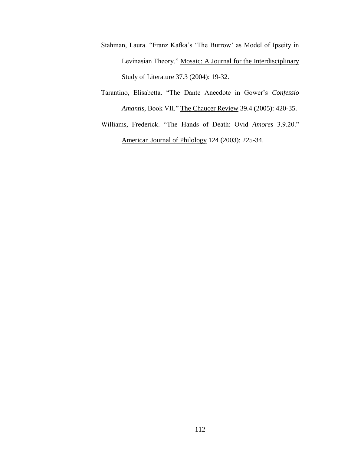- Stahman, Laura. "Franz Kafka"s "The Burrow" as Model of Ipseity in Levinasian Theory." Mosaic: A Journal for the Interdisciplinary Study of Literature 37.3 (2004): 19-32.
- Tarantino, Elisabetta. "The Dante Anecdote in Gower"s *Confessio Amantis*, Book VII." The Chaucer Review 39.4 (2005): 420-35.
- Williams, Frederick. "The Hands of Death: Ovid *Amores* 3.9.20." American Journal of Philology 124 (2003): 225-34.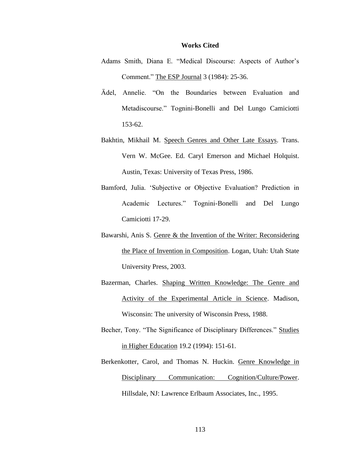#### **Works Cited**

- Adams Smith, Diana E. "Medical Discourse: Aspects of Author's Comment." The ESP Journal 3 (1984): 25-36.
- Ädel, Annelie. "On the Boundaries between Evaluation and Metadiscourse." Tognini-Bonelli and Del Lungo Camiciotti 153-62.
- Bakhtin, Mikhail M. Speech Genres and Other Late Essays. Trans. Vern W. McGee. Ed. Caryl Emerson and Michael Holquist. Austin, Texas: University of Texas Press, 1986.
- Bamford, Julia. "Subjective or Objective Evaluation? Prediction in Academic Lectures." Tognini-Bonelli and Del Lungo Camiciotti 17-29.
- Bawarshi, Anis S. Genre & the Invention of the Writer: Reconsidering the Place of Invention in Composition. Logan, Utah: Utah State University Press, 2003.
- Bazerman, Charles. Shaping Written Knowledge: The Genre and Activity of the Experimental Article in Science. Madison, Wisconsin: The university of Wisconsin Press, 1988.
- Becher, Tony. "The Significance of Disciplinary Differences." Studies in Higher Education 19.2 (1994): 151-61.
- Berkenkotter, Carol, and Thomas N. Huckin. Genre Knowledge in Disciplinary Communication: Cognition/Culture/Power. Hillsdale, NJ: Lawrence Erlbaum Associates, Inc., 1995.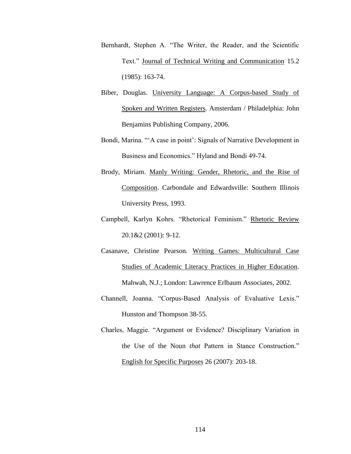- Bernhardt, Stephen A. "The Writer, the Reader, and the Scientific Text." Journal of Technical Writing and Communication 15.2 (1985): 163-74.
- Biber, Douglas. University Language: A Corpus-based Study of Spoken and Written Registers. Amsterdam / Philadelphia: John Benjamins Publishing Company, 2006.
- Bondi, Marina. ""A case in point": Signals of Narrative Development in Business and Economics." Hyland and Bondi 49-74.
- Brody, Miriam. Manly Writing: Gender, Rhetoric, and the Rise of Composition. Carbondale and Edwardsville: Southern Illinois University Press, 1993.
- Campbell, Karlyn Kohrs. "Rhetorical Feminism." Rhetoric Review 20.1&2 (2001): 9-12.
- Casanave, Christine Pearson. Writing Games: Multicultural Case Studies of Academic Literacy Practices in Higher Education. Mahwah, N.J.; London: Lawrence Erlbaum Associates, 2002.
- Channell, Joanna. "Corpus-Based Analysis of Evaluative Lexis." Hunston and Thompson 38-55.
- Charles, Maggie. "Argument or Evidence? Disciplinary Variation in the Use of the Noun *that* Pattern in Stance Construction." English for Specific Purposes 26 (2007): 203-18.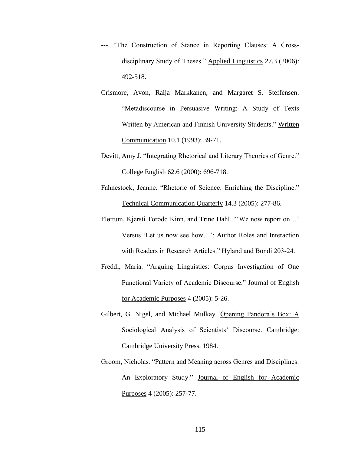- ---. "The Construction of Stance in Reporting Clauses: A Crossdisciplinary Study of Theses." Applied Linguistics 27.3 (2006): 492-518.
- Crismore, Avon, Raija Markkanen, and Margaret S. Steffensen. "Metadiscourse in Persuasive Writing: A Study of Texts Written by American and Finnish University Students." Written Communication 10.1 (1993): 39-71.
- Devitt, Amy J. "Integrating Rhetorical and Literary Theories of Genre." College English 62.6 (2000): 696-718.
- Fahnestock, Jeanne. "Rhetoric of Science: Enriching the Discipline." Technical Communication Quarterly 14.3 (2005): 277-86.
- Fløttum, Kjersti Torodd Kinn, and Trine Dahl. ""We now report on…" Versus "Let us now see how…": Author Roles and Interaction with Readers in Research Articles." Hyland and Bondi 203-24.
- Freddi, Maria. "Arguing Linguistics: Corpus Investigation of One Functional Variety of Academic Discourse." Journal of English for Academic Purposes 4 (2005): 5-26.
- Gilbert, G. Nigel, and Michael Mulkay. Opening Pandora"s Box: A Sociological Analysis of Scientists' Discourse. Cambridge: Cambridge University Press, 1984.
- Groom, Nicholas. "Pattern and Meaning across Genres and Disciplines: An Exploratory Study." Journal of English for Academic Purposes 4 (2005): 257-77.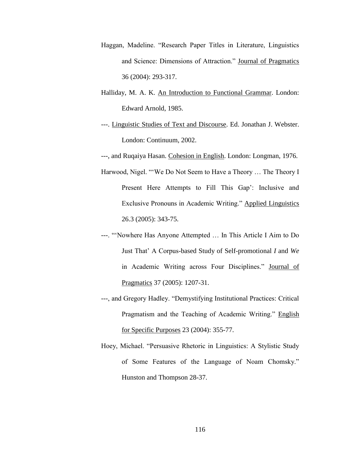- Haggan, Madeline. "Research Paper Titles in Literature, Linguistics and Science: Dimensions of Attraction." Journal of Pragmatics 36 (2004): 293-317.
- Halliday, M. A. K. An Introduction to Functional Grammar. London: Edward Arnold, 1985.
- ---. Linguistic Studies of Text and Discourse. Ed. Jonathan J. Webster. London: Continuum, 2002.

---, and Ruqaiya Hasan. Cohesion in English. London: Longman, 1976.

- Harwood, Nigel. ""We Do Not Seem to Have a Theory … The Theory I Present Here Attempts to Fill This Gap': Inclusive and Exclusive Pronouns in Academic Writing." Applied Linguistics 26.3 (2005): 343-75.
- ---. ""Nowhere Has Anyone Attempted … In This Article I Aim to Do Just That" A Corpus-based Study of Self-promotional *I* and *We* in Academic Writing across Four Disciplines." Journal of Pragmatics 37 (2005): 1207-31.
- ---, and Gregory Hadley. "Demystifying Institutional Practices: Critical Pragmatism and the Teaching of Academic Writing." English for Specific Purposes 23 (2004): 355-77.
- Hoey, Michael. "Persuasive Rhetoric in Linguistics: A Stylistic Study of Some Features of the Language of Noam Chomsky." Hunston and Thompson 28-37.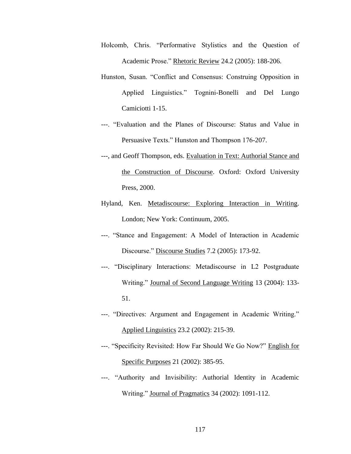- Holcomb, Chris. "Performative Stylistics and the Question of Academic Prose." Rhetoric Review 24.2 (2005): 188-206.
- Hunston, Susan. "Conflict and Consensus: Construing Opposition in Applied Linguistics." Tognini-Bonelli and Del Lungo Camiciotti 1-15.
- ---. "Evaluation and the Planes of Discourse: Status and Value in Persuasive Texts." Hunston and Thompson 176-207.
- ---, and Geoff Thompson, eds. Evaluation in Text: Authorial Stance and the Construction of Discourse. Oxford: Oxford University Press, 2000.
- Hyland, Ken. Metadiscourse: Exploring Interaction in Writing. London; New York: Continuum, 2005.
- ---. "Stance and Engagement: A Model of Interaction in Academic Discourse." Discourse Studies 7.2 (2005): 173-92.
- ---. "Disciplinary Interactions: Metadiscourse in L2 Postgraduate Writing." Journal of Second Language Writing 13 (2004): 133- 51.
- ---. "Directives: Argument and Engagement in Academic Writing." Applied Linguistics 23.2 (2002): 215-39.
- ---. "Specificity Revisited: How Far Should We Go Now?" English for Specific Purposes 21 (2002): 385-95.
- ---. "Authority and Invisibility: Authorial Identity in Academic Writing." Journal of Pragmatics 34 (2002): 1091-112.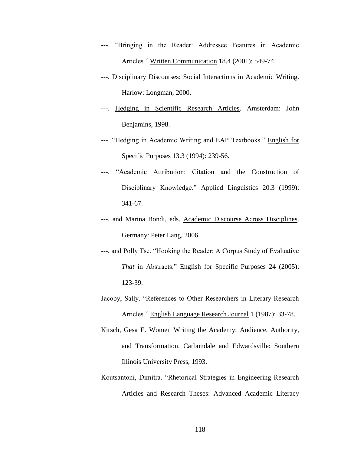- ---. "Bringing in the Reader: Addressee Features in Academic Articles." Written Communication 18.4 (2001): 549-74.
- ---. Disciplinary Discourses: Social Interactions in Academic Writing. Harlow: Longman, 2000.
- ---. Hedging in Scientific Research Articles. Amsterdam: John Benjamins, 1998.
- ---. "Hedging in Academic Writing and EAP Textbooks." English for Specific Purposes 13.3 (1994): 239-56.
- ---. "Academic Attribution: Citation and the Construction of Disciplinary Knowledge." Applied Linguistics 20.3 (1999): 341-67.
- ---, and Marina Bondi, eds. Academic Discourse Across Disciplines. Germany: Peter Lang, 2006.
- ---, and Polly Tse. "Hooking the Reader: A Corpus Study of Evaluative *That* in Abstracts." English for Specific Purposes 24 (2005): 123-39.
- Jacoby, Sally. "References to Other Researchers in Literary Research Articles." English Language Research Journal 1 (1987): 33-78.
- Kirsch, Gesa E. Women Writing the Academy: Audience, Authority, and Transformation. Carbondale and Edwardsville: Southern Illinois University Press, 1993.
- Koutsantoni, Dimitra. "Rhetorical Strategies in Engineering Research Articles and Research Theses: Advanced Academic Literacy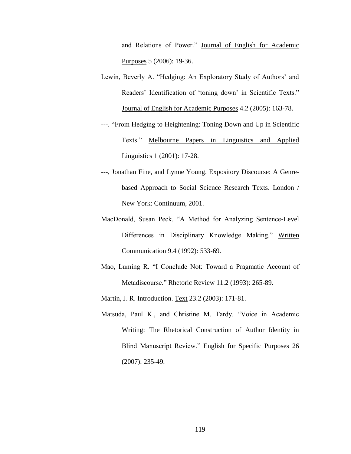and Relations of Power." Journal of English for Academic Purposes 5 (2006): 19-36.

- Lewin, Beverly A. "Hedging: An Exploratory Study of Authors' and Readers' Identification of 'toning down' in Scientific Texts." Journal of English for Academic Purposes 4.2 (2005): 163-78.
- ---. "From Hedging to Heightening: Toning Down and Up in Scientific Texts." Melbourne Papers in Linguistics and Applied Linguistics 1 (2001): 17-28.
- ---, Jonathan Fine, and Lynne Young. Expository Discourse: A Genrebased Approach to Social Science Research Texts. London / New York: Continuum, 2001.
- MacDonald, Susan Peck. "A Method for Analyzing Sentence-Level Differences in Disciplinary Knowledge Making." Written Communication 9.4 (1992): 533-69.
- Mao, Luming R. "I Conclude Not: Toward a Pragmatic Account of Metadiscourse." Rhetoric Review 11.2 (1993): 265-89.
- Martin, J. R. Introduction. Text 23.2 (2003): 171-81.
- Matsuda, Paul K., and Christine M. Tardy. "Voice in Academic Writing: The Rhetorical Construction of Author Identity in Blind Manuscript Review." English for Specific Purposes 26 (2007): 235-49.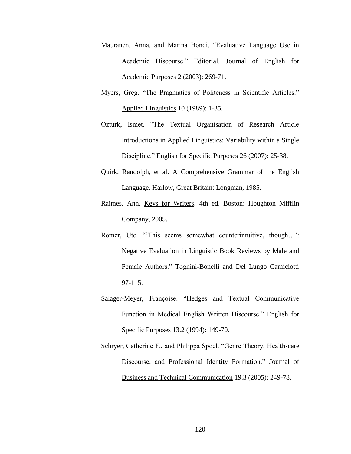- Mauranen, Anna, and Marina Bondi. "Evaluative Language Use in Academic Discourse." Editorial. Journal of English for Academic Purposes 2 (2003): 269-71.
- Myers, Greg. "The Pragmatics of Politeness in Scientific Articles." Applied Linguistics 10 (1989): 1-35.
- Ozturk, Ismet. "The Textual Organisation of Research Article Introductions in Applied Linguistics: Variability within a Single Discipline." English for Specific Purposes 26 (2007): 25-38.
- Quirk, Randolph, et al. A Comprehensive Grammar of the English Language. Harlow, Great Britain: Longman, 1985.
- Raimes, Ann. Keys for Writers. 4th ed. Boston: Houghton Mifflin Company, 2005.
- Römer, Ute. "This seems somewhat counterintuitive, though..." Negative Evaluation in Linguistic Book Reviews by Male and Female Authors." Tognini-Bonelli and Del Lungo Camiciotti 97-115.
- Salager-Meyer, Françoise. "Hedges and Textual Communicative Function in Medical English Written Discourse." English for Specific Purposes 13.2 (1994): 149-70.
- Schryer, Catherine F., and Philippa Spoel. "Genre Theory, Health-care Discourse, and Professional Identity Formation." Journal of Business and Technical Communication 19.3 (2005): 249-78.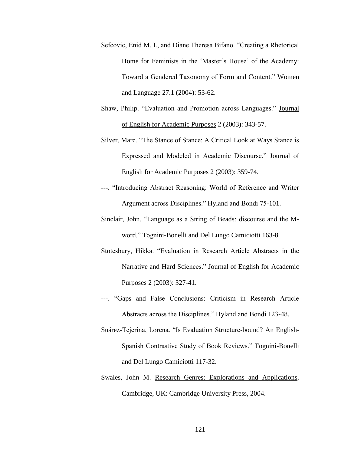- Sefcovic, Enid M. I., and Diane Theresa Bifano. "Creating a Rhetorical Home for Feminists in the 'Master's House' of the Academy: Toward a Gendered Taxonomy of Form and Content." Women and Language 27.1 (2004): 53-62.
- Shaw, Philip. "Evaluation and Promotion across Languages." Journal of English for Academic Purposes 2 (2003): 343-57.
- Silver, Marc. "The Stance of Stance: A Critical Look at Ways Stance is Expressed and Modeled in Academic Discourse." Journal of English for Academic Purposes 2 (2003): 359-74.
- ---. "Introducing Abstract Reasoning: World of Reference and Writer Argument across Disciplines." Hyland and Bondi 75-101.
- Sinclair, John. "Language as a String of Beads: discourse and the Mword." Tognini-Bonelli and Del Lungo Camiciotti 163-8.
- Stotesbury, Hikka. "Evaluation in Research Article Abstracts in the Narrative and Hard Sciences." Journal of English for Academic Purposes 2 (2003): 327-41.
- ---. "Gaps and False Conclusions: Criticism in Research Article Abstracts across the Disciplines." Hyland and Bondi 123-48.
- Suárez-Tejerina, Lorena. "Is Evaluation Structure-bound? An English-Spanish Contrastive Study of Book Reviews." Tognini-Bonelli and Del Lungo Camiciotti 117-32.
- Swales, John M. Research Genres: Explorations and Applications. Cambridge, UK: Cambridge University Press, 2004.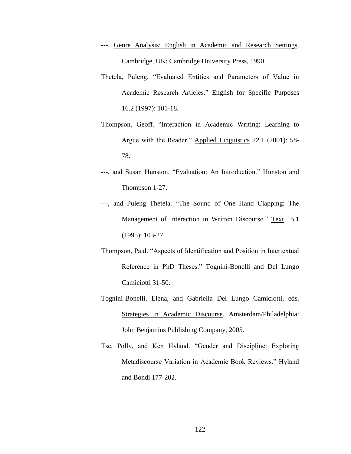- ---. Genre Analysis: English in Academic and Research Settings. Cambridge, UK: Cambridge University Press, 1990.
- Thetela, Puleng. "Evaluated Entities and Parameters of Value in Academic Research Articles." English for Specific Purposes 16.2 (1997): 101-18.
- Thompson, Geoff. "Interaction in Academic Writing: Learning to Argue with the Reader." Applied Linguistics 22.1 (2001): 58- 78.
- ---, and Susan Hunston. "Evaluation: An Introduction." Hunston and Thompson 1-27.
- ---, and Puleng Thetela. "The Sound of One Hand Clapping: The Management of Interaction in Written Discourse." Text 15.1 (1995): 103-27.
- Thompson, Paul. "Aspects of Identification and Position in Intertextual Reference in PhD Theses." Tognini-Bonelli and Del Lungo Camiciotti 31-50.
- Tognini-Bonelli, Elena, and Gabriella Del Lungo Camiciotti, eds. Strategies in Academic Discourse. Amsterdam/Philadelphia: John Benjamins Publishing Company, 2005.
- Tse, Polly, and Ken Hyland. "Gender and Discipline: Exploring Metadiscourse Variation in Academic Book Reviews." Hyland and Bondi 177-202.